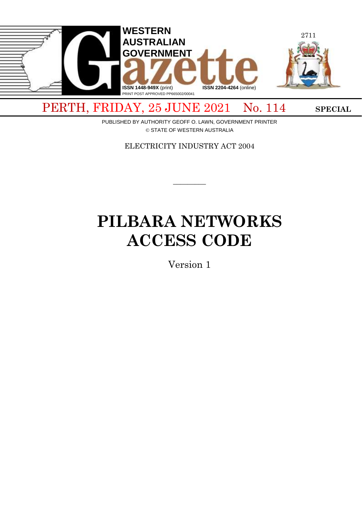

PERTH, FRIDAY, 25 JUNE 2021 No. 114 SPECIAL

PUBLISHED BY AUTHORITY GEOFF O. LAWN, GOVERNMENT PRINTER © STATE OF WESTERN AUSTRALIA

ELECTRICITY INDUSTRY ACT 2004

 $\overline{\phantom{a}}$ 

# **PILBARA NETWORKS ACCESS CODE**

Version 1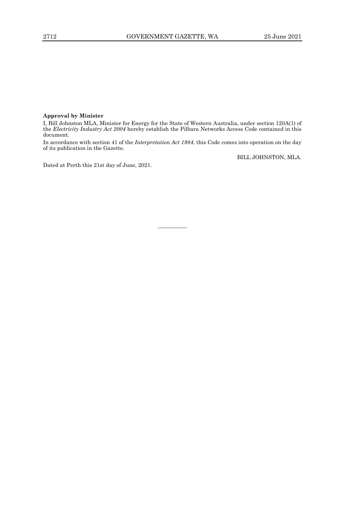# **Approval by Minister**

I, Bill Johnston MLA, Minister for Energy for the State of Western Australia, under section 120A(1) of the *Electricity Industry Act 2004* hereby establish the Pilbara Networks Access Code contained in this document.

In accordance with section 41 of the *Interpretation Act 1984*, this Code comes into operation on the day of its publication in the Gazette.

————

BILL JOHNSTON, MLA.

Dated at Perth this 21st day of June, 2021.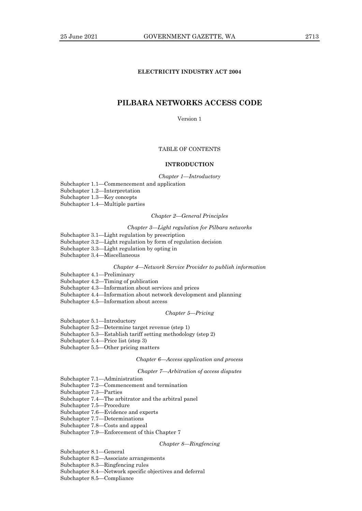# **ELECTRICITY INDUSTRY ACT 2004**

# **PILBARA NETWORKS ACCESS CODE**

Version 1

# TABLE OF CONTENTS

# **INTRODUCTION**

*Chapter 1—Introductory*

Subchapter 1.1—Commencement and application

Subchapter 1.2—Interpretation

Subchapter 1.3—Key concepts

Subchapter 1.4—Multiple parties

#### *Chapter 2—General Principles*

#### *Chapter 3—Light regulation for Pilbara networks*

Subchapter 3.1—Light regulation by prescription

- Subchapter 3.2—Light regulation by form of regulation decision
- Subchapter 3.3—Light regulation by opting in

Subchapter 3.4—Miscellaneous

#### *Chapter 4—Network Service Provider to publish information*

- Subchapter 4.1—Preliminary
- Subchapter 4.2—Timing of publication
- Subchapter 4.3—Information about services and prices
- Subchapter 4.4—Information about network development and planning
- Subchapter 4.5—Information about access

#### *Chapter 5—Pricing*

Subchapter 5.1—Introductory

- Subchapter 5.2—Determine target revenue (step 1)
- Subchapter 5.3—Establish tariff setting methodology (step 2)
- Subchapter 5.4—Price list (step 3)
- Subchapter 5.5—Other pricing matters

## *Chapter 6—Access application and process*

*Chapter 7—Arbitration of access disputes*

Subchapter 7.1—Administration

- Subchapter 7.2—Commencement and termination
- Subchapter 7.3—Parties
- Subchapter 7.4—The arbitrator and the arbitral panel
- Subchapter 7.5—Procedure
- Subchapter 7.6—Evidence and experts
- Subchapter 7.7—Determinations
- Subchapter 7.8—Costs and appeal
- Subchapter 7.9—Enforcement of this Chapter 7

#### *Chapter 8—Ringfencing*

- Subchapter 8.1—General
- Subchapter 8.2—Associate arrangements
- Subchapter 8.3—Ringfencing rules
- Subchapter 8.4—Network specific objectives and deferral
- Subchapter 8.5—Compliance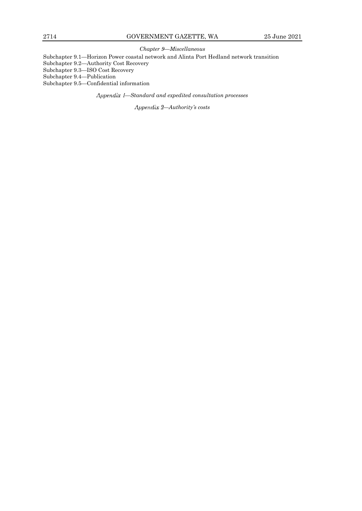## *Chapter 9—Miscellaneous*

Subchapter 9.1—Horizon Power coastal network and Alinta Port Hedland network transition

Subchapter 9.2—Authority Cost Recovery

Subchapter 9.3—ISO Cost Recovery

Subchapter 9.4—Publication

Subchapter 9.5—Confidential information

*—Standard and expedited consultation processes*

*—Authority's costs*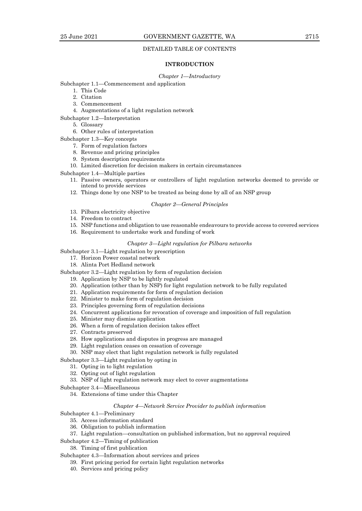## DETAILED TABLE OF CONTENTS

#### **INTRODUCTION**

#### *Chapter 1—Introductory*

Subchapter 1.1—Commencement and application

- 1. This Code
- 2. Citation
- 3. Commencement
- 4. Augmentations of a light regulation network
- Subchapter 1.2—Interpretation
	- 5. Glossary
		- 6. Other rules of interpretation
- Subchapter 1.3—Key concepts
	- 7. Form of regulation factors
	- 8. Revenue and pricing principles
	- 9. System description requirements
	- 10. Limited discretion for decision makers in certain circumstances

Subchapter 1.4—Multiple parties

- 11. Passive owners, operators or controllers of light regulation networks deemed to provide or intend to provide services
- 12. Things done by one NSP to be treated as being done by all of an NSP group

### *Chapter 2—General Principles*

- 13. Pilbara electricity objective
- 14. Freedom to contract
- 15. NSP functions and obligation to use reasonable endeavours to provide access to covered services
- 16. Requirement to undertake work and funding of work

#### *Chapter 3—Light regulation for Pilbara networks*

Subchapter 3.1—Light regulation by prescription

- 17. Horizon Power coastal network
- 18. Alinta Port Hedland network

Subchapter 3.2—Light regulation by form of regulation decision

- 19. Application by NSP to be lightly regulated
- 20. Application (other than by NSP) for light regulation network to be fully regulated
- 21. Application requirements for form of regulation decision
- 22. Minister to make form of regulation decision
- 23. Principles governing form of regulation decisions
- 24. Concurrent applications for revocation of coverage and imposition of full regulation
- 25. Minister may dismiss application
- 26. When a form of regulation decision takes effect
- 27. Contracts preserved
- 28. How applications and disputes in progress are managed
- 29. Light regulation ceases on cessation of coverage
- 30. NSP may elect that light regulation network is fully regulated

## Subchapter 3.3—Light regulation by opting in

- 31. Opting in to light regulation
- 32. Opting out of light regulation
- 33. NSP of light regulation network may elect to cover augmentations

Subchapter 3.4—Miscellaneous

34. Extensions of time under this Chapter

#### *Chapter 4—Network Service Provider to publish information*

Subchapter 4.1—Preliminary

- 35. Access information standard
- 36. Obligation to publish information
- 37. Light regulation—consultation on published information, but no approval required
- Subchapter 4.2—Timing of publication

38. Timing of first publication

# Subchapter 4.3—Information about services and prices

- 39. First pricing period for certain light regulation networks
- 40. Services and pricing policy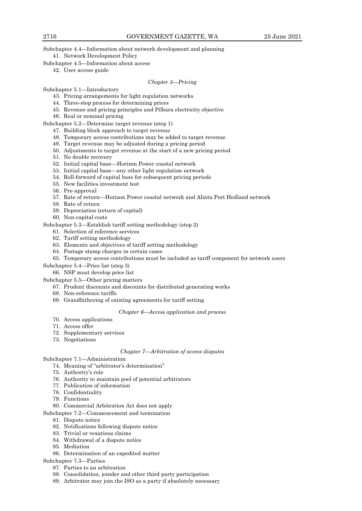Subchapter 4.4—Information about network development and planning 41. Network Development Policy

Subchapter 4.5—Information about access

42. User access guide

## *Chapter 5—Pricing*

Subchapter 5.1—Introductory

- 43. Pricing arrangements for light regulation networks
- 44. Three-step process for determining prices
- 45. Revenue and pricing principles and Pilbara electricity objective
- 46. Real or nominal pricing

Subchapter 5.2—Determine target revenue (step 1)

- 47. Building block approach to target revenue
- 48. Temporary access contributions may be added to target revenue
- 49. Target revenue may be adjusted during a pricing period
- 50. Adjustments to target revenue at the start of a new pricing period
- 51. No double recovery
- 52. Initial capital base—Horizon Power coastal network
- 53. Initial capital base—any other light regulation network
- 54. Roll-forward of capital base for subsequent pricing periods
- 55. New facilities investment test
- 56. Pre-approval
- 57. Rate of return—Horizon Power coastal network and Alinta Port Hedland network
- 58. Rate of return
- 59. Depreciation (return of capital)
- 60. Non-capital costs

Subchapter 5.3—Establish tariff setting methodology (step 2)

- 61. Selection of reference services
- 62. Tariff setting methodology
- 63. Elements and objectives of tariff setting methodology
- 64. Postage stamp charges in certain cases
- 65. Temporary access contributions must be included as tariff component for network users
- Subchapter 5.4—Price list (step 3)
	- 66. NSP must develop price list

Subchapter 5.5—Other pricing matters

- 67. Prudent discounts and discounts for distributed generating works
- 68. Non-reference tariffs
- 69. Grandfathering of existing agreements for tariff setting

#### *Chapter 6—Access application and process*

- 70. Access applications
- 71. Access offer
- 72. Supplementary services
- 73. Negotiations

#### *Chapter 7—Arbitration of access disputes*

- Subchapter 7.1—Administration
	- 74. Meaning of "arbitrator's determination"
	- 75. Authority's role
	- 76. Authority to maintain pool of potential arbitrators
	- 77. Publication of information
	- 78. Confidentiality
	- 79. Functions

# 80. Commercial Arbitration Act does not apply

Subchapter 7.2—Commencement and termination

- 81. Dispute notice
- 82. Notifications following dispute notice
- 83. Trivial or vexatious claims
- 84. Withdrawal of a dispute notice
- 85. Mediation
- 86. Determination of an expedited matter
- Subchapter 7.3—Parties
	- 87. Parties to an arbitration
	- 88. Consolidation, joinder and other third party participation
	- 89. Arbitrator may join the ISO as a party if absolutely necessary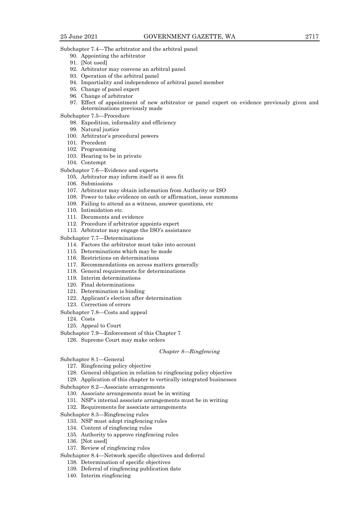Subchapter 7.4—The arbitrator and the arbitral panel

- 90. Appointing the arbitrator
- 91. [Not used]
- 92. Arbitrator may convene an arbitral panel
- 93. Operation of the arbitral panel
- 94. Impartiality and independence of arbitral panel member
- 95. Change of panel expert
- 96. Change of arbitrator
- 97. Effect of appointment of new arbitrator or panel expert on evidence previously given and determinations previously made
- Subchapter 7.5—Procedure
	- 98. Expedition, informality and efficiency
	- 99. Natural justice
	- 100. Arbitrator's procedural powers
	- 101. Precedent
	- 102. Programming
	- 103. Hearing to be in private
	- 104. Contempt
- Subchapter 7.6—Evidence and experts
	- 105. Arbitrator may inform itself as it sees fit
	- 106. Submissions
	- 107. Arbitrator may obtain information from Authority or ISO
	- 108. Power to take evidence on oath or affirmation, issue summons
	- 109. Failing to attend as a witness, answer questions, etc
	- 110. Intimidation etc.
	- 111. Documents and evidence
	- 112. Procedure if arbitrator appoints expert
	- 113. Arbitrator may engage the ISO's assistance

Subchapter 7.7—Determinations

- 114. Factors the arbitrator must take into account
- 115. Determinations which may be made
- 116. Restrictions on determinations
- 117. Recommendations on access matters generally
- 118. General requirements for determinations
- 119. Interim determinations
- 120. Final determinations
- 121. Determination is binding
- 122. Applicant's election after determination
- 123. Correction of errors
- Subchapter 7.8—Costs and appeal

124. Costs

- 125. Appeal to Court
- Subchapter 7.9—Enforcement of this Chapter 7
	- 126. Supreme Court may make orders

#### *Chapter 8—Ringfencing*

- Subchapter 8.1—General
	- 127. Ringfencing policy objective
	- 128. General obligation in relation to ringfencing policy objective
	- 129. Application of this chapter to vertically-integrated businesses

Subchapter 8.2—Associate arrangements

- 130. Associate arrangements must be in writing
- 131. NSP's internal associate arrangements must be in writing
- 132. Requirements for associate arrangements
- Subchapter 8.3—Ringfencing rules
	- 133. NSP must adopt ringfencing rules
	- 134. Content of ringfencing rules
	- 135. Authority to approve ringfencing rules
	- 136. [Not used]
	- 137. Review of ringfencing rules
- Subchapter 8.4—Network specific objectives and deferral
	- 138. Determination of specific objectives
	- 139. Deferral of ringfencing publication date
	- 140. Interim ringfencing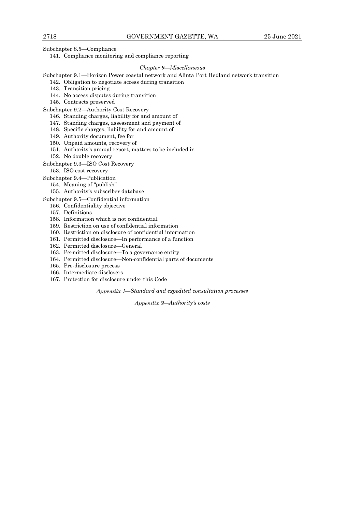Subchapter 8.5—Compliance

141. Compliance monitoring and compliance reporting

#### *Chapter 9—Miscellaneous*

## Subchapter 9.1—Horizon Power coastal network and Alinta Port Hedland network transition

- 142. Obligation to negotiate access during transition
- 143. Transition pricing
- 144. No access disputes during transition
- 145. Contracts preserved

Subchapter 9.2—Authority Cost Recovery

- 146. Standing charges, liability for and amount of
- 147. Standing charges, assessment and payment of
- 148. Specific charges, liability for and amount of
- 149. Authority document, fee for
- 150. Unpaid amounts, recovery of
- 151. Authority's annual report, matters to be included in
- 152. No double recovery

#### Subchapter 9.3—ISO Cost Recovery

153. ISO cost recovery

- Subchapter 9.4—Publication
	- 154. Meaning of "publish"
	- 155. Authority's subscriber database
- Subchapter 9.5—Confidential information
	- 156. Confidentiality objective
	- 157. Definitions
	- 158. Information which is not confidential
	- 159. Restriction on use of confidential information
	- 160. Restriction on disclosure of confidential information
	- 161. Permitted disclosure—In performance of a function
	- 162. Permitted disclosure—General
	- 163. Permitted disclosure—To a governance entity
	- 164. Permitted disclosure—Non-confidential parts of documents
	- 165. Pre-disclosure process
	- 166. Intermediate disclosers
	- 167. Protection for disclosure under this Code

*—Standard and expedited consultation processes*

*—Authority's costs*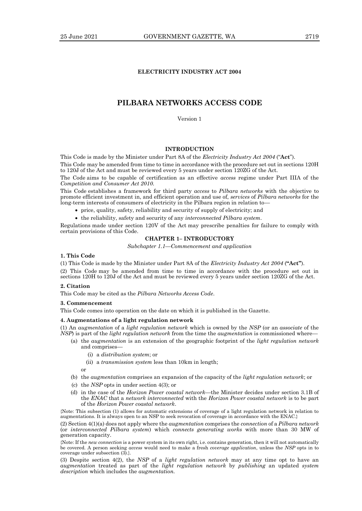# **ELECTRICITY INDUSTRY ACT 2004**

# **PILBARA NETWORKS ACCESS CODE**

Version 1

# **INTRODUCTION**

This Code is made by the Minister under Part 8A of the *Electricity Industry Act 2004* ("**Act**").

This Code may be amended from time to time in accordance with the procedure set out in sections 120H to 120J of the Act and must be reviewed every 5 years under section 120ZG of the Act.

The Code aims to be capable of certification as an effective *access* regime under Part IIIA of the *Competition and Consumer Act 2010.*

This Code establishes a framework for third party *access* to *Pilbara networks* with the objective to promote efficient investment in, and efficient operation and use of, *services* of *Pilbara networks* for the long-term interests of consumers of electricity in the Pilbara region in relation to-

- price, quality, safety, reliability and security of supply of electricity; and
- the reliability, safety and security of any *interconnected Pilbara system*.

Regulations made under section 120V of the Act may prescribe penalties for failure to comply with certain provisions of this Code.

# **CHAPTER 1– INTRODUCTORY**

*Subchapter 1.1—Commencement and application*

# **1. This Code**

(1) This Code is made by the Minister under Part 8A of the *Electricity Industry Act 2004* (**"Act"**). (2) This Code may be amended from time to time in accordance with the procedure set out in

sections 120H to 120J of the Act and must be reviewed every 5 years under section 120ZG of the Act.

# **2. Citation**

This Code may be cited as the *Pilbara Networks Access Code*.

#### **3. Commencement**

This Code comes into operation on the date on which it is published in the Gazette.

#### **4. Augmentations of a light regulation network**

(1) An *augmentation* of a *light regulation network* which is owned by the *NSP* (or an *associate* of the *NSP*) is part of the *light regulation network* from the time the *augmentation* is commissioned where—

- (a) the *augmentation* is an extension of the geographic footprint of the *light regulation network* and comprises—
	- (i) a *distribution system*; or
	- (ii) a *transmission system* less than 10km in length;

or

- (b) the *augmentation* comprises an expansion of the capacity of the *light regulation network*; or
- (c) the *NSP* opts in under section 4(3); or
- (d) in the case of the *Horizon Power coastal network*—the Minister decides under section 3.1B of the *ENAC* that a *network interconnected* with the *Horizon Power coastal network* is to be part of the *Horizon Power coastal network*.

{Note: This subsection (1) allows for automatic extensions of coverage of a light regulation network in relation to augmentations. It is always open to an NSP to seek revocation of coverage in accordance with the ENAC.}

(2) Section 4(1)(a) does not apply where the *augmentation* comprises the *connection* of a *Pilbara network* (or *interconnected Pilbara system*) which *connects generating works* with more than 30 MW of generation capacity.

{Note: If the *new connection* is a power system in its own right, i.e. contains generation, then it will not automatically be covered. A person seeking *access* would need to make a fresh *coverage application*, unless the *NSP* opts in to coverage under subsection (3).}.

(3) Despite section 4(2), the *NSP* of a *light regulation network* may at any time opt to have an *augmentation* treated as part of the *light regulation network* by *publishing* an updated *system description* which includes the *augmentation.*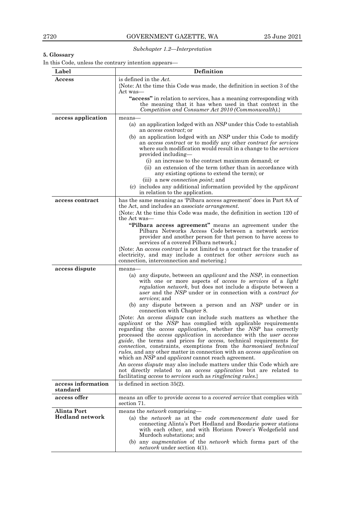*Subchapter 1.2—Interpretation*

# **5. Glossary**

In this Code, unless the contrary intention appears—

| Label                          | <b>Definition</b>                                                                                                                                                                                                                                                                                                                                                                                                                                                                                                                                                                                                                                                                                                                                                                                                                                                                                                                                                                                                                                                                                                                                                                                                                                                                                                 |  |  |  |  |
|--------------------------------|-------------------------------------------------------------------------------------------------------------------------------------------------------------------------------------------------------------------------------------------------------------------------------------------------------------------------------------------------------------------------------------------------------------------------------------------------------------------------------------------------------------------------------------------------------------------------------------------------------------------------------------------------------------------------------------------------------------------------------------------------------------------------------------------------------------------------------------------------------------------------------------------------------------------------------------------------------------------------------------------------------------------------------------------------------------------------------------------------------------------------------------------------------------------------------------------------------------------------------------------------------------------------------------------------------------------|--|--|--|--|
| $\rm Access$                   | is defined in the Act.                                                                                                                                                                                                                                                                                                                                                                                                                                                                                                                                                                                                                                                                                                                                                                                                                                                                                                                                                                                                                                                                                                                                                                                                                                                                                            |  |  |  |  |
|                                | {Note: At the time this Code was made, the definition in section 3 of the                                                                                                                                                                                                                                                                                                                                                                                                                                                                                                                                                                                                                                                                                                                                                                                                                                                                                                                                                                                                                                                                                                                                                                                                                                         |  |  |  |  |
|                                | Act was—                                                                                                                                                                                                                                                                                                                                                                                                                                                                                                                                                                                                                                                                                                                                                                                                                                                                                                                                                                                                                                                                                                                                                                                                                                                                                                          |  |  |  |  |
|                                | "access" in relation to services, has a meaning corresponding with<br>the meaning that it has when used in that context in the                                                                                                                                                                                                                                                                                                                                                                                                                                                                                                                                                                                                                                                                                                                                                                                                                                                                                                                                                                                                                                                                                                                                                                                    |  |  |  |  |
|                                | Competition and Consumer Act 2010 (Commonwealth).}                                                                                                                                                                                                                                                                                                                                                                                                                                                                                                                                                                                                                                                                                                                                                                                                                                                                                                                                                                                                                                                                                                                                                                                                                                                                |  |  |  |  |
| access application             | means-                                                                                                                                                                                                                                                                                                                                                                                                                                                                                                                                                                                                                                                                                                                                                                                                                                                                                                                                                                                                                                                                                                                                                                                                                                                                                                            |  |  |  |  |
|                                | (a) an application lodged with an $NSP$ under this Code to establish<br>an <i>access contract</i> ; or                                                                                                                                                                                                                                                                                                                                                                                                                                                                                                                                                                                                                                                                                                                                                                                                                                                                                                                                                                                                                                                                                                                                                                                                            |  |  |  |  |
|                                | (b) an application lodged with an NSP under this Code to modify<br>an <i>access contract</i> or to modify any other <i>contract</i> for <i>services</i><br>where such modification would result in a change to the <i>services</i><br>provided including—                                                                                                                                                                                                                                                                                                                                                                                                                                                                                                                                                                                                                                                                                                                                                                                                                                                                                                                                                                                                                                                         |  |  |  |  |
|                                | (i) an increase to the contract maximum demand; or<br>(ii) an extension of the term (other than in accordance with                                                                                                                                                                                                                                                                                                                                                                                                                                                                                                                                                                                                                                                                                                                                                                                                                                                                                                                                                                                                                                                                                                                                                                                                |  |  |  |  |
|                                | any existing options to extend the term); or<br>(iii) a new <i>connection point</i> ; and                                                                                                                                                                                                                                                                                                                                                                                                                                                                                                                                                                                                                                                                                                                                                                                                                                                                                                                                                                                                                                                                                                                                                                                                                         |  |  |  |  |
|                                | (c) includes any additional information provided by the <i>applicant</i><br>in relation to the application.                                                                                                                                                                                                                                                                                                                                                                                                                                                                                                                                                                                                                                                                                                                                                                                                                                                                                                                                                                                                                                                                                                                                                                                                       |  |  |  |  |
| access contract                | has the same meaning as 'Pilbara access agreement' does in Part 8A of                                                                                                                                                                                                                                                                                                                                                                                                                                                                                                                                                                                                                                                                                                                                                                                                                                                                                                                                                                                                                                                                                                                                                                                                                                             |  |  |  |  |
|                                | the Act, and includes an <i>associate arrangement</i> .<br>{Note: At the time this Code was made, the definition in section 120 of                                                                                                                                                                                                                                                                                                                                                                                                                                                                                                                                                                                                                                                                                                                                                                                                                                                                                                                                                                                                                                                                                                                                                                                |  |  |  |  |
|                                | the Act was—                                                                                                                                                                                                                                                                                                                                                                                                                                                                                                                                                                                                                                                                                                                                                                                                                                                                                                                                                                                                                                                                                                                                                                                                                                                                                                      |  |  |  |  |
|                                | "Pilbara access agreement" means an agreement under the<br>Pilbara Networks Access Code between a network service<br>provider and another person for that person to have access to<br>services of a covered Pilbara network.                                                                                                                                                                                                                                                                                                                                                                                                                                                                                                                                                                                                                                                                                                                                                                                                                                                                                                                                                                                                                                                                                      |  |  |  |  |
|                                | {Note: An access contract is not limited to a contract for the transfer of<br>electricity, and may include a contract for other <i>services</i> such as<br>connection, interconnection and metering.                                                                                                                                                                                                                                                                                                                                                                                                                                                                                                                                                                                                                                                                                                                                                                                                                                                                                                                                                                                                                                                                                                              |  |  |  |  |
| access dispute                 | means-<br>(a) any dispute, between an <i>applicant</i> and the <i>NSP</i> , in connection<br>with one or more aspects of <i>access to services</i> of a <i>light</i><br><i>regulation network</i> , but does not include a dispute between a<br><i>user</i> and the <i>NSP</i> under or in connection with a <i>contract for</i><br><i>services</i> ; and<br>(b) any dispute between a person and an NSP under or in<br>connection with Chapter 8.<br>{Note: An <i>access dispute</i> can include such matters as whether the<br><i>applicant</i> or the NSP has complied with applicable requirements<br>regarding the access application, whether the NSP has correctly<br>processed the <i>access application</i> in accordance with the <i>user</i> access<br><i>guide</i> , the terms and prices for <i>access</i> , technical requirements for<br><i>connection</i> , constraints, exemptions from the <i>harmonised technical</i><br><i>rules</i> , and any other matter in connection with an <i>access application</i> on<br>which an NSP and <i>applicant</i> cannot reach agreement.<br>An access dispute may also include matters under this Code which are<br>not directly related to an <i>access application</i> but are related to<br>facilitating access to services such as ringfencing rules.} |  |  |  |  |
| access information<br>standard | is defined in section $35(2)$ .                                                                                                                                                                                                                                                                                                                                                                                                                                                                                                                                                                                                                                                                                                                                                                                                                                                                                                                                                                                                                                                                                                                                                                                                                                                                                   |  |  |  |  |
| access offer                   | means an offer to provide <i>access</i> to a <i>covered service</i> that complies with<br>section 71.                                                                                                                                                                                                                                                                                                                                                                                                                                                                                                                                                                                                                                                                                                                                                                                                                                                                                                                                                                                                                                                                                                                                                                                                             |  |  |  |  |
| Alinta Port                    | means the <i>network</i> comprising—                                                                                                                                                                                                                                                                                                                                                                                                                                                                                                                                                                                                                                                                                                                                                                                                                                                                                                                                                                                                                                                                                                                                                                                                                                                                              |  |  |  |  |
| <b>Hedland network</b>         | (a) the <i>network</i> as at the <i>code commencement</i> date used for<br>connecting Alinta's Port Hedland and Boodarie power stations<br>with each other, and with Horizon Power's Wedgefield and<br>Murdoch substations: and                                                                                                                                                                                                                                                                                                                                                                                                                                                                                                                                                                                                                                                                                                                                                                                                                                                                                                                                                                                                                                                                                   |  |  |  |  |
|                                | (b) any <i>augmentation</i> of the <i>network</i> which forms part of the<br><i>network</i> under section 4(1).                                                                                                                                                                                                                                                                                                                                                                                                                                                                                                                                                                                                                                                                                                                                                                                                                                                                                                                                                                                                                                                                                                                                                                                                   |  |  |  |  |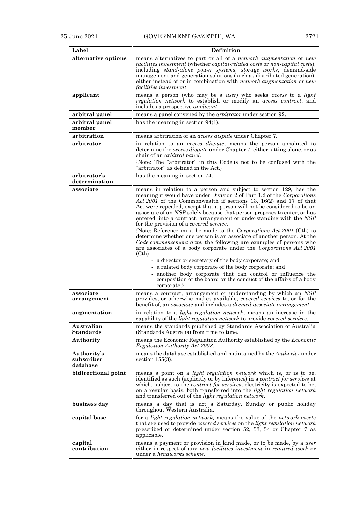| Label                                 | Definition                                                                                                                                                                                                                                                                                                                                                                                                                                                                                                                                                                                                                                                                                                                                                                                                                                                         |  |  |  |
|---------------------------------------|--------------------------------------------------------------------------------------------------------------------------------------------------------------------------------------------------------------------------------------------------------------------------------------------------------------------------------------------------------------------------------------------------------------------------------------------------------------------------------------------------------------------------------------------------------------------------------------------------------------------------------------------------------------------------------------------------------------------------------------------------------------------------------------------------------------------------------------------------------------------|--|--|--|
|                                       | means alternatives to part or all of a network augmentation or new                                                                                                                                                                                                                                                                                                                                                                                                                                                                                                                                                                                                                                                                                                                                                                                                 |  |  |  |
| alternative options                   | facilities investment (whether capital-related costs or non-capital costs),<br>including <i>stand-alone</i> power systems, storage works, demand-side<br>management and generation solutions (such as distributed generation),<br>either instead of or in combination with network augmentation or new<br><i>facilities investment.</i>                                                                                                                                                                                                                                                                                                                                                                                                                                                                                                                            |  |  |  |
| applicant                             | means a person (who may be a user) who seeks access to a light<br><i>regulation network</i> to establish or modify an <i>access contract</i> , and<br>includes a prospective <i>applicant</i> .                                                                                                                                                                                                                                                                                                                                                                                                                                                                                                                                                                                                                                                                    |  |  |  |
| arbitral panel                        | means a panel convened by the <i>arbitrator</i> under section 92.                                                                                                                                                                                                                                                                                                                                                                                                                                                                                                                                                                                                                                                                                                                                                                                                  |  |  |  |
| arbitral panel<br>member              | has the meaning in section $94(1)$ .                                                                                                                                                                                                                                                                                                                                                                                                                                                                                                                                                                                                                                                                                                                                                                                                                               |  |  |  |
| arbitration                           | means arbitration of an <i>access dispute</i> under Chapter 7.                                                                                                                                                                                                                                                                                                                                                                                                                                                                                                                                                                                                                                                                                                                                                                                                     |  |  |  |
| arbitrator                            | in relation to an access dispute, means the person appointed to<br>determine the <i>access dispute</i> under Chapter 7, either sitting alone, or as<br>chair of an <i>arbitral panel</i> .                                                                                                                                                                                                                                                                                                                                                                                                                                                                                                                                                                                                                                                                         |  |  |  |
|                                       | {Note: The "arbitrator" in this Code is not to be confused with the<br>"arbitrator" as defined in the Act.}                                                                                                                                                                                                                                                                                                                                                                                                                                                                                                                                                                                                                                                                                                                                                        |  |  |  |
| arbitrator's<br>determination         | has the meaning in section 74.                                                                                                                                                                                                                                                                                                                                                                                                                                                                                                                                                                                                                                                                                                                                                                                                                                     |  |  |  |
| associate                             | means in relation to a person and subject to section 129, has the<br>meaning it would have under Division 2 of Part 1.2 of the Corporations<br>Act 2001 of the Commonwealth if sections 13, 16(2) and 17 of that<br>Act were repealed, except that a person will not be considered to be an<br>associate of an NSP solely because that person proposes to enter, or has<br>entered, into a contract, arrangement or understanding with the NSP<br>for the provision of a <i>covered service</i> .<br>{Note: Reference must be made to the Corporations Act 2001 (Cth) to<br>determine whether one person is an associate of another person. At the<br>Code commencement date, the following are examples of persons who<br>are associates of a body corporate under the Corporations Act 2001<br>$(Cth)$ —<br>- a director or secretary of the body corporate; and |  |  |  |
|                                       | - a related body corporate of the body corporate; and<br>another body corporate that can control or influence the<br>composition of the board or the conduct of the affairs of a body                                                                                                                                                                                                                                                                                                                                                                                                                                                                                                                                                                                                                                                                              |  |  |  |
|                                       | corporate.}                                                                                                                                                                                                                                                                                                                                                                                                                                                                                                                                                                                                                                                                                                                                                                                                                                                        |  |  |  |
| associate<br>arrangement              | means a contract, arrangement or understanding by which an NSP<br>provides, or otherwise makes available, <i>covered services</i> to, or for the<br>benefit of, an <i>associate</i> and includes a <i>deemed associate arrangement</i> .                                                                                                                                                                                                                                                                                                                                                                                                                                                                                                                                                                                                                           |  |  |  |
| augmentation                          | in relation to a <i>light regulation network</i> , means an increase in the<br>capability of the <i>light regulation network</i> to provide <i>covered services</i> .                                                                                                                                                                                                                                                                                                                                                                                                                                                                                                                                                                                                                                                                                              |  |  |  |
| Australian<br>Standards               | means the standards published by Standards Association of Australia<br>(Standards Australia) from time to time.                                                                                                                                                                                                                                                                                                                                                                                                                                                                                                                                                                                                                                                                                                                                                    |  |  |  |
| Authority                             | means the Economic Regulation Authority established by the Economic<br>Regulation Authority Act 2003.                                                                                                                                                                                                                                                                                                                                                                                                                                                                                                                                                                                                                                                                                                                                                              |  |  |  |
| Authority's<br>subscriber<br>database | means the database established and maintained by the Authority under<br>section $155(3)$ .                                                                                                                                                                                                                                                                                                                                                                                                                                                                                                                                                                                                                                                                                                                                                                         |  |  |  |
| bidirectional point                   | means a point on a <i>light regulation network</i> which is, or is to be,<br>identified as such (explicitly or by inference) in a <i>contract for services</i> at<br>which, subject to the <i>contract for services</i> , electricity is expected to be,<br>on a regular basis, both transferred into the <i>light regulation network</i><br>and transferred out of the <i>light regulation network</i> .                                                                                                                                                                                                                                                                                                                                                                                                                                                          |  |  |  |
| business day                          | means a day that is not a Saturday, Sunday or public holiday<br>throughout Western Australia.                                                                                                                                                                                                                                                                                                                                                                                                                                                                                                                                                                                                                                                                                                                                                                      |  |  |  |
| capital base                          | for a <i>light regulation network</i> , means the value of the <i>network</i> assets<br>that are used to provide covered services on the light regulation network<br>prescribed or determined under section 52, 53, 54 or Chapter 7 as<br>applicable.                                                                                                                                                                                                                                                                                                                                                                                                                                                                                                                                                                                                              |  |  |  |
| capital                               | means a payment or provision in kind made, or to be made, by a user                                                                                                                                                                                                                                                                                                                                                                                                                                                                                                                                                                                                                                                                                                                                                                                                |  |  |  |
| contribution                          | either in respect of any <i>new facilities investment</i> in <i>required work</i> or<br>under a <i>headworks</i> scheme.                                                                                                                                                                                                                                                                                                                                                                                                                                                                                                                                                                                                                                                                                                                                           |  |  |  |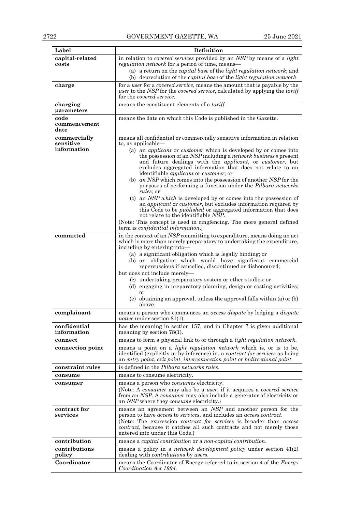| Label                       | <b>Definition</b>                                                                                                                                                                                                                                                                                                                                                                                                |  |  |  |  |
|-----------------------------|------------------------------------------------------------------------------------------------------------------------------------------------------------------------------------------------------------------------------------------------------------------------------------------------------------------------------------------------------------------------------------------------------------------|--|--|--|--|
| capital-related             | in relation to <i>covered services</i> provided by an NSP by means of a <i>light</i>                                                                                                                                                                                                                                                                                                                             |  |  |  |  |
| costs                       | <i>regulation network</i> for a period of time, means—                                                                                                                                                                                                                                                                                                                                                           |  |  |  |  |
|                             | (a) a return on the <i>capital base</i> of the <i>light regulation network</i> ; and<br>(b) depreciation of the <i>capital base</i> of the <i>light regulation network</i> .                                                                                                                                                                                                                                     |  |  |  |  |
| charge                      | for a <i>user</i> for a <i>covered service</i> , means the amount that is payable by the                                                                                                                                                                                                                                                                                                                         |  |  |  |  |
|                             | <i>user</i> to the <i>NSP</i> for the <i>covered service</i> , calculated by applying the <i>tariff</i><br>for the <i>covered service</i> .                                                                                                                                                                                                                                                                      |  |  |  |  |
| charging                    |                                                                                                                                                                                                                                                                                                                                                                                                                  |  |  |  |  |
| parameters                  | means the constituent elements of a <i>tariff</i> .                                                                                                                                                                                                                                                                                                                                                              |  |  |  |  |
| code                        | means the date on which this Code is published in the Gazette.                                                                                                                                                                                                                                                                                                                                                   |  |  |  |  |
| commencement<br>date        |                                                                                                                                                                                                                                                                                                                                                                                                                  |  |  |  |  |
| commercially                | means all confidential or commercially sensitive information in relation                                                                                                                                                                                                                                                                                                                                         |  |  |  |  |
| sensitive<br>information    | to, as applicable—<br>(a) an <i>applicant</i> or <i>customer</i> which is developed by or comes into                                                                                                                                                                                                                                                                                                             |  |  |  |  |
|                             | the possession of an NSP including a <i>network business's</i> present<br>and future dealings with the <i>applicant</i> , or <i>customer</i> , but<br>excludes aggregated information that does not relate to an<br>identifiable <i>applicant</i> or <i>customer</i> ; or<br>(b) an NSP which comes into the possession of another $NSP$ for the<br>purposes of performing a function under the Pilbara networks |  |  |  |  |
|                             | <i>rules</i> ; or<br>(c) an $NSP$ which is developed by or comes into the possession of<br>an <i>applicant</i> or <i>customer</i> , but excludes information required by<br>this Code to be <i>published</i> or aggregated information that does<br>not relate to the identifiable NSP.                                                                                                                          |  |  |  |  |
|                             | {Note: This concept is used in ringfencing. The more general defined<br>term is <i>confidential information</i> .}                                                                                                                                                                                                                                                                                               |  |  |  |  |
| committed                   | in the context of an NSP committing to expenditure, means doing an act<br>which is more than merely preparatory to undertaking the expenditure,<br>including by entering into-                                                                                                                                                                                                                                   |  |  |  |  |
|                             | (a) a significant obligation which is legally binding; or<br>(b) an obligation which would have significant commercial<br>repercussions if cancelled, discontinued or dishonoured;                                                                                                                                                                                                                               |  |  |  |  |
|                             | but does not include merely-<br>(c) undertaking preparatory system or other studies; or<br>(d) engaging in preparatory planning, design or costing activities;<br>or<br>(e) obtaining an approval, unless the approval falls within (a) or (b)                                                                                                                                                                   |  |  |  |  |
|                             | above.                                                                                                                                                                                                                                                                                                                                                                                                           |  |  |  |  |
| complainant                 | means a person who commences an <i>access dispute</i> by lodging a <i>dispute</i><br>notice under section $81(1)$ .                                                                                                                                                                                                                                                                                              |  |  |  |  |
| confidential<br>information | has the meaning in section 157, and in Chapter 7 is given additional<br>meaning by section $78(1)$ .                                                                                                                                                                                                                                                                                                             |  |  |  |  |
| connect                     | means to form a physical link to or through a <i>light regulation network</i> .                                                                                                                                                                                                                                                                                                                                  |  |  |  |  |
| connection point            | means a point on a <i>light regulation network</i> which is, or is to be,<br>identified (explicitly or by inference) in, a <i>contract for services</i> as being<br>an entry point, exit point, interconnection point or bidirectional point.                                                                                                                                                                    |  |  |  |  |
| constraint rules            | is defined in the Pilbara networks rules.                                                                                                                                                                                                                                                                                                                                                                        |  |  |  |  |
| consume                     | means to consume electricity.                                                                                                                                                                                                                                                                                                                                                                                    |  |  |  |  |
| consumer                    | means a person who <i>consumes</i> electricity.                                                                                                                                                                                                                                                                                                                                                                  |  |  |  |  |
|                             | {Note: A consumer may also be a user, if it acquires a covered service<br>from an NSP. A consumer may also include a generator of electricity or<br>an NSP where they consume electricity.}                                                                                                                                                                                                                      |  |  |  |  |
| contract for<br>services    | means an agreement between an NSP and another person for the<br>person to have <i>access</i> to <i>services</i> , and includes an <i>access contract</i> .<br>{Note: The expression <i>contract for services</i> is broader than <i>access</i><br>contract, because it catches all such contracts and not merely those<br>entered into under this Code.                                                          |  |  |  |  |
| contribution                | means a <i>capital contribution</i> or a <i>non-capital contribution</i> .                                                                                                                                                                                                                                                                                                                                       |  |  |  |  |
| contributions<br>policy     | means a policy in a <i>network development policy</i> under section 41(2)<br>dealing with <i>contributions</i> by <i>users</i> .                                                                                                                                                                                                                                                                                 |  |  |  |  |
| Coordinator                 | means the Coordinator of Energy referred to in section 4 of the <i>Energy</i><br>Coordination Act 1994.                                                                                                                                                                                                                                                                                                          |  |  |  |  |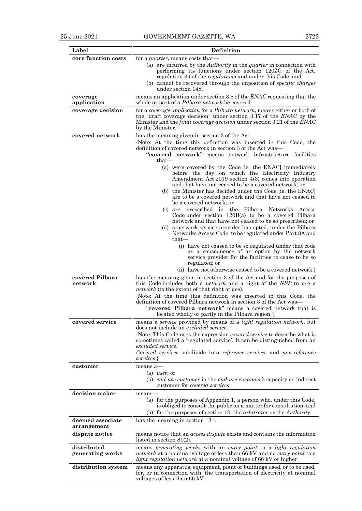| Label                           | <b>Definition</b>                                                                                                                                                                                                                                                                                                                                                                                                                                                                                           |  |  |  |
|---------------------------------|-------------------------------------------------------------------------------------------------------------------------------------------------------------------------------------------------------------------------------------------------------------------------------------------------------------------------------------------------------------------------------------------------------------------------------------------------------------------------------------------------------------|--|--|--|
| core function costs             | for a <i>quarter</i> , means costs that—                                                                                                                                                                                                                                                                                                                                                                                                                                                                    |  |  |  |
|                                 | (a) are incurred by the <i>Authority</i> in the <i>quarter</i> in connection with<br>performing its functions under section 120ZG of the Act,<br>regulation 34 of the <i>regulations</i> and under this Code; and<br>(b) cannot be recovered through the imposition of <i>specific charges</i>                                                                                                                                                                                                              |  |  |  |
| coverage                        | under section 148.<br>means an application under section 3.8 of the <i>ENAC</i> requesting that the                                                                                                                                                                                                                                                                                                                                                                                                         |  |  |  |
| application                     | whole or part of a <i>Pilbara network</i> be covered.                                                                                                                                                                                                                                                                                                                                                                                                                                                       |  |  |  |
| coverage decision               | for a coverage application for a Pilbara network, means either or both of<br>the "draft coverage decision" under section 3.17 of the ENAC by the<br>Minister and the <i>final coverage decision</i> under section 3.21 of the <i>ENAC</i><br>by the Minister.                                                                                                                                                                                                                                               |  |  |  |
| covered network                 | has the meaning given in section 3 of the Act.<br>{Note: At the time this definition was inserted in this Code, the<br>definition of covered network in section 3 of the Act was—<br>"covered network" means network infrastructure facilities                                                                                                                                                                                                                                                              |  |  |  |
|                                 | $that-$<br>(a) were covered by the Code [ie. the ENAC] immediately<br>before the day on which the Electricity Industry<br>Amendment Act 2019 section 4(3) comes into operation<br>and that have not ceased to be a covered network; or<br>(b) the Minister has decided under the Code [ie. the ENAC]<br>are to be a covered network and that have not ceased to<br>be a covered network: or<br>(c) are prescribed in the Pilbara Networks<br>Access<br>Code under section $120B(a)$ to be a covered Pilbara |  |  |  |
|                                 | network and that have not ceased to be so prescribed; or<br>(d) a network service provider has opted, under the Pilbara<br>Networks Access Code, to be regulated under Part 8A and<br>$that-$<br>(i) have not ceased to be so regulated under that code<br>as a consequence of an option by the network<br>service provider for the facilities to cease to be so<br>regulated; or                                                                                                                           |  |  |  |
|                                 | (ii) have not otherwise ceased to be a covered network.}                                                                                                                                                                                                                                                                                                                                                                                                                                                    |  |  |  |
| covered Pilbara<br>network      | has the meaning given in section 3 of the Act and for the purposes of<br>this Code includes both a <i>network</i> and a right of the NSP to use a<br><i>network</i> (to the extent of that right of use).<br>{Note: At the time this definition was inserted in this Code, the<br>definition of covered Pilbara network in section 3 of the Act was—<br>"covered Pilbara network" means a covered network that is<br>located wholly or partly in the Pilbara region.                                        |  |  |  |
| covered service                 | means a service provided by means of a light regulation network, but                                                                                                                                                                                                                                                                                                                                                                                                                                        |  |  |  |
|                                 | does not include an <i>excluded service</i> .<br>{Note: This Code uses the expression <i>covered service</i> to describe what is<br>sometimes called a 'regulated service'. It can be distinguished from an<br>excluded service.<br>Covered services subdivide into reference services and non-reference<br>services.                                                                                                                                                                                       |  |  |  |
| customer                        | means a-                                                                                                                                                                                                                                                                                                                                                                                                                                                                                                    |  |  |  |
|                                 | (a) <i>user</i> ; or<br>(b) end-use customer in the end-use customer's capacity as indirect<br>customer for <i>covered services</i> .                                                                                                                                                                                                                                                                                                                                                                       |  |  |  |
| decision maker                  | means-<br>(a) for the purposes of Appendix 1, a person who, under this Code,<br>is obliged to consult the public on a matter for consultation; and<br>(b) for the purposes of section 10, the <i>arbitrator</i> or the <i>Authority</i> .                                                                                                                                                                                                                                                                   |  |  |  |
| deemed associate<br>arrangement | has the meaning in section 131.                                                                                                                                                                                                                                                                                                                                                                                                                                                                             |  |  |  |
| dispute notice                  | means notice that an <i>access dispute</i> exists and contains the information<br>listed in section $81(2)$ .                                                                                                                                                                                                                                                                                                                                                                                               |  |  |  |
| distributed<br>generating works | means generating works with an entry point to a light regulation<br>network at a nominal voltage of less than 66 kV and no entry point to a<br><i>light regulation network</i> at a nominal voltage of 66 kV or higher.                                                                                                                                                                                                                                                                                     |  |  |  |
| distribution system             | means any apparatus, equipment, plant or buildings used, or to be used,<br>for, or in connection with, the transportation of electricity at nominal<br>voltages of less than 66 kV.                                                                                                                                                                                                                                                                                                                         |  |  |  |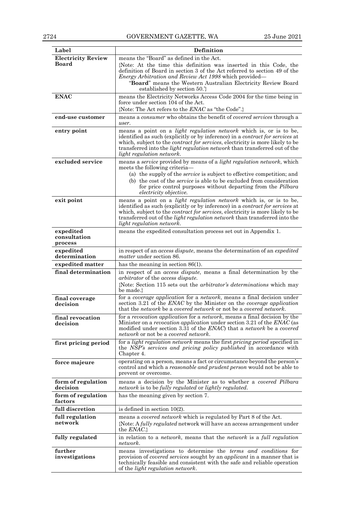| Label                                | Definition                                                                                                                                                                                                                                                                                                                                                                  |  |  |  |
|--------------------------------------|-----------------------------------------------------------------------------------------------------------------------------------------------------------------------------------------------------------------------------------------------------------------------------------------------------------------------------------------------------------------------------|--|--|--|
| <b>Electricity Review</b><br>Board   | means the "Board" as defined in the Act.<br>{Note: At the time this definition was inserted in this Code, the                                                                                                                                                                                                                                                               |  |  |  |
|                                      | definition of Board in section 3 of the Act referred to section 49 of the<br>Energy Arbitration and Review Act 1998 which provided—<br>"Board" means the Western Australian Electricity Review Board<br>established by section 50. <sup>2</sup>                                                                                                                             |  |  |  |
| <b>ENAC</b>                          | means the Electricity Networks Access Code 2004 for the time being in<br>force under section 104 of the Act.<br>{Note: The Act refers to the ENAC as "the Code".}                                                                                                                                                                                                           |  |  |  |
| end-use customer                     | means a consumer who obtains the benefit of covered services through a<br>user.                                                                                                                                                                                                                                                                                             |  |  |  |
| entry point                          | means a point on a <i>light regulation network</i> which is, or is to be,<br>identified as such (explicitly or by inference) in a <i>contract for services</i> at<br>which, subject to the <i>contract for services</i> , electricity is more likely to be<br>transferred into the <i>light regulation network</i> than transferred out of the<br>light regulation network. |  |  |  |
| excluded service                     | means a service provided by means of a light regulation network, which<br>meets the following criteria-<br>(a) the supply of the <i>service</i> is subject to effective competition; and<br>(b) the cost of the <i>service</i> is able to be excluded from consideration<br>for price control purposes without departing from the Pilbara<br>electricity objective.         |  |  |  |
| exit point                           | means a point on a <i>light regulation network</i> which is, or is to be,<br>identified as such (explicitly or by inference) in a <i>contract for services</i> at<br>which, subject to the <i>contract for services</i> , electricity is more likely to be<br>transferred out of the <i>light regulation network</i> than transferred into the<br>light regulation network. |  |  |  |
| expedited<br>consultation<br>process | means the expedited consultation process set out in Appendix 1.                                                                                                                                                                                                                                                                                                             |  |  |  |
| expedited<br>determination           | in respect of an <i>access dispute</i> , means the determination of an <i>expedited</i><br><i>matter</i> under section 86.                                                                                                                                                                                                                                                  |  |  |  |
| expedited matter                     | has the meaning in section $86(1)$ .                                                                                                                                                                                                                                                                                                                                        |  |  |  |
| final determination                  | in respect of an <i>access dispute</i> , means a final determination by the<br><i>arbitrator</i> of the <i>access dispute</i> .<br>{Note: Section 115 sets out the <i>arbitrator's determinations</i> which may<br>be made.                                                                                                                                                 |  |  |  |
| final coverage<br>decision           | for a coverage application for a network, means a final decision under<br>section 3.21 of the <i>ENAC</i> by the Minister on the <i>coverage application</i><br>that the network be a covered network or not be a covered network.                                                                                                                                          |  |  |  |
| final revocation<br>decision         | for a revocation application for a network, means a final decision by the<br>Minister on a <i>revocation application</i> under section 3.21 of the <i>ENAC</i> (as<br>modified under section 3.31 of the <i>ENAC</i> ) that a <i>network</i> be a <i>covered</i><br><i>network</i> or not be a <i>covered network</i> .                                                     |  |  |  |
| first pricing period                 | for a <i>light regulation network</i> means the first <i>pricing period</i> specified in<br>the NSP's services and pricing policy published in accordance with<br>Chapter 4.                                                                                                                                                                                                |  |  |  |
| force majeure                        | operating on a person, means a fact or circumstance beyond the person's<br>control and which a <i>reasonable and prudent person</i> would not be able to<br>prevent or overcome.                                                                                                                                                                                            |  |  |  |
| form of regulation<br>decision       | means a decision by the Minister as to whether a <i>covered Pilbara</i><br>network is to be fully regulated or lightly regulated.                                                                                                                                                                                                                                           |  |  |  |
| form of regulation<br>factors        | has the meaning given by section 7.                                                                                                                                                                                                                                                                                                                                         |  |  |  |
| full discretion                      | is defined in section $10(2)$ .                                                                                                                                                                                                                                                                                                                                             |  |  |  |
| full regulation<br>network           | means a covered network which is regulated by Part 8 of the Act.<br>{Note: A fully regulated network will have an access arrangement under<br>the $ENAC$ .                                                                                                                                                                                                                  |  |  |  |
| fully regulated                      | in relation to a <i>network</i> , means that the <i>network</i> is a <i>full regulation</i><br>network.                                                                                                                                                                                                                                                                     |  |  |  |
| further<br>investigations            | means investigations to determine the <i>terms</i> and conditions for<br>provision of <i>covered services</i> sought by an <i>applicant</i> in a manner that is<br>technically feasible and consistent with the safe and reliable operation<br>of the <i>light regulation network</i> .                                                                                     |  |  |  |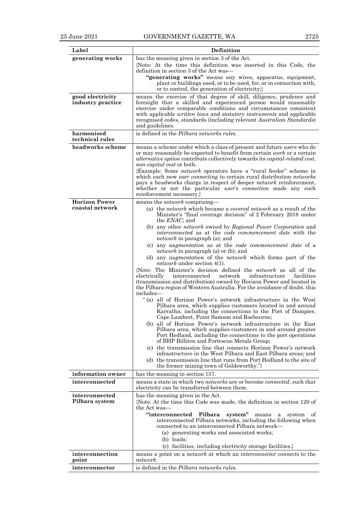| Label                                   | Definition                                                                                                                                                                                                                                 |  |  |  |  |
|-----------------------------------------|--------------------------------------------------------------------------------------------------------------------------------------------------------------------------------------------------------------------------------------------|--|--|--|--|
| generating works                        | has the meaning given in section 3 of the Act.                                                                                                                                                                                             |  |  |  |  |
|                                         | {Note: At the time this definition was inserted in this Code, the                                                                                                                                                                          |  |  |  |  |
|                                         | definition in section 3 of the Act was—<br>"generating works" means any wires, apparatus, equipment,                                                                                                                                       |  |  |  |  |
|                                         | plant or buildings used, or to be used, for, or in connection with,                                                                                                                                                                        |  |  |  |  |
|                                         | or to control, the generation of electricity;                                                                                                                                                                                              |  |  |  |  |
| good electricity<br>industry practice   | means the exercise of that degree of skill, diligence, prudence and<br>foresight that a skilled and experienced person would reasonably                                                                                                    |  |  |  |  |
|                                         | exercise under comparable conditions and circumstances consistent                                                                                                                                                                          |  |  |  |  |
|                                         | with applicable <i>written laws</i> and <i>statutory instruments</i> and applicable<br>recognised codes, standards (including relevant Australian Standards)                                                                               |  |  |  |  |
|                                         | and guidelines.                                                                                                                                                                                                                            |  |  |  |  |
| harmonised<br>technical rules           | is defined in the Pilbara networks rules.                                                                                                                                                                                                  |  |  |  |  |
| headworks scheme                        | means a scheme under which a class of present and future users who do                                                                                                                                                                      |  |  |  |  |
|                                         | or may reasonably be expected to benefit from certain <i>work</i> or a certain<br><i>alternative option</i> contribute collectively towards its <i>capital-related cost</i> ,<br><i>non-capital cost</i> or both.                          |  |  |  |  |
|                                         | {Example: Some <i>network</i> operators have a "rural feeder" scheme in                                                                                                                                                                    |  |  |  |  |
|                                         | which each new user connecting to certain rural distribution networks<br>pays a headworks charge in respect of deeper <i>network</i> reinforcement,                                                                                        |  |  |  |  |
|                                         | whether or not the particular <i>user's connection</i> made any such                                                                                                                                                                       |  |  |  |  |
|                                         | reinforcement necessary.                                                                                                                                                                                                                   |  |  |  |  |
| <b>Horizon Power</b><br>coastal network | means the <i>network</i> comprising-<br>(a) the <i>network</i> which became a <i>covered network</i> as a result of the                                                                                                                    |  |  |  |  |
|                                         | Minister's "final coverage decision" of 2 February 2018 under<br>the <i>ENAC</i> ; and                                                                                                                                                     |  |  |  |  |
|                                         | (b) any other <i>network</i> owned by <i>Regional Power Corporation</i> and<br><i>interconnected</i> as at the <i>code commencement date</i> with the<br><i>network</i> in paragraph (a); and                                              |  |  |  |  |
|                                         | (c) any <i>augmentation</i> as at the code commencement date of a<br><i>network</i> in paragraph (a) or (b); and                                                                                                                           |  |  |  |  |
|                                         | (d) any <i>augmentation</i> of the <i>network</i> which forms part of the<br><i>network</i> under section 4(1).                                                                                                                            |  |  |  |  |
|                                         | {Note: The Minister's decision defined the <i>network</i> as all of the<br>infrastructure<br>facilities<br>electrically<br>interconnected<br>network                                                                                       |  |  |  |  |
|                                         | (transmission and distribution) owned by Horizon Power and located in<br>the Pilbara region of Western Australia. For the avoidance of doubt, this<br>includes—                                                                            |  |  |  |  |
|                                         | "(a) all of Horizon Power's network infrastructure in the West<br>Pilbara area, which supplies customers located in and around<br>Karratha, including the connections to the Port of Dampier,<br>Cape Lambert, Point Samson and Roebourne; |  |  |  |  |
|                                         | (b) all of Horizon Power's network infrastructure in the East<br>Pilbara area, which supplies customers in and around greater<br>Port Hedland, including the connections to the port operations                                            |  |  |  |  |
|                                         | of BHP Billiton and Fortescue Metals Group;<br>(c) the transmission line that connects Horizon Power's network                                                                                                                             |  |  |  |  |
|                                         | infrastructure in the West Pilbara and East Pilbara areas; and                                                                                                                                                                             |  |  |  |  |
|                                         | (d) the transmission line that runs from Port Hedland to the site of<br>the former mining town of Goldsworthy."}                                                                                                                           |  |  |  |  |
| information owner                       | has the meaning in section 157.                                                                                                                                                                                                            |  |  |  |  |
| interconnected                          | means a state in which two <i>networks</i> are or become <i>connected</i> , such that<br>electricity can be transferred between them.                                                                                                      |  |  |  |  |
| interconnected<br>Pilbara system        | has the meaning given in the Act.<br>{Note: At the time this Code was made, the definition in section 120 of<br>the Act was—                                                                                                               |  |  |  |  |
|                                         | "interconnected Pilbara<br>system" means<br>system<br>a<br>οf<br>interconnected Pilbara networks, including the following when<br>connected to an interconnected Pilbara network—                                                          |  |  |  |  |
|                                         | (a) generating works and associated works;                                                                                                                                                                                                 |  |  |  |  |
|                                         | $(b)$ loads;<br>(c) facilities, including electricity storage facilities.                                                                                                                                                                  |  |  |  |  |
| interconnection<br>point                | means a point on a <i>network</i> at which an <i>interconnector connects</i> to the<br>network.                                                                                                                                            |  |  |  |  |
| interconnector                          | is defined in the Pilbara networks rules.                                                                                                                                                                                                  |  |  |  |  |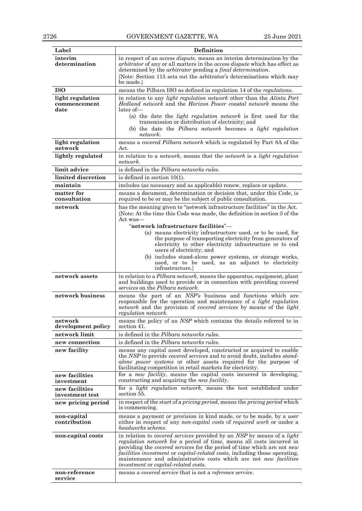| Label                                    | <b>Definition</b>                                                                                                                                                                                                                                                                                                                                                                                                           |  |  |  |  |
|------------------------------------------|-----------------------------------------------------------------------------------------------------------------------------------------------------------------------------------------------------------------------------------------------------------------------------------------------------------------------------------------------------------------------------------------------------------------------------|--|--|--|--|
| interim<br>determination                 | in respect of an <i>access dispute</i> , means an interim determination by the<br><i>arbitrator</i> of any or all matters in the <i>access dispute</i> which has effect as<br>determined by the <i>arbitrator</i> pending a <i>final determination</i> .<br>{Note: Section 115 sets out the arbitrator's determinations which may<br>be made.                                                                               |  |  |  |  |
| <b>ISO</b>                               | means the Pilbara ISO as defined in regulation 14 of the regulations.                                                                                                                                                                                                                                                                                                                                                       |  |  |  |  |
| light regulation<br>commencement<br>date | in relation to any light regulation network other than the Alinta Port<br><i>Hedland network</i> and the <i>Horizon Power coastal network</i> means the<br>$later of-$                                                                                                                                                                                                                                                      |  |  |  |  |
|                                          | (a) the date the <i>light regulation network</i> is first used for the<br>transmission or distribution of electricity; and<br>(b) the date the Pilbara network becomes a light regulation<br>network.                                                                                                                                                                                                                       |  |  |  |  |
| light regulation<br>network              | means a covered Pilbara network which is regulated by Part 8A of the<br>Act.                                                                                                                                                                                                                                                                                                                                                |  |  |  |  |
| lightly regulated                        | in relation to a <i>network</i> , means that the <i>network</i> is a <i>light regulation</i><br>network.                                                                                                                                                                                                                                                                                                                    |  |  |  |  |
| limit advice                             | is defined in the <i>Pilbara networks rules</i> .                                                                                                                                                                                                                                                                                                                                                                           |  |  |  |  |
| limited discretion                       | is defined in section $10(1)$ .                                                                                                                                                                                                                                                                                                                                                                                             |  |  |  |  |
| maintain                                 | includes (as necessary and as applicable) renew, replace or update.                                                                                                                                                                                                                                                                                                                                                         |  |  |  |  |
| matter for<br>consultation               | means a document, determination or decision that, under this Code, is<br>required to be or may be the subject of public consultation.                                                                                                                                                                                                                                                                                       |  |  |  |  |
| network                                  | has the meaning given to "network infrastructure facilities" in the Act.<br>{Note: At the time this Code was made, the definition in section 3 of the<br>Act was—                                                                                                                                                                                                                                                           |  |  |  |  |
|                                          | "network infrastructure facilities"—<br>(a) means electricity infrastructure used, or to be used, for<br>the purpose of transporting electricity from generators of<br>electricity to other electricity infrastructure or to end<br>users of electricity; and<br>(b) includes stand-alone power systems, or storage works,<br>used, or to be used, as an adjunct to electricity<br>infrastructure.}                         |  |  |  |  |
| network assets                           | in relation to a <i>Pilbara network</i> , means the apparatus, equipment, plant<br>and buildings used to provide or in connection with providing covered<br>services on the Pilbara network.                                                                                                                                                                                                                                |  |  |  |  |
| network business                         | means the part of an NSP's business and functions which are<br>responsible for the operation and maintenance of a <i>light regulation</i><br>network and the provision of covered services by means of the light<br>regulation network.                                                                                                                                                                                     |  |  |  |  |
| network<br>development policy            | means the policy of an NSP which contains the details referred to in<br>section 41.                                                                                                                                                                                                                                                                                                                                         |  |  |  |  |
| network limit                            | is defined in the Pilbara networks rules.                                                                                                                                                                                                                                                                                                                                                                                   |  |  |  |  |
| new connection                           | is defined in the <i>Pilbara networks rules</i> .                                                                                                                                                                                                                                                                                                                                                                           |  |  |  |  |
| new facility                             | means any capital asset developed, constructed or acquired to enable<br>the NSP to provide <i>covered services</i> and to avoid doubt, includes <i>stand</i> -<br>alone power systems or other assets required for the purpose of<br>facilitating competition in retail markets for electricity.                                                                                                                            |  |  |  |  |
| new facilities<br>investment             | for a new facility, means the capital costs incurred in developing,<br>constructing and acquiring the <i>new facility</i> .                                                                                                                                                                                                                                                                                                 |  |  |  |  |
| new facilities<br>investment test        | for a <i>light regulation network</i> , means the test established under<br>section 55.                                                                                                                                                                                                                                                                                                                                     |  |  |  |  |
| new pricing period                       | in respect of the start of a pricing period, means the pricing period which<br>is commencing.                                                                                                                                                                                                                                                                                                                               |  |  |  |  |
| non-capital<br>contribution              | means a payment or provision in kind made, or to be made, by a user<br>either in respect of any <i>non-capital costs</i> of <i>required work</i> or under a<br>headworks scheme.                                                                                                                                                                                                                                            |  |  |  |  |
| non-capital costs                        | in relation to covered services provided by an NSP by means of a light<br><i>regulation network</i> for a period of time, means all costs incurred in<br>providing the covered services for the period of time which are not new<br>facilities investment or capital-related costs, including those operating,<br>maintenance and administrative costs which are not new facilities<br>investment or capital-related costs. |  |  |  |  |
| non-reference<br>service                 | means a covered service that is not a reference service.                                                                                                                                                                                                                                                                                                                                                                    |  |  |  |  |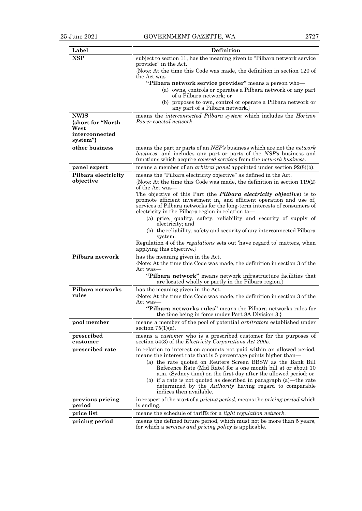| Label                     | <b>Definition</b>                                                                                                                                       |  |  |  |
|---------------------------|---------------------------------------------------------------------------------------------------------------------------------------------------------|--|--|--|
| <b>NSP</b>                | subject to section 11, has the meaning given to "Pilbara network service"                                                                               |  |  |  |
|                           | provider" in the Act.                                                                                                                                   |  |  |  |
|                           | {Note: At the time this Code was made, the definition in section 120 of<br>the Act was—                                                                 |  |  |  |
|                           | "Pilbara network service provider" means a person who-                                                                                                  |  |  |  |
|                           | (a) owns, controls or operates a Pilbara network or any part<br>of a Pilbara network; or                                                                |  |  |  |
|                           | (b) proposes to own, control or operate a Pilbara network or<br>any part of a Pilbara network.}                                                         |  |  |  |
| <b>NWIS</b>               | means the <i>interconnected Pilbara system</i> which includes the <i>Horizon</i>                                                                        |  |  |  |
| {short for "North         | Power coastal network.                                                                                                                                  |  |  |  |
| West<br>interconnected    |                                                                                                                                                         |  |  |  |
| system"}                  |                                                                                                                                                         |  |  |  |
| other business            | means the part or parts of an NSP's business which are not the <i>network</i>                                                                           |  |  |  |
|                           | business, and includes any part or parts of the NSP's business and<br>functions which acquire <i>covered services</i> from the <i>network</i> business. |  |  |  |
| panel expert              | means a member of an <i>arbitral panel</i> appointed under section 92(8)(b).                                                                            |  |  |  |
| Pilbara electricity       | means the "Pilbara electricity objective" as defined in the Act.                                                                                        |  |  |  |
| objective                 | {Note: At the time this Code was made, the definition in section $119(2)$<br>of the Act was—                                                            |  |  |  |
|                           | The objective of this Part (the <i>Pilbara electricity objective</i> ) is to                                                                            |  |  |  |
|                           | promote efficient investment in, and efficient operation and use of,<br>services of Pilbara networks for the long-term interests of consumers of        |  |  |  |
|                           | electricity in the Pilbara region in relation to-                                                                                                       |  |  |  |
|                           | (a) price, quality, safety, reliability and security of supply of                                                                                       |  |  |  |
|                           | electricity; and<br>(b) the reliability, safety and security of any interconnected Pilbara                                                              |  |  |  |
|                           | system.                                                                                                                                                 |  |  |  |
|                           | Regulation 4 of the <i>regulations</i> sets out 'have regard to' matters, when<br>applying this objective.}                                             |  |  |  |
| Pilbara network           | has the meaning given in the Act.                                                                                                                       |  |  |  |
|                           | {Note: At the time this Code was made, the definition in section 3 of the                                                                               |  |  |  |
|                           | Act was—<br>"Pilbara network" means network infrastructure facilities that                                                                              |  |  |  |
|                           | are located wholly or partly in the Pilbara region.}                                                                                                    |  |  |  |
| Pilbara networks<br>rules | has the meaning given in the Act.                                                                                                                       |  |  |  |
|                           | {Note: At the time this Code was made, the definition in section 3 of the<br>Act was—                                                                   |  |  |  |
|                           | "Pilbara networks rules" means the Pilbara networks rules for                                                                                           |  |  |  |
|                           | the time being in force under Part 8A Division 3.                                                                                                       |  |  |  |
| pool member               | means a member of the pool of potential arbitrators established under<br>section $75(1)(a)$ .                                                           |  |  |  |
| prescribed<br>customer    | means a <i>customer</i> who is a prescribed customer for the purposes of<br>section 54(3) of the <i>Electricity</i> Corporations Act 2005.              |  |  |  |
| prescribed rate           | in relation to interest on amounts not paid within an allowed period,<br>means the interest rate that is 5 percentage points higher than—               |  |  |  |
|                           | (a) the rate quoted on Reuters Screen BBSW as the Bank Bill                                                                                             |  |  |  |
|                           | Reference Rate (Mid Rate) for a one month bill at or about 10<br>a.m. (Sydney time) on the first day after the allowed period; or                       |  |  |  |
|                           | (b) if a rate is not quoted as described in paragraph (a)—the rate                                                                                      |  |  |  |
|                           | determined by the <i>Authority</i> having regard to comparable<br>indices then available.                                                               |  |  |  |
| previous pricing          | in respect of the start of a pricing period, means the pricing period which                                                                             |  |  |  |
| period                    | is ending.                                                                                                                                              |  |  |  |
| price list                | means the schedule of tariffs for a light regulation network.                                                                                           |  |  |  |
| pricing period            | means the defined future period, which must not be more than 5 years,<br>for which a <i>services and pricing policy</i> is applicable.                  |  |  |  |
|                           |                                                                                                                                                         |  |  |  |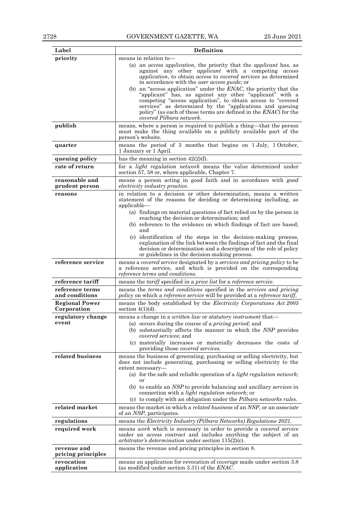| Label                                | Definition                                                                                                                                                                                                                                                                                                                                                           |  |  |  |
|--------------------------------------|----------------------------------------------------------------------------------------------------------------------------------------------------------------------------------------------------------------------------------------------------------------------------------------------------------------------------------------------------------------------|--|--|--|
| priority                             | means in relation to-                                                                                                                                                                                                                                                                                                                                                |  |  |  |
|                                      | (a) an <i>access application</i> , the priority that the <i>applicant</i> has, as<br>against any other <i>applicant</i> with a competing access<br>application, to obtain access to covered services as determined<br>in accordance with the user access guide; or                                                                                                   |  |  |  |
|                                      | (b) an "access application" under the $ENAC$ , the priority that the<br>"applicant" has, as against any other "applicant" with a<br>competing "access application", to obtain access to "covered<br>services" as determined by the "applications and queuing<br>policy" (as each of those terms are defined in the <i>ENAC</i> ) for the<br>covered Pilbara network. |  |  |  |
| publish                              | means, where a person is required to publish a thing—that the person<br>must make the thing available on a publicly available part of the<br>person's website.                                                                                                                                                                                                       |  |  |  |
| quarter                              | means the period of 3 months that begins on 1 July, 1 October,<br>1 January or 1 April.                                                                                                                                                                                                                                                                              |  |  |  |
| queuing policy                       | has the meaning in section $42(2)(f)$ .                                                                                                                                                                                                                                                                                                                              |  |  |  |
| rate of return                       | for a light regulation network means the value determined under<br>section 57, 58 or, where applicable, Chapter 7.                                                                                                                                                                                                                                                   |  |  |  |
| reasonable and<br>prudent person     | means a person acting in good faith and in accordance with good<br><i>electricity industry practice.</i>                                                                                                                                                                                                                                                             |  |  |  |
| reasons                              | in relation to a decision or other determination, means a written<br>statement of the reasons for deciding or determining including, as<br>applicable-                                                                                                                                                                                                               |  |  |  |
|                                      | (a) findings on material questions of fact relied on by the person in<br>reaching the decision or determination; and<br>(b) reference to the evidence on which findings of fact are based;<br>and                                                                                                                                                                    |  |  |  |
|                                      | (c) identification of the steps in the decision-making process,<br>explanation of the link between the findings of fact and the final<br>decision or determination and a description of the role of policy<br>or guidelines in the decision-making process.                                                                                                          |  |  |  |
| reference service                    | means a covered service designated by a services and pricing policy to be<br>a reference service, and which is provided on the corresponding<br>reference terms and conditions.                                                                                                                                                                                      |  |  |  |
| reference tariff                     | means the <i>tariff</i> specified in a <i>price list</i> for a <i>reference service</i> .                                                                                                                                                                                                                                                                            |  |  |  |
| reference terms<br>and conditions    | means the <i>terms</i> and <i>conditions</i> specified in the <i>services</i> and <i>pricing</i><br><i>policy</i> on which a <i>reference service</i> will be provided at a <i>reference tariff.</i>                                                                                                                                                                 |  |  |  |
| <b>Regional Power</b><br>Corporation | means the body established by the Electricity Corporations Act 2005<br>section $4(1)(d)$ .                                                                                                                                                                                                                                                                           |  |  |  |
| regulatory change<br>event           | means a change in a written law or statutory instrument that-<br>(a) occurs during the course of a <i>pricing period</i> ; and<br>(b) substantially affects the manner in which the NSP provides<br><i>covered services</i> ; and                                                                                                                                    |  |  |  |
|                                      | (c) materially increases or materially decreases the costs of<br>providing those covered services.                                                                                                                                                                                                                                                                   |  |  |  |
| related business                     | means the business of generating, purchasing or selling electricity, but<br>does not include generating, purchasing or selling electricity to the<br>extent necessary-<br>(a) for the safe and reliable operation of a <i>light regulation network</i> ;                                                                                                             |  |  |  |
|                                      | (b) to enable an NSP to provide balancing and ancillary services in<br>connection with a <i>light regulation network</i> ; or                                                                                                                                                                                                                                        |  |  |  |
| related market                       | (c) to comply with an obligation under the Pilbara networks rules.                                                                                                                                                                                                                                                                                                   |  |  |  |
|                                      | means the market in which a <i>related business</i> of an <i>NSP</i> , or an <i>associate</i><br>of an NSP, participates.                                                                                                                                                                                                                                            |  |  |  |
| regulations                          | means the Electricity Industry (Pilbara Networks) Regulations 2021.                                                                                                                                                                                                                                                                                                  |  |  |  |
| required work                        | means work which is necessary in order to provide a covered service<br>under an <i>access contract</i> and includes anything the subject of an<br>arbitrator's determination under section $115(2)(c)$ .                                                                                                                                                             |  |  |  |
| revenue and<br>pricing principles    | means the revenue and pricing principles in section 8.                                                                                                                                                                                                                                                                                                               |  |  |  |
| revocation<br>application            | means an application for revocation of <i>coverage</i> made under section 3.8<br>(as modified under section 3.31) of the ENAC.                                                                                                                                                                                                                                       |  |  |  |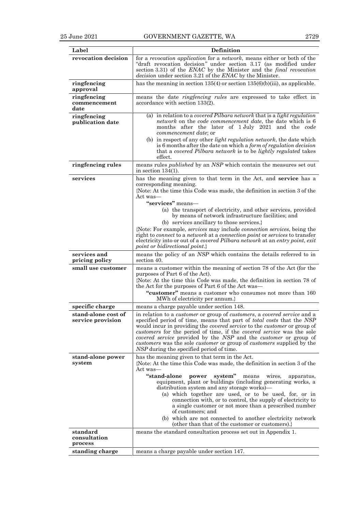| Label                                    | Definition                                                                                                                                                                                                                                                                                                                                                                                                                                                                                                                                                                           |  |  |  |
|------------------------------------------|--------------------------------------------------------------------------------------------------------------------------------------------------------------------------------------------------------------------------------------------------------------------------------------------------------------------------------------------------------------------------------------------------------------------------------------------------------------------------------------------------------------------------------------------------------------------------------------|--|--|--|
| revocation decision                      | for a revocation application for a network, means either or both of the<br>"draft revocation decision" under section 3.17 (as modified under<br>section 3.31) of the ENAC by the Minister and the final revocation<br>decision under section 3.21 of the ENAC by the Minister.                                                                                                                                                                                                                                                                                                       |  |  |  |
| ringfencing<br>approval                  | has the meaning in section $135(4)$ or section $135(6)(b)(iii)$ , as applicable.                                                                                                                                                                                                                                                                                                                                                                                                                                                                                                     |  |  |  |
| ringfencing<br>commencement<br>date      | means the date <i>ringfencing rules</i> are expressed to take effect in<br>accordance with section 133(2).                                                                                                                                                                                                                                                                                                                                                                                                                                                                           |  |  |  |
| ringfencing<br>publication date          | (a) in relation to a covered Pilbara network that is a light regulation<br>network on the code commencement date, the date which is 6<br>months after the later of 1 July 2021 and the code<br>commencement date; or                                                                                                                                                                                                                                                                                                                                                                 |  |  |  |
|                                          | (b) in respect of any other <i>light regulation network</i> , the date which<br>is 6 months after the date on which a form of regulation decision<br>that a covered Pilbara network is to be lightly regulated takes<br>effect.                                                                                                                                                                                                                                                                                                                                                      |  |  |  |
| ringfencing rules                        | means rules <i>published</i> by an NSP which contain the measures set out<br>in section $134(1)$ .                                                                                                                                                                                                                                                                                                                                                                                                                                                                                   |  |  |  |
| services                                 | has the meaning given to that term in the Act, and service has a<br>corresponding meaning.<br>{Note: At the time this Code was made, the definition in section 3 of the<br>Act was—                                                                                                                                                                                                                                                                                                                                                                                                  |  |  |  |
|                                          | "services" means—<br>(a) the transport of electricity, and other services, provided<br>by means of network infrastructure facilities; and                                                                                                                                                                                                                                                                                                                                                                                                                                            |  |  |  |
|                                          | (b) services ancillary to those services.}<br>{Note: For example, <i>services</i> may include <i>connection services</i> , being the<br>right to connect to a network at a connection point or services to transfer<br>electricity into or out of a covered Pilbara network at an entry point, exit<br>point or bidirectional point.                                                                                                                                                                                                                                                 |  |  |  |
| services and<br>pricing policy           | means the policy of an NSP which contains the details referred to in<br>section 40.                                                                                                                                                                                                                                                                                                                                                                                                                                                                                                  |  |  |  |
| small use customer                       | means a customer within the meaning of section 78 of the Act (for the<br>purposes of Part 6 of the Act).                                                                                                                                                                                                                                                                                                                                                                                                                                                                             |  |  |  |
|                                          | {Note: At the time this Code was made, the definition in section 78 of<br>the Act for the purposes of Part 6 of the Act was—                                                                                                                                                                                                                                                                                                                                                                                                                                                         |  |  |  |
|                                          | "customer" means a customer who consumes not more than 160<br>MWh of electricity per annum.}                                                                                                                                                                                                                                                                                                                                                                                                                                                                                         |  |  |  |
| specific charge                          | means a charge payable under section 148.                                                                                                                                                                                                                                                                                                                                                                                                                                                                                                                                            |  |  |  |
| stand-alone cost of<br>service provision | in relation to a <i>customer</i> or group of <i>customers</i> , a <i>covered service</i> and a<br>specified period of time, means that part of <i>total costs</i> that the NSP<br>would incur in providing the <i>covered service</i> to the <i>customer</i> or group of<br>customers for the period of time, if the covered service was the sole<br><i>covered service</i> provided by the NSP and the <i>customer</i> or group of<br><i>customers</i> was the sole <i>customer</i> or group of <i>customers</i> supplied by the<br><i>NSP</i> during the specified period of time. |  |  |  |
| stand-alone power<br>system              | has the meaning given to that term in the Act.<br>{Note: At the time this Code was made, the definition in section 3 of the<br>Act was—                                                                                                                                                                                                                                                                                                                                                                                                                                              |  |  |  |
|                                          | "stand-alone<br>system"<br>power<br>means<br>wires,<br>apparatus,<br>equipment, plant or buildings (including generating works, a<br>distribution system and any storage works)—                                                                                                                                                                                                                                                                                                                                                                                                     |  |  |  |
|                                          | (a) which together are used, or to be used, for, or in<br>connection with, or to control, the supply of electricity to<br>a single customer or not more than a prescribed number<br>of customers; and                                                                                                                                                                                                                                                                                                                                                                                |  |  |  |
|                                          | (b) which are not connected to another electricity network<br>(other than that of the customer or customers).}                                                                                                                                                                                                                                                                                                                                                                                                                                                                       |  |  |  |
| standard                                 | means the standard consultation process set out in Appendix 1.                                                                                                                                                                                                                                                                                                                                                                                                                                                                                                                       |  |  |  |
| consultation<br>process                  |                                                                                                                                                                                                                                                                                                                                                                                                                                                                                                                                                                                      |  |  |  |
| standing charge                          | means a charge payable under section 147.                                                                                                                                                                                                                                                                                                                                                                                                                                                                                                                                            |  |  |  |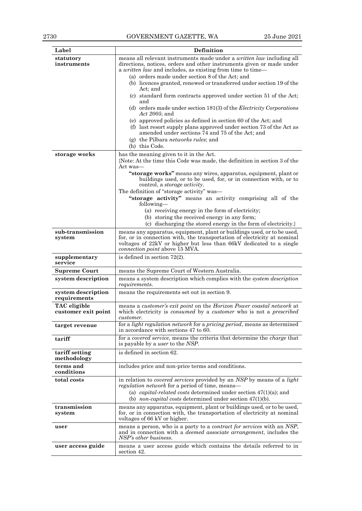| Label                              | Definition                                                                                                                                                                                                                                          |  |  |  |
|------------------------------------|-----------------------------------------------------------------------------------------------------------------------------------------------------------------------------------------------------------------------------------------------------|--|--|--|
| statutory                          | means all relevant instruments made under a written law including all                                                                                                                                                                               |  |  |  |
| instruments                        | directions, notices, orders and other instruments given or made under                                                                                                                                                                               |  |  |  |
|                                    | a <i>written law</i> and includes, as existing from time to time—                                                                                                                                                                                   |  |  |  |
|                                    | (a) orders made under section 8 of the Act; and                                                                                                                                                                                                     |  |  |  |
|                                    | (b) licences granted, renewed or transferred under section 19 of the<br>Act: and                                                                                                                                                                    |  |  |  |
|                                    | (c) standard form contracts approved under section 51 of the Act;<br>and                                                                                                                                                                            |  |  |  |
|                                    | (d) orders made under section $181(3)$ of the <i>Electricity Corporations</i><br>Act 2005; and                                                                                                                                                      |  |  |  |
|                                    | (e) approved policies as defined in section 60 of the Act; and<br>(f) last resort supply plans approved under section 73 of the Act as<br>amended under sections 74 and 75 of the Act; and<br>(g) the Pilbara networks rules; and<br>(h) this Code. |  |  |  |
|                                    |                                                                                                                                                                                                                                                     |  |  |  |
| storage works                      | has the meaning given to it in the Act.<br>{Note: At the time this Code was made, the definition in section 3 of the<br>Act was—                                                                                                                    |  |  |  |
|                                    | "storage works" means any wires, apparatus, equipment, plant or<br>buildings used, or to be used, for, or in connection with, or to<br>control, a <i>storage activity</i> .                                                                         |  |  |  |
|                                    | The definition of "storage activity" was—                                                                                                                                                                                                           |  |  |  |
|                                    | "storage activity" means an activity comprising all of the<br>following-                                                                                                                                                                            |  |  |  |
|                                    | (a) receiving energy in the form of electricity;                                                                                                                                                                                                    |  |  |  |
|                                    | (b) storing the received energy in any form;                                                                                                                                                                                                        |  |  |  |
|                                    | (c) discharging the stored energy in the form of electricity.                                                                                                                                                                                       |  |  |  |
| sub-transmission                   | means any apparatus, equipment, plant or buildings used, or to be used,                                                                                                                                                                             |  |  |  |
| system                             | for, or in connection with, the transportation of electricity at nominal<br>voltages of 22kV or higher but less than 66kV dedicated to a single<br>connection point above 15 MVA.                                                                   |  |  |  |
| supplementary<br>service           | is defined in section $72(2)$ .                                                                                                                                                                                                                     |  |  |  |
| <b>Supreme Court</b>               | means the Supreme Court of Western Australia.                                                                                                                                                                                                       |  |  |  |
| system description                 | means a system description which complies with the system description<br><i>requirements.</i>                                                                                                                                                       |  |  |  |
| system description<br>requirements | means the requirements set out in section 9.                                                                                                                                                                                                        |  |  |  |
| TAC eligible                       | means a customer's exit point on the Horizon Power coastal network at                                                                                                                                                                               |  |  |  |
| customer exit point                | which electricity is <i>consumed</i> by a <i>customer</i> who is not a <i>prescribed</i><br>customer.                                                                                                                                               |  |  |  |
| target revenue                     | for a <i>light regulation network</i> for a <i>pricing period</i> , means as determined<br>in accordance with sections 47 to 60.                                                                                                                    |  |  |  |
| tariff                             | for a covered service, means the criteria that determine the charge that<br>is payable by a user to the NSP.                                                                                                                                        |  |  |  |
| tariff setting<br>methodology      | is defined in section 62.                                                                                                                                                                                                                           |  |  |  |
| terms and<br>conditions            | includes price and non-price terms and conditions.                                                                                                                                                                                                  |  |  |  |
| total costs                        |                                                                                                                                                                                                                                                     |  |  |  |
|                                    | in relation to <i>covered services</i> provided by an NSP by means of a <i>light</i><br>regulation network for a period of time, means—                                                                                                             |  |  |  |
|                                    | (a) <i>capital-related costs</i> determined under section $47(1)(a)$ ; and<br>(b) <i>non-capital costs</i> determined under section $47(1)(b)$ .                                                                                                    |  |  |  |
| transmission<br>system             | means any apparatus, equipment, plant or buildings used, or to be used,<br>for, or in connection with, the transportation of electricity at nominal<br>voltages of 66 kV or higher.                                                                 |  |  |  |
| user                               | means a person, who is a party to a <i>contract for services</i> with an NSP,<br>and in connection with a <i>deemed associate arrangement</i> , includes the<br>NSP's other business.                                                               |  |  |  |
| user access guide                  | means a user access guide which contains the details referred to in<br>section 42.                                                                                                                                                                  |  |  |  |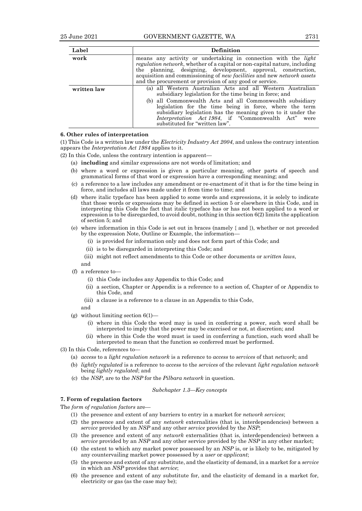| Label       | <b>Definition</b>                                                                                                                                                                                                                                                                                                                                                                                                 |
|-------------|-------------------------------------------------------------------------------------------------------------------------------------------------------------------------------------------------------------------------------------------------------------------------------------------------------------------------------------------------------------------------------------------------------------------|
| work        | means any activity or undertaking in connection with the light<br><i>regulation network</i> , whether of a capital or non-capital nature, including<br>the planning, designing, development, approval, construction,<br>acquisition and commissioning of <i>new facilities</i> and new <i>network</i> assets<br>and the procurement or provision of any good or service.                                          |
| written law | (a) all Western Australian Acts and all Western Australian<br>subsidiary legislation for the time being in force; and<br>(b) all Commonwealth Acts and all Commonwealth subsidiary<br>legislation for the time being in force, where the term<br>subsidiary legislation has the meaning given to it under the<br><i>Interpretation Act 1984</i> , if "Commonwealth Act"<br>were<br>substituted for "written law". |

#### **6. Other rules of interpretation**

(1) This Code is a written law under the *Electricity Industry Act 2004*, and unless the contrary intention appears the *Interpretation Act 1984* applies to it.

(2) In this Code, unless the contrary intention is apparent—

- (a) **including** and similar expressions are not words of limitation; and
- (b) where a word or expression is given a particular meaning, other parts of speech and grammatical forms of that word or expression have a corresponding meaning; and
- (c) a reference to a law includes any amendment or re-enactment of it that is for the time being in force, and includes all laws made under it from time to time; and
- (d) where italic typeface has been applied to some words and expressions, it is solely to indicate that those words or expressions may be defined in section 5 or elsewhere in this Code, and in interpreting this Code the fact that italic typeface has or has not been applied to a word or expression is to be disregarded, to avoid doubt, nothing in this section 6(2) limits the application of section 5; and
- (e) where information in this Code is set out in braces (namely { and }), whether or not preceded by the expression Note, Outline or Example, the information—
	- (i) is provided for information only and does not form part of this Code; and
	- (ii) is to be disregarded in interpreting this Code; and
	- (iii) might not reflect amendments to this Code or other documents or *written laws*,
	- and
- (f) a reference to—
	- (i) this Code includes any Appendix to this Code; and
	- (ii) a section, Chapter or Appendix is a reference to a section of, Chapter of or Appendix to this Code, and
	- (iii) a clause is a reference to a clause in an Appendix to this Code,

and

- (g) without limiting section  $6(1)$ 
	- (i) where in this Code the word may is used in conferring a power, such word shall be interpreted to imply that the power may be exercised or not, at discretion; and
	- (ii) where in this Code the word must is used in conferring a function, such word shall be interpreted to mean that the function so conferred must be performed.
- (3) In this Code, references to—
	- (a) *access* to a *light regulation network* is a reference to *access* to *services* of that *network*; and
	- (b) *lightly regulated* is a reference to *access* to the *services* of the relevant *light regulation network* being *lightly regulated*; and
	- (c) the *NSP*, are to the *NSP* for the *Pilbara network* in question.

### *Subchapter 1.3—Key concepts*

# **7. Form of regulation factors**

The *form of regulation factors* are—

- (1) the presence and extent of any barriers to entry in a market for *network services*;
- (2) the presence and extent of any *network* externalities (that is, interdependencies) between a *service* provided by an *NSP* and any other *service* provided by the *NSP*;
- (3) the presence and extent of any *network* externalities (that is, interdependencies) between a *service* provided by an *NSP* and any other service provided by the *NSP* in any other market;
- (4) the extent to which any market power possessed by an *NSP* is, or is likely to be, mitigated by any countervailing market power possessed by a *user* or *applicant*;
- (5) the presence and extent of any substitute, and the elasticity of demand, in a market for a *service* in which an *NSP* provides that *service*;
- (6) the presence and extent of any substitute for, and the elasticity of demand in a market for, electricity or gas (as the case may be);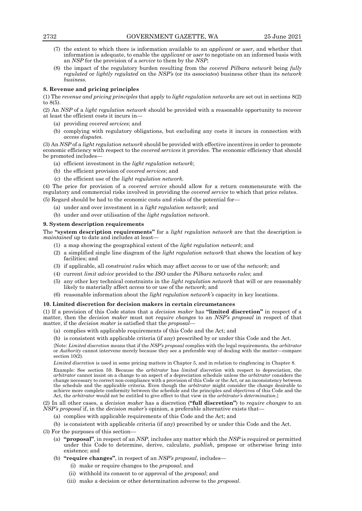- (7) the extent to which there is information available to an *applicant* or *user*, and whether that information is adequate, to enable the *applicant* or *user* to negotiate on an informed basis with an *NSP* for the provision of a *service* to them by the *NSP*;
- (8) the impact of the regulatory burden resulting from the *covered Pilbara network* being *fully regulated* or *lightly regulated* on the *NSP's* (or its *associates*) business other than its *network business*.

## **8. Revenue and pricing principles**

(1) The *revenue and pricing principles* that apply to *light regulation networks* are set out in sections 8(2) to 8(5).

(2) An *NSP* of a *light regulation network* should be provided with a reasonable opportunity to recover at least the efficient costs it incurs in—

- (a) providing *covered services*; and
- (b) complying with regulatory obligations, but excluding any costs it incurs in connection with *access disputes*.

(3) An *NSP* of a *light regulation network* should be provided with effective incentives in order to promote economic efficiency with respect to the *covered services* it provides. The economic efficiency that should be promoted includes—

- (a) efficient investment in the *light regulation network*;
- (b) the efficient provision of *covered services*; and
- (c) the efficient use of the *light regulation network.*

(4) The price for provision of a *covered service* should allow for a return commensurate with the regulatory and commercial risks involved in providing the *covered service* to which that price relates.

- (5) Regard should be had to the economic costs and risks of the potential for—
	- (a) under and over investment in a *light regulation network*; and
	- (b) under and over utilisation of the *light regulation network*.

## **9. System description requirements**

The **"system description requirements"** for a *light regulation network* are that the description is *maintained* up to date and includes at least—

- (1) a map showing the geographical extent of the *light regulation network*; and
- (2) a simplified single line diagram of the *light regulation network* that shows the location of key facilities; and
- (3) if applicable, all *constraint rules* which may affect *access* to or use of the *network*; and
- (4) current *limit advice* provided to the *ISO* under the *Pilbara networks rules*; and
- (5) any other key technical constraints in the *light regulation network* that will or are reasonably likely to materially affect *access* to or use of the *network*; and
- (6) reasonable information about the *light regulation network's* capacity in key locations.

#### **10. Limited discretion for decision makers in certain circumstances**

(1) If a provision of this Code states that a *decision maker* has **"limited discretion"** in respect of a matter, then the *decision maker* must not *require changes* to an *NSP's proposal* in respect of that matter, if the *decision maker* is satisfied that the *proposal*—

- (a) complies with applicable requirements of this Code and the Act; and
- (b) is consistent with applicable criteria (if any) prescribed by or under this Code and the Act.

{Note: *Limited discretion* means that if the *NSP's proposal* complies with the legal requirements, the *arbitrator* or *Authority* cannot intervene merely because they see a preferable way of dealing with the matter—compare section  $10(\dot{2})$ .

*Limited discretion* is used in some pricing matters in Chapter 5, and in relation to ringfencing in Chapter 8.

Example: See section 59. Because the *arbitrator* has *limited discretion* with respect to depreciation, the *arbitrator* cannot insist on a change to an aspect of a depreciation schedule unless the *arbitrator* considers the change necessary to correct non-compliance with a provision of this Code or the Act, or an inconsistency between the schedule and the applicable criteria. Even though the *arbitrator* might consider the change desirable to achieve more complete conformity between the schedule and the principles and objectives of this Code and the Act, the *arbitrator* would not be entitled to give effect to that view in the *arbitrator's determination*.}

(2) In all other cases, a *decision maker* has a discretion (**"full discretion"**) to *require changes* to an *NSP's proposal* if, in the *decision maker's* opinion, a preferable alternative exists that—

(a) complies with applicable requirements of this Code and the Act; and

(b) is consistent with applicable criteria (if any) prescribed by or under this Code and the Act.

(3) For the purposes of this section—

- (a) **"proposal"**, in respect of an *NSP*, includes any matter which the *NSP* is required or permitted under this Code to determine, derive, calculate, *publish*, propose or otherwise bring into existence; and
- (b) **"require changes"**, in respect of an *NSP's proposal*, includes—
	- (i) make or require changes to the *proposal*; and
	- (ii) withhold its consent to or approval of the *proposal*; and
	- (iii) make a decision or other determination adverse to the *proposal*.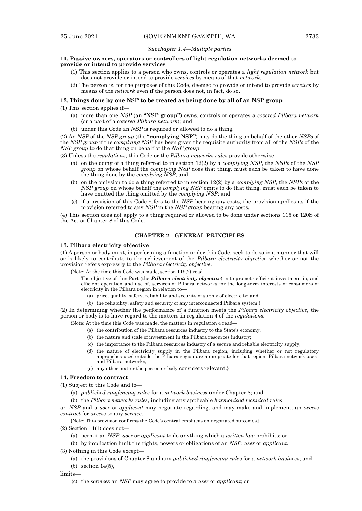# *Subchapter 1.4—Multiple parties*

#### **11. Passive owners, operators or controllers of light regulation networks deemed to provide or intend to provide services**

- (1) This section applies to a person who owns, controls or operates a *light regulation network* but does not provide or intend to provide *services* by means of that *network*.
- (2) The person is, for the purposes of this Code, deemed to provide or intend to provide *services* by means of the *network* even if the person does not, in fact, do so.

#### **12. Things done by one NSP to be treated as being done by all of an NSP group**

(1) This section applies if—

- (a) more than one *NSP* (an **"NSP group"**) owns, controls or operates a *covered Pilbara network* (or a part of a *covered Pilbara network*); and
- (b) under this Code an *NSP* is required or allowed to do a thing.

(2) An *NSP* of the *NSP group* (the **"complying NSP"**) may do the thing on behalf of the other *NSPs* of the *NSP group* if the *complying NSP* has been given the requisite authority from all of the *NSPs* of the *NSP group* to do that thing on behalf of the *NSP group*.

(3) Unless the *regulations*, this Code or the *Pilbara networks rules* provide otherwise—

- (a) on the doing of a thing referred to in section 12(2) by a *complying NSP*, the *NSPs* of the *NSP group* on whose behalf the *complying NSP* does that thing, must each be taken to have done the thing done by the *complying NSP*; and
- (b) on the omission to do a thing referred to in section 12(2) by a *complying NSP*, the *NSPs* of the *NSP group* on whose behalf the *complying NSP* omits to do that thing, must each be taken to have omitted the thing omitted by the *complying NSP*; and
- (c) if a provision of this Code refers to the *NSP* bearing any costs, the provision applies as if the provision referred to any *NSP* in the *NSP group* bearing any costs.

(4) This section does not apply to a thing required or allowed to be done under sections 115 or 120S of the Act or Chapter 8 of this Code.

# **CHAPTER 2—GENERAL PRINCIPLES**

#### **13. Pilbara electricity objective**

(1) A person or body must, in performing a function under this Code, seek to do so in a manner that will or is likely to contribute to the achievement of the *Pilbara electricity objective* whether or not the provision refers expressly to the *Pilbara electricity objective*.

{Note: At the time this Code was made, section 119(2) read—

The objective of this Part (the *Pilbara electricity objective*) is to promote efficient investment in, and efficient operation and use of, services of Pilbara networks for the long-term interests of consumers of electricity in the Pilbara region in relation to—

- (a) price, quality, safety, reliability and security of supply of electricity; and
- (b) the reliability, safety and security of any interconnected Pilbara system.}

(2) In determining whether the performance of a function meets the *Pilbara electricity objective*, the person or body is to have regard to the matters in regulation 4 of the *regulations.*

{Note: At the time this Code was made, the matters in regulation 4 read—

- (a) the contribution of the Pilbara resources industry to the State's economy;
- (b) the nature and scale of investment in the Pilbara resources industry;
- (c) the importance to the Pilbara resources industry of a secure and reliable electricity supply;
- (d) the nature of electricity supply in the Pilbara region, including whether or not regulatory approaches used outside the Pilbara region are appropriate for that region, Pilbara network users and Pilbara networks;
- (e) any other matter the person or body considers relevant.}

#### **14. Freedom to contract**

(1) Subject to this Code and to—

- (a) *published ringfencing rules* for a *network business* under Chapter 8; and
- (b) the *Pilbara networks rules*, including any applicable *harmonised technical rules*,

an *NSP* and a *user* or *applicant* may negotiate regarding, and may make and implement, an *access contract* for *access* to any *service*.

{Note: This provision confirms the Code's central emphasis on negotiated outcomes.}

 $(2)$  Section 14 $(1)$  does not-

(a) permit an *NSP*, *user* or *applicant* to do anything which a *written law* prohibits; or

(b) by implication limit the rights, powers or obligations of an *NSP*, *user* or *applicant*.

(3) Nothing in this Code except—

(a) the provisions of Chapter 8 and any *published ringfencing rules* for a *network business*; and

(b) section 14(5),

limits—

(c) the *services* an *NSP* may agree to provide to a *user* or *applicant*; or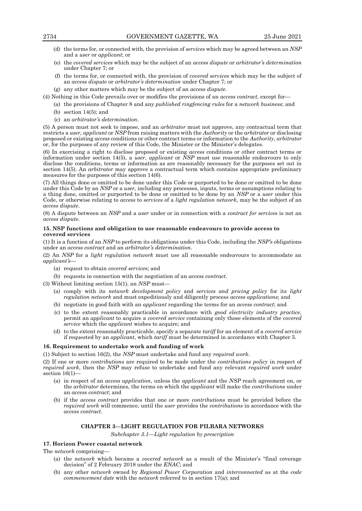- (d) the terms for, or connected with, the provision of *services* which may be agreed between an *NSP* and a *user* or *applicant*; or
- (e) the *covered services* which may be the subject of an *access dispute* or *arbitrator's determination* under Chapter 7; or
- (f) the terms for, or connected with, the provision of *covered services* which may be the subject of an *access dispute* or *arbitrator's determination* under Chapter 7; or
- (g) any other matters which may be the subject of an *access dispute*.

(4) Nothing in this Code prevails over or modifies the provisions of an *access contract,* except for—

- (a) the provisions of Chapter 8 and any *published ringfencing rules* for a *network business*; and
- (b) section  $14(5)$ ; and
- (c) an *arbitrator's determination*.

(5) A person must not seek to impose, and an *arbitrator* must not approve, any contractual term that restricts a *user, applicant* or *NSP* from raising matters with the *Authority* or the *arbitrator* or disclosing proposed or existing *access* conditions or other contract terms or information to the *Authority*, *arbitrator* or, for the purposes of any review of this Code, the Minister or the Minister's delegates.

(6) In exercising a right to disclose proposed or existing *access* conditions or other contract terms or information under section 14(5), a *user*, *applicant* or *NSP* must use reasonable endeavours to only disclose the conditions, terms or information as are reasonably necessary for the purposes set out in section 14(5). An *arbitrator* may approve a contractual term which contains appropriate preliminary measures for the purposes of this section 14(6).

(7) All things done or omitted to be done under this Code or purported to be done or omitted to be done under this Code by an *NSP* or a *user*, including any processes, inputs, terms or assumptions relating to a thing done, omitted or purported to be done or omitted to be done by an *NSP* or a *user* under this Code, or otherwise relating to *access* to *services* of a *light regulation network*, may be the subject of an *access dispute*.

(8) A dispute between an *NSP* and a *user* under or in connection with a *contract for services* is not an *access dispute*.

## **15. NSP functions and obligation to use reasonable endeavours to provide access to covered services**

(1) It is a function of an *NSP* to perform its obligations under this Code, including the *NSP's* obligations under an *access contract* and an *arbitrator's determination*.

(2) An *NSP* for a *light regulation network* must use all reasonable endeavours to accommodate an *applicant's*—

- (a) request to obtain *covered services*; and
- (b) requests in connection with the negotiation of an *access contract*.
- (3) Without limiting section 15(1), an *NSP* must—
	- (a) comply with its *network development policy* and *services and pricing policy* for its *light regulation network* and must expeditiously and diligently process *access applications*; and
	- (b) negotiate in good faith with an *applicant* regarding the terms for an *access contract*; and
	- (c) to the extent reasonably practicable in accordance with *good electricity industry practice*, permit an *applicant* to acquire a *covered service* containing only those elements of the *covered service* which the *applicant* wishes to acquire; and
	- (d) to the extent reasonably practicable, specify a separate *tariff* for an element of a *covered service*  if requested by an *applicant*, which *tariff* must be determined in accordance with Chapter 5.

# **16. Requirement to undertake work and funding of work**

(1) Subject to section 16(2), the *NSP* must undertake and fund any *required work*.

(2) If one or more *contributions* are required to be made under the *contributions policy* in respect of *required work*, then the *NSP* may refuse to undertake and fund any relevant *required work* under section 16(1)—

- (a) in respect of an *access application*, unless the *applicant* and the *NSP* reach agreement on, or the *arbitrator* determines, the terms on which the *applicant* will make the *contributions* under an *access contract*; and
- (b) if the *access contract* provides that one or more *contributions* must be provided before the *required work* will commence, until the *user* provides the *contributions* in accordance with the *access contract.*

# **CHAPTER 3—LIGHT REGULATION FOR PILBARA NETWORKS**

*Subchapter 3.1—Light regulation by prescription*

# **17. Horizon Power coastal network**

The *network* comprising—

- (a) the *network* which became a *covered network* as a result of the Minister's "final coverage decision" of 2 February 2018 under the *ENAC*; and
- (b) any other *network* owned by *Regional Power Corporation* and *interconnected* as at the *code commencement date* with the *network* referred to in section 17(a); and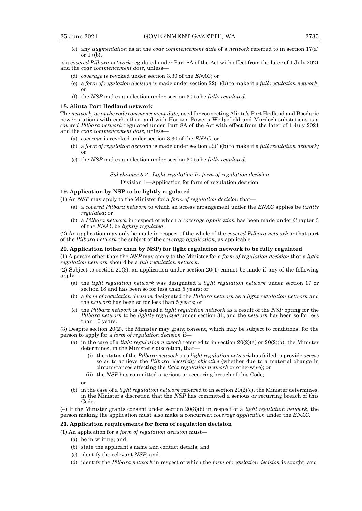(c) any *augmentation* as at the *code commencement date* of a *network* referred to in section 17(a) or 17(b),

is a *covered Pilbara network* regulated under Part 8A of the Act with effect from the later of 1 July 2021 and the *code commencement date*, unless—

- (d) *coverage* is revoked under section 3.30 of the *ENAC*; or
- (e) a *form of regulation decision* is made under section 22(1)(b) to make it a *full regulation network*; or
- (f) the *NSP* makes an election under section 30 to be *fully regulated*.

#### **18. Alinta Port Hedland network**

The *network, as at the code commencement date,* used for connecting Alinta's Port Hedland and Boodarie power stations with each other, and with Horizon Power's Wedgefield and Murdoch substations is a *covered Pilbara network* regulated under Part 8A of the Act with effect from the later of 1 July 2021 and the *code commencement date*, unless—

- (a) *coverage* is revoked under section 3.30 of the *ENAC*; or
- (b) a *form of regulation decision* is made under section 22(1)(b) to make it a *full regulation network;*  or
- (c) the *NSP* makes an election under section 30 to be *fully regulated*.

*Subchapter 3.2– Light regulation by form of regulation decision* Division 1—Application for form of regulation decision

#### **19. Application by NSP to be lightly regulated**

- (1) An *NSP* may apply to the Minister for a *form of regulation decision* that—
	- (a) a *covered Pilbara network* to which an access arrangement under the *ENAC* applies be *lightly regulated*; or
	- (b) a *Pilbara network* in respect of which a *coverage application* has been made under Chapter 3 of the *ENAC* be *lightly regulated*.

(2) An application may only be made in respect of the whole of the *covered Pilbara network* or that part of the *Pilbara network* the subject of the *coverage application*, as applicable.

## **20. Application (other than by NSP) for light regulation network to be fully regulated**

(1) A person other than the *NSP* may apply to the Minister for a *form of regulation decision* that a *light regulation network* should be a *full regulation network*.

(2) Subject to section 20(3), an application under section 20(1) cannot be made if any of the following apply—

- (a) the *light regulation network* was designated a *light regulation network* under section 17 or section 18 and has been so for less than 5 years; or
- (b) a *form of regulation decision* designated the *Pilbara network* as a *light regulation network* and the *network* has been so for less than 5 years; or
- (c) the *Pilbara network* is deemed a *light regulation network* as a result of the *NSP* opting for the *Pilbara network* to be *lightly regulated* under section 31, and the *network* has been so for less than 10 years.

(3) Despite section 20(2), the Minister may grant consent, which may be subject to conditions, for the person to apply for a *form of regulation decision* if—

- (a) in the case of a *light regulation network* referred to in section 20(2)(a) or 20(2)(b), the Minister determines, in the Minister's discretion, that—
	- (i) the status of the *Pilbara network* as a *light regulation network* has failed to provide *access* so as to achieve the *Pilbara electricity objective* (whether due to a material change in circumstances affecting the *light regulation network* or otherwise); or
	- (ii) the *NSP* has committed a serious or recurring breach of this Code;

or

(b) in the case of a *light regulation network* referred to in section 20(2)(c), the Minister determines, in the Minister's discretion that the *NSP* has committed a serious or recurring breach of this Code.

(4) If the Minister grants consent under section 20(3)(b) in respect of a *light regulation network*, the person making the application must also make a concurrent *coverage application* under the *ENAC*.

#### **21. Application requirements for form of regulation decision**

- (1) An application for a *form of regulation decision* must—
	- (a) be in writing; and
	- (b) state the applicant's name and contact details; and
	- (c) identify the relevant *NSP*; and
	- (d) identify the *Pilbara network* in respect of which the *form of regulation decision* is sought; and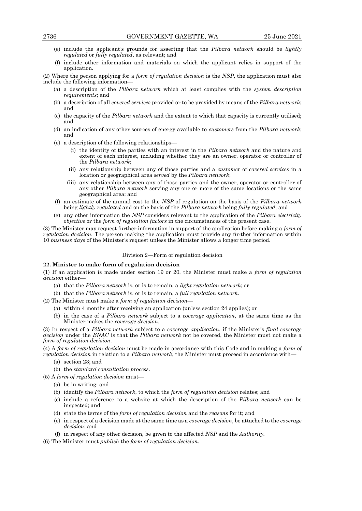- (e) include the applicant's grounds for asserting that the *Pilbara network* should be *lightly regulated* or *fully regulated*, as relevant; and
- (f) include other information and materials on which the applicant relies in support of the application.

(2) Where the person applying for a *form of regulation decision* is the *NSP*, the application must also include the following information—

- (a) a description of the *Pilbara network* which at least complies with the *system description requirements*; and
- (b) a description of all *covered services* provided or to be provided by means of the *Pilbara network*; and
- (c) the capacity of the *Pilbara network* and the extent to which that capacity is currently utilised; and
- (d) an indication of any other sources of energy available to *customers* from the *Pilbara network*; and
- (e) a description of the following relationships—
	- (i) the identity of the parties with an interest in the *Pilbara network* and the nature and extent of each interest, including whether they are an owner, operator or controller of the *Pilbara network*;
	- (ii) any relationship between any of those parties and a *customer* of *covered services* in a location or geographical area *served* by the *Pilbara network*;
	- (iii) any relationship between any of those parties and the owner, operator or controller of any other *Pilbara network* serving any one or more of the same locations or the same geographical area; and
- (f) an estimate of the annual cost to the *NSP* of regulation on the basis of the *Pilbara network* being *lightly regulated* and on the basis of the *Pilbara network* being *fully regulated*; and
- (g) any other information the *NSP* considers relevant to the application of the *Pilbara electricity objective* or the *form of regulation factors* in the circumstances of the present case.

(3) The Minister may request further information in support of the application before making a *form of regulation decision.* The person making the application must provide any further information within 10 *business days* of the Minister's request unless the Minister allows a longer time period.

#### Division 2—Form of regulation decision

#### **22. Minister to make form of regulation decision**

(1) If an application is made under section 19 or 20, the Minister must make a *form of regulation decision* either—

- (a) that the *Pilbara network* is, or is to remain, a *light regulation network*; or
- (b) that the *Pilbara network* is, or is to remain, a *full regulation network*.
- (2) The Minister must make a *form of regulation decision*
	- (a) within 4 months after receiving an application (unless section 24 applies); or
	- (b) in the case of a *Pilbara network* subject to a *coverage application*, at the same time as the Minister makes the *coverage decision*.

(3) In respect of a *Pilbara network* subject to a *coverage application*, if the Minister's *final coverage decision* under the *ENAC* is that the *Pilbara network* not be covered, the Minister must not make a *form of regulation decision*.

(4) A *form of regulation decision* must be made in accordance with this Code and in making a *form of regulation decision* in relation to a *Pilbara network*, the Minister must proceed in accordance with—

- (a) section 23; and
- (b) the *standard consultation process*.
- (5) A *form of regulation decision* must—
	- (a) be in writing; and
	- (b) identify the *Pilbara network*, to which the *form of regulation decision* relates; and
	- (c) include a reference to a website at which the description of the *Pilbara network* can be inspected; and
	- (d) state the terms of the *form of regulation decision* and the *reasons* for it; and
	- (e) in respect of a decision made at the same time as a *coverage decision*, be attached to the *coverage decision*; and
	- (f) in respect of any other decision, be given to the affected *NSP* and the *Authority.*
- (6) The Minister must *publish* the *form of regulation decision*.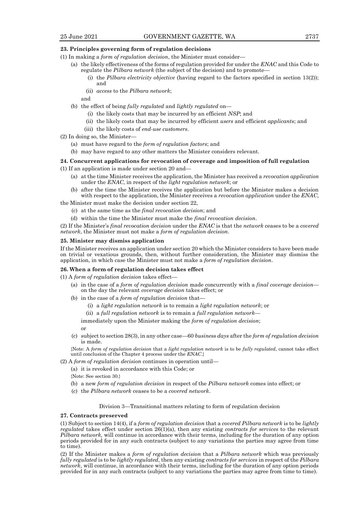## **23. Principles governing form of regulation decisions**

- (1) In making a *form of regulation decision*, the Minister must consider—
	- (a) the likely effectiveness of the forms of regulation provided for under the *ENAC* and this Code to regulate the *Pilbara network* (the subject of the decision) and to promote—
		- (i) the *Pilbara electricity objective* (having regard to the factors specified in section 13(2)); and
		- (ii) *access* to the *Pilbara network*;

and

- (b) the effect of being *fully regulated* and *lightly regulated* on—
	- (i) the likely costs that may be incurred by an efficient *NSP*; and
	- (ii) the likely costs that may be incurred by efficient *users* and efficient *applicant*s; and
	- (iii) the likely costs of *end-use customers*.
- (2) In doing so, the Minister—
	- (a) must have regard to the *form of regulation factors*; and
	- (b) may have regard to any other matters the Minister considers relevant.

#### **24. Concurrent applications for revocation of coverage and imposition of full regulation**

- (1) If an application is made under section 20 and—
	- (a) at the time Minister receives the application, the Minister has received a *revocation application* under the *ENAC*, in respect of the *light regulation network*; or
	- (b) after the time the Minister receives the application but before the Minister makes a decision with respect to the application, the Minister receives a *revocation application* under the *ENAC*,

the Minister must make the decision under section 22,

- (c) at the same time as the *final revocation decision*; and
- (d) within the time the Minister must make the *final revocation decision*.

(2) If the Minister's *final revocation decision* under the *ENAC* is that the *network* ceases to be a *covered network*, the Minister must not make a *form of regulation decision*.

#### **25. Minister may dismiss application**

If the Minister receives an application under section 20 which the Minister considers to have been made on trivial or vexatious grounds, then, without further consideration, the Minister may dismiss the application, in which case the Minister must not make a *form of regulation decision*.

#### **26. When a form of regulation decision takes effect**

(1) A *form of regulation decision* takes effect—

- (a) in the case of a *form of regulation decision* made concurrently with a *final coverage decision* on the day the relevant *coverage decision* takes effect; or
- (b) in the case of a *form of regulation decision* that—
	- (i) a *light regulation network* is to remain a *light regulation network*; or
	- (ii) a *full regulation network* is to remain a *full regulation network*—

immediately upon the Minister making the *form of regulation decision*; or

(c) subject to section 28(3), in any other case—60 *business days* after the *form of regulation decision* is made.

{Note: A *form of regulation decision* that a *light regulation network* is to be *fully regulated*, cannot take effect until conclusion of the Chapter 4 process under the *ENAC*.}

- (2) A *form of regulation decision* continues in operation until—
	- (a) it is revoked in accordance with this Code; or
	- {Note: See section 30.}
	- (b) a new *form of regulation decision* in respect of the *Pilbara network* comes into effect; or
	- (c) the *Pilbara network* ceases to be a *covered network*.

Division 3—Transitional matters relating to form of regulation decision

# **27. Contracts preserved**

(1) Subject to section 14(4), if a *form of regulation decision* that a *covered Pilbara network* is to be *lightly regulated* takes effect under section 26(1)(a), then any existing *contracts for services* to the relevant *Pilbara network,* will continue in accordance with their terms, including for the duration of any option periods provided for in any such contracts (subject to any variations the parties may agree from time to time).

(2) If the Minister makes a *form of regulation decision* that a *Pilbara network* which was previously *fully regulated* is to be *lightly regulated*, then any existing *contracts for services* in respect of the *Pilbara network*, will continue, in accordance with their terms, including for the duration of any option periods provided for in any such contracts (subject to any variations the parties may agree from time to time).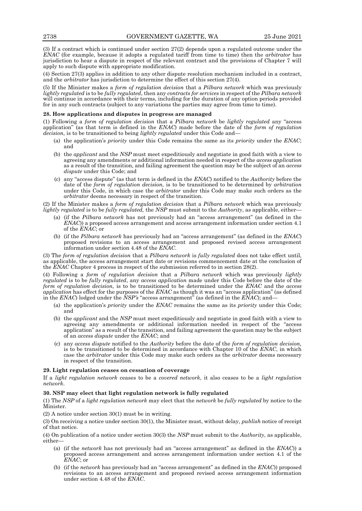(3) If a contract which is continued under section 27(2) depends upon a regulated outcome under the *ENAC* (for example, because it adopts a regulated tariff from time to time) then the *arbitrator* has jurisdiction to hear a dispute in respect of the relevant contract and the provisions of Chapter 7 will apply to such dispute with appropriate modification.

(4) Section 27(3) applies in addition to any other dispute resolution mechanism included in a contract, and the *arbitrator* has jurisdiction to determine the effect of this section 27(4).

(5) If the Minister makes a *form of regulation decision* that a *Pilbara network* which was previously *lightly regulated* is to be *fully regulated*, then any *contracts for services* in respect of the *Pilbara network* will continue in accordance with their terms, including for the duration of any option periods provided for in any such contracts (subject to any variations the parties may agree from time to time).

#### **28. How applications and disputes in progress are managed**

(1) Following a *form of regulation decision* that a *Pilbara network* be *lightly regulated* any "access application" (as that term is defined in the *ENAC*) made before the date of the *form of regulation decision,* is to be transitioned to being *lightly regulated* under this Code and—

- (a) the application's *priority* under this Code remains the same as its *priority* under the *ENAC*; and
- (b) the *applicant* and the *NSP* must meet expeditiously and negotiate in good faith with a view to agreeing any amendments or additional information needed in respect of the *access application*  as a result of the transition, and failing agreement the question may be the subject of an *access dispute* under this Code; and
- (c) any "access dispute" (as that term is defined in the *ENAC*) notified to the *Authority* before the date of the *form of regulation decision,* is to be transitioned to be determined by *arbitration* under this Code, in which case the *arbitrator* under this Code may make such orders as the *arbitrator* deems necessary in respect of the transition.

(2) If the Minister makes a *form of regulation decision* that a *Pilbara network* which was previously *lightly regulated* is to be *fully regulated,* the *NSP* must submit to the *Authority*, as applicable, either—

- (a) (if the *Pilbara network* has not previously had an "access arrangement" (as defined in the *ENAC*)) a proposed access arrangement and access arrangement information under section 4.1 of the *ENAC*; or
- (b) (if the *Pilbara network* has previously had an "access arrangement" (as defined in the *ENAC*) proposed revisions to an access arrangement and proposed revised access arrangement information under section 4.48 of the *ENAC*.

(3) The *form of regulation decision* that a *Pilbara network* is *fully regulated* does not take effect until, as applicable, the access arrangement start date or revisions commencement date at the conclusion of the *ENAC* Chapter 4 process in respect of the submission referred to in section 28(2).

(4) Following a *form of regulation decision* that a *Pilbara network* which was previously *lightly regulated* is to be *fully regulated*, any *access application* made under this Code before the date of the *form of regulation decision,* is to be transitioned to be determined under the *ENAC* and the *access application* has effect for the purposes of the *ENAC* as though it was an "access application" (as defined in the *ENAC*) lodged under the *NSP's* "access arrangement" (as defined in the *ENAC*); and—

- (a) the application's *priority* under the *ENAC* remains the same as its *priority* under this Code; and
- (b) the *applicant* and the *NSP* must meet expeditiously and negotiate in good faith with a view to agreeing any amendments or additional information needed in respect of the "access application" as a result of the transition, and failing agreement the question may be the subject of an *access dispute* under the *ENAC*; and
- (c) any *access dispute* notified to the *Authority* before the date of the *form of regulation decision,* is to be transitioned to be determined in accordance with Chapter 10 of the *ENAC*, in which case the *arbitrator* under this Code may make such orders as the *arbitrator* deems necessary in respect of the transition.

# **29. Light regulation ceases on cessation of coverage**

If a *light regulation network* ceases to be a *covered network*, it also ceases to be a *light regulation network*.

# **30. NSP may elect that light regulation network is fully regulated**

(1) The *NSP* of a *light regulation network* may elect that the *network* be *fully regulated* by notice to the Minister.

(2) A notice under section 30(1) must be in writing.

(3) On receiving a notice under section 30(1), the Minister must, without delay, *publish* notice of receipt of that notice.

(4) On publication of a notice under section 30(3) the *NSP* must submit to the *Authority*, as applicable, either—

- (a) (if the *network* has not previously had an "access arrangement" as defined in the *ENAC*)) a proposed access arrangement and access arrangement information under section 4.1 of the *ENAC*; or
- (b) (if the *network* has previously had an "access arrangement" as defined in the *ENAC*)) proposed revisions to an access arrangement and proposed revised access arrangement information under section 4.48 of the *ENAC*.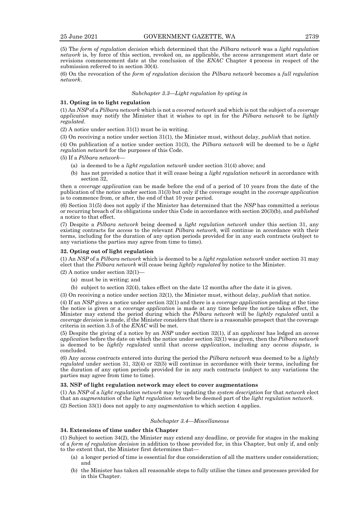(5) The *form of regulation decision* which determined that the *Pilbara network* was a *light regulation network* is, by force of this section, revoked on, as applicable, the access arrangement start date or revisions commencement date at the conclusion of the *ENAC* Chapter 4 process in respect of the submission referred to in section 30(4).

(6) On the revocation of the *form of regulation decision* the *Pilbara network* becomes a *full regulation network*.

#### *Subchapter 3.3—Light regulation by opting in*

# **31. Opting in to light regulation**

(1) An *NSP* of a *Pilbara network* which is not a *covered network* and which is not the subject of a *coverage application* may notify the Minister that it wishes to opt in for the *Pilbara network* to be *lightly regulated*.

(2) A notice under section 31(1) must be in writing.

(3) On receiving a notice under section 31(1), the Minister must, without delay, *publish* that notice.

(4) On publication of a notice under section 31(3), the *Pilbara network* will be deemed to be *a light regulation network* for the purposes of this Code.

(5) If a *Pilbara network*—

- (a) is deemed to be a *light regulation network* under section 31(4) above; and
- (b) has not provided a notice that it will cease being a *light regulation network* in accordance with section 32,

then a *coverage application* can be made before the end of a period of 10 years from the date of the publication of the notice under section 31(3) but only if the coverage sought in the *coverage application* is to commence from, or after, the end of that 10 year period.

(6) Section 31(5) does not apply if the Minister has determined that the *NSP* has committed a serious or recurring breach of its obligations under this Code in accordance with section 20(3)(b), and *published* a notice to that effect.

(7) Despite a *Pilbara network* being deemed a *light regulation network* under this section 31, any existing contracts for *access* to the relevant *Pilbara network,* will continue in accordance with their terms, including for the duration of any option periods provided for in any such contracts (subject to any variations the parties may agree from time to time).

#### **32. Opting out of light regulation**

(1) An *NSP* of a *Pilbara network* which is deemed to be a *light regulation network* under section 31 may elect that the *Pilbara network* will cease being *lightly regulated* by notice to the Minister.

 $(2)$  A notice under section 32(1)-

- (a) must be in writing; and
- (b) subject to section 32(4), takes effect on the date 12 months after the date it is given.

(3) On receiving a notice under section 32(1), the Minister must, without delay, *publish* that notice.

(4) If an *NSP* gives a notice under section 32(1) and there is a *coverage application* pending at the time the notice is given or a *coverage application* is made at any time before the notice takes effect, the Minister may extend the period during which the *Pilbara network* will be *lightly regulated* until a *coverage decision* is made, if the Minister considers that there is a reasonable prospect that the coverage criteria in section 3.5 of the *ENAC* will be met.

(5) Despite the giving of a notice by an *NSP* under section 32(1), if an *applicant* has lodged an *access application* before the date on which the notice under section 32(1) was given, then the *Pilbara network* is deemed to be *lightly regulated* until that *access application*, including any *access dispute*, is concluded.

(6) Any *access contracts* entered into during the period the *Pilbara network* was deemed to be a *lightly regulated* under section 31, 32(4) or 32(5) will continue in accordance with their terms, including for the duration of any option periods provided for in any such contracts (subject to any variations the parties may agree from time to time).

#### **33. NSP of light regulation network may elect to cover augmentations**

(1) An *NSP* of a *light regulation network* may by updating the *system description* for that *network* elect that an *augmentation* of the *light regulation network* be deemed part of the *light regulation network*.

(2) Section 33(1) does not apply to any *augmentation* to which section 4 applies.

### *Subchapter 3.4—Miscellaneous*

#### **34. Extensions of time under this Chapter**

(1) Subject to section 34(2), the Minister may extend any deadline, or provide for stages in the making of a *form of regulation decision* in addition to those provided for, in this Chapter, but only if, and only to the extent that, the Minister first determines that—

- (a) a longer period of time is essential for due consideration of all the matters under consideration; and
- (b) the Minister has taken all reasonable steps to fully utilise the times and processes provided for in this Chapter.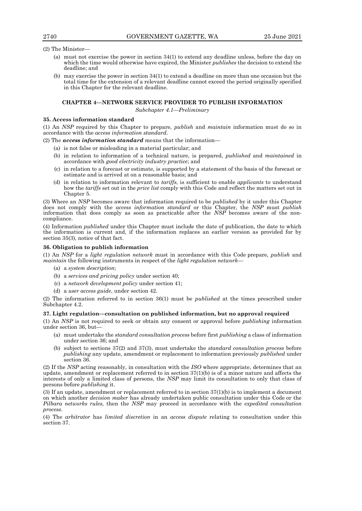(2) The Minister—

- (a) must not exercise the power in section 34(1) to extend any deadline unless, before the day on which the time would otherwise have expired, the Minister *publishes* the decision to extend the deadline; and
- (b) may exercise the power in section 34(1) to extend a deadline on more than one occasion but the total time for the extension of a relevant deadline cannot exceed the period originally specified in this Chapter for the relevant deadline.

## **CHAPTER 4—NETWORK SERVICE PROVIDER TO PUBLISH INFORMATION**

*Subchapter 4.1—Preliminary*

## **35. Access information standard**

(1) An *NSP* required by this Chapter to prepare, *publish* and *maintain* information must do so in accordance with the *access information standard*.

(2) The *access information standard* means that the information—

- (a) is not false or misleading in a material particular; and
- (b) in relation to information of a technical nature, is prepared, *published* and *maintained* in accordance with *good electricity industry practice*; and
- (c) in relation to a forecast or estimate, is supported by a statement of the basis of the forecast or estimate and is arrived at on a reasonable basis; and
- (d) in relation to information relevant to *tariffs*, is sufficient to enable *applicants* to understand how the *tariffs* set out in the *price list* comply with this Code and reflect the matters set out in Chapter 5.

(3) Where an *NSP* becomes aware that information required to be *published* by it under this Chapter does not comply with the *access information standard* or this Chapter, the *NSP* must *publish* information that does comply as soon as practicable after the *NSP* becomes aware of the noncompliance.

(4) Information *published* under this Chapter must include the date of publication, the date to which the information is current and, if the information replaces an earlier version as provided for by section 35(3), notice of that fact.

# **36. Obligation to publish information**

(1) An *NSP* for a *light regulation network* must in accordance with this Code prepare, *publish* and *maintain* the following instruments in respect of the *light regulation network*—

- (a) a *system description*;
- (b) a *services and pricing policy* under section 40;
- (c) a *network development policy* under section 41;
- (d) a *user access guide*, under section 42.

(2) The information referred to in section 36(1) must be *published* at the times prescribed under Subchapter 4.2.

# **37. Light regulation—consultation on published information, but no approval required**

(1) An *NSP* is not required to seek or obtain any consent or approval before *publishing* information under section 36, but—

- (a) must undertake the *standard consultation process* before first *publishing* a class of information under section 36; and
- (b) subject to sections 37(2) and 37(3), must undertake the *standard consultation process* before *publishing* any update, amendment or replacement to information previously *published* under section 36.

(2) If the *NSP* acting reasonably, in consultation with the *ISO* where appropriate, determines that an update, amendment or replacement referred to in section  $37(1)(b)$  is of a minor nature and affects the interests of only a limited class of persons, the *NSP* may limit its consultation to only that class of persons before *publishing* it.

(3) If an update, amendment or replacement referred to in section 37(1)(b) is to implement a document on which another *decision maker* has already undertaken public consultation under this Code or the *Pilbara networks rules*, then the *NSP* may proceed in accordance with the *expedited consultation process*.

(4) The *arbitrator* has *limited discretion* in an *access dispute* relating to consultation under this section 37.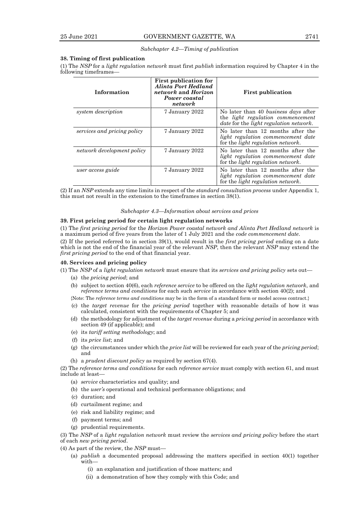### *Subchapter 4.2—Timing of publication*

#### **38. Timing of first publication**

(1) The *NSP* for a *light regulation network* must first *publish* information required by Chapter 4 in the following timeframes—

| Information                 | <b>First publication for</b><br>Alinta Port Hedland<br>network and Horizon<br>Power coastal<br>network | <b>First publication</b>                                                                                                                  |
|-----------------------------|--------------------------------------------------------------------------------------------------------|-------------------------------------------------------------------------------------------------------------------------------------------|
| system description          | 7 January 2022                                                                                         | No later than 40 business days after<br>the <i>light</i> regulation commencement<br><i>date</i> for the <i>light regulation network</i> . |
| services and pricing policy | 7 January 2022                                                                                         | No later than 12 months after the<br>light regulation commencement date<br>for the <i>light regulation network</i> .                      |
| network development policy  | 7 January 2022                                                                                         | No later than 12 months after the<br>light regulation commencement date<br>for the <i>light regulation network</i> .                      |
| user access guide           | 7 January 2022                                                                                         | No later than 12 months after the<br>light regulation commencement date<br>for the <i>light regulation network</i> .                      |

(2) If an *NSP* extends any time limits in respect of the *standard consultation process* under Appendix 1, this must not result in the extension to the timeframes in section 38(1).

#### *Subchapter 4.3—Information about services and prices*

#### **39. First pricing period for certain light regulation networks**

(1) The *first pricing period* for the *Horizon Power coastal network and Alinta Port Hedland network* is a maximum period of five years from the later of 1 July 2021 and the *code commencement date*.

(2) If the period referred to in section 39(1), would result in the *first pricing period* ending on a date which is not the end of the financial year of the relevant *NSP*, then the relevant *NSP* may extend the *first pricing period* to the end of that financial year.

#### **40. Services and pricing policy**

- (1) The *NSP* of a *light regulation network* must ensure that its *services and pricing policy* sets out—
	- (a) the *pricing period*; and
	- (b) subject to section 40(6), each *reference service* to be offered on the *light regulation network*, and *reference terms and conditions* for each such *service* in accordance with section 40(2); and
	- {Note: The *reference terms and conditions* may be in the form of a standard form or model access contract.}
	- (c) the *target revenue* for the *pricing period* together with reasonable details of how it was calculated, consistent with the requirements of Chapter 5; and
	- (d) the methodology for adjustment of the *target revenue* during a *pricing period* in accordance with section 49 (if applicable); and
	- (e) its *tariff setting methodology*; and
	- (f) its *price list*; and
	- (g) the circumstances under which the *price list* will be reviewed for each year of the *pricing period*; and
	- (h) a *prudent discount policy* as required by section 67(4).

(2) The *reference terms and conditions* for each *reference service* must comply with section 61, and must include at least—

- (a) *service* characteristics and quality; and
- (b) the *user's* operational and technical performance obligations; and
- (c) duration; and
- (d) curtailment regime; and
- (e) risk and liability regime; and
- (f) payment terms; and
- (g) prudential requirements.

(3) The *NSP* of a *light regulation network* must review the *services and pricing policy* before the start of each *new pricing period*.

(4) As part of the review, the *NSP* must—

- (a) *publish* a documented proposal addressing the matters specified in section 40(1) together with—
	- (i) an explanation and justification of those matters; and
	- (ii) a demonstration of how they comply with this Code; and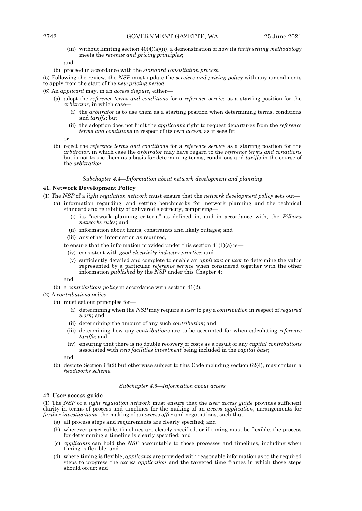(iii) without limiting section 40(4)(a)(ii), a demonstration of how its *tariff setting methodology* meets the *revenue and pricing principles*;

#### and

(b) proceed in accordance with the *standard consultation process.*

(5) Following the review, the *NSP* must update the *services and pricing policy* with any amendments to apply from the start of the *new pricing period.*

(6) An *applicant* may, in an *access dispute*, either—

- (a) adopt the *reference terms and conditions* for a *reference service* as a starting position for the *arbitrator*, in which case—
	- (i) the *arbitrator* is to use them as a starting position when determining terms, conditions and *tariffs*; but
	- (ii) the adoption does not limit the *applicant's* right to request departures from the *reference terms and conditions* in respect of its own *access*, as it sees fit;

or

(b) reject the *reference terms and conditions* for a *reference service* as a starting position for the *arbitrator*, in which case the *arbitrator* may have regard to the *reference terms and conditions* but is not to use them as a basis for determining terms, conditions and *tariffs* in the course of the *arbitration*.

#### *Subchapter 4.4—Information about network development and planning*

# **41. Network Development Policy**

- (1) The *NSP* of a *light regulation network* must ensure that the *network development policy* sets out—
	- (a) information regarding, and setting benchmarks for, network planning and the technical standard and reliability of delivered electricity, comprising—
		- (i) its "network planning criteria" as defined in, and in accordance with, the *Pilbara networks rules*; and
		- (ii) information about limits, constraints and likely outages; and
		- (iii) any other information as required,
		- to ensure that the information provided under this section  $41(1)(a)$  is —
		- (iv) consistent with *good electricity industry practice*; and
		- (v) sufficiently detailed and complete to enable an *applicant* or *user* to determine the value represented by a particular *reference service* when considered together with the other information *published* by the *NSP* under this Chapter 4;

and

(b) a *contributions policy* in accordance with section 41(2).

(2) A *contributions policy*—

- (a) must set out principles for—
	- (i) determining when the *NSP* may require a *user* to pay a *contribution* in respect of *required work*; and
	- (ii) determining the amount of any such *contribution*; and
	- (iii) determining how any *contributions* are to be accounted for when calculating *reference tariffs*; and
	- (iv) ensuring that there is no double recovery of costs as a result of any *capital contributions* associated with *new facilities investment* being included in the *capital base*;

and

(b) despite Section 63(2) but otherwise subject to this Code including section 62(4), may contain a *headworks scheme.*

#### *Subchapter 4.5—Information about access*

## **42. User access guide**

(1) The *NSP* of a *light regulation network* must ensure that the *user access guide* provides sufficient clarity in terms of process and timelines for the making of an *access application*, arrangements for *further investigations*, the making of an *access offer* and negotiations, such that—

- (a) all process steps and requirements are clearly specified; and
- (b) wherever practicable, timelines are clearly specified, or if timing must be flexible, the process for determining a timeline is clearly specified; and
- (c) *applicants* can hold the *NSP* accountable to those processes and timelines, including when timing is flexible; and
- (d) where timing is flexible, *applicants* are provided with reasonable information as to the required steps to progress the *access application* and the targeted time frames in which those steps should occur; and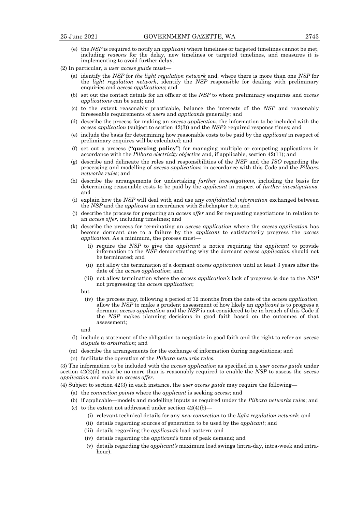- (e) the *NSP* is required to notify an *applicant* where timelines or targeted timelines cannot be met, including *reasons* for the delay, new timelines or targeted timelines, and measures it is implementing to avoid further delay.
- (2) In particular, a *user access guide* must—
	- (a) identify the *NSP* for *the light regulation network* and, where there is more than one *NSP* for the *light regulation network*, identify the *NSP* responsible for dealing with preliminary enquiries and *access applications*; and
	- (b) set out the contact details for an officer of the *NSP* to whom preliminary enquiries and *access applications* can be sent; and
	- (c) to the extent reasonably practicable, balance the interests of the *NSP* and reasonably foreseeable requirements of *users* and *applicants* generally; and
	- (d) describe the process for making an *access application*, the information to be included with the *access application* (subject to section 42(3)) and the *NSP's* required response times; and
	- (e) include the basis for determining how reasonable costs to be paid by the *applicant* in respect of preliminary enquires will be calculated; and
	- (f) set out a process (**"queuing policy"**) for managing multiple or competing applications in accordance with the *Pilbara electricity objective* and, if applicable, section 42(11); and
	- (g) describe and delineate the roles and responsibilities of the *NSP* and the *ISO* regarding the processing and modelling of *access applications* in accordance with this Code and the *Pilbara networks rules*; and
	- (h) describe the arrangements for undertaking *further investigations*, including the basis for determining reasonable costs to be paid by the *applicant* in respect of *further investigations*; and
	- (i) explain how the *NSP* will deal with and use any *confidential information* exchanged between the *NSP* and the *applicant* in accordance with Subchapter 9.5; and
	- (j) describe the process for preparing an *access offer* and for requesting negotiations in relation to an *access offer,* including timelines; and
	- (k) describe the process for terminating an *access application* where the *access application* has become dormant due to a failure by the *applicant* to satisfactorily progress the *access application*. As a minimum, the process must-
		- (i) require the *NSP* to give the *applicant* a notice requiring the *applicant* to provide information to the *NSP* demonstrating why the dormant *access application* should not be terminated; and
		- (ii) not allow the termination of a dormant *access application* until at least 3 years after the date of the *access application*; and
		- (iii) not allow termination where the *access application's* lack of progress is due to the *NSP* not progressing the *access application*;

but

(iv) the process may, following a period of 12 months from the date of the *access application*, allow the *NSP* to make a prudent assessment of how likely an *applicant* is to progress a dormant *access application* and the *NSP* is not considered to be in breach of this Code if the *NSP* makes planning decisions in good faith based on the outcomes of that assessment;

and

- (l) include a statement of the obligation to negotiate in good faith and the right to refer an *access dispute* to *arbitration*; and
- (m) describe the arrangements for the exchange of information during negotiations; and
- (n) facilitate the operation of the *Pilbara networks rules*.

(3) The information to be included with the *access application* as specified in a *user access guide* under section 42(2)(d) must be no more than is reasonably required to enable the *NSP* to assess the *access application* and make an *access offer*.

(4) Subject to section 42(3) in each instance, the *user access guide* may require the following—

(a) the *connection points* where the *applicant* is seeking *access*; and

(b) if applicable—models and modelling inputs as required under the *Pilbara networks rules*; and

- (c) to the extent not addressed under section  $42(4)(b)$ 
	- (i) relevant technical details for any *new connection* to the *light regulation network*; and
	- (ii) details regarding sources of generation to be used by the *applicant*; and
	- (iii) details regarding the *applicant's* load pattern; and
	- (iv) details regarding the *applicant's* time of peak demand; and
	- (v) details regarding the *applicant's* maximum load swings (intra-day, intra-week and intrahour).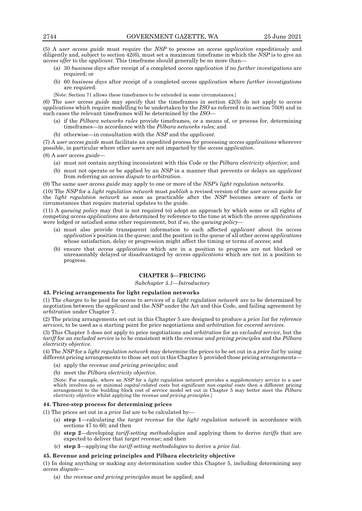(5) A *user access guide* must require the *NSP* to process an *access application* expeditiously and diligently and, subject to section 42(6), must set a maximum timeframe in which the *NSP* is to give an *access offer* to the *applicant*. This timeframe should generally be no more than—

- (a) 30 *business days* after receipt of a completed *access application* if no *further investigations* are required; or
- (b) 60 *business days* after receipt of a completed *access application* where *further investigations* are required.
- {Note: Section 71 allows these timeframes to be extended in some circumstances.}

(6) The *user access guide* may specify that the timeframes in section 42(5) do not apply to *access applications* which require modelling to be undertaken by the *ISO* as referred to in section 70(8) and in such cases the relevant timeframes will be determined by the *ISO*—

- (a) if the *Pilbara networks rules* provide timeframes, or a means of, or process for, determining timeframes—in accordance with the *Pilbara networks rules;* and
- (b) otherwise—in consultation with the *NSP* and the *applicant*.

(7) A *user access guide* must facilitate an expedited process for processing *access applications* wherever possible, in particular where other *users* are not impacted by the *access application*.

(8) A *user access guide*—

- (a) must not contain anything inconsistent with this Code or the *Pilbara electricity objective*; and
- (b) must not operate or be applied by an *NSP* in a manner that prevents or delays an *applicant* from referring an *access dispute* to *arbitration*.

(9) The same *user access guide* may apply to one or more of the *NSP's light regulation networks*.

(10) The *NSP* for a *light regulation network* must *publish* a revised version of the *user access guide* for the *light regulation network* as soon as practicable after the *NSP* becomes aware of facts or circumstances that require material updates to the guide.

(11) A *queuing policy* may (but is not required to) adopt an approach by which some or all rights of competing *access applications* are determined by reference to the time at which the *access applications* were lodged or satisfied some other requirement, but if so, the *queuing policy*—

- (a) must also provide transparent information to each affected *applicant* about its *access application's* position in the queue; and the position in the queue of all other *access applications* whose satisfaction, delay or progression might affect the timing or terms of *access*; and
- (b) ensure that *access applications* which are in a position to progress are not blocked or unreasonably delayed or disadvantaged by *access applications* which are not in a position to progress.

# **CHAPTER 5—PRICING**

## *Subchapter 5.1—Introductory*

#### **43. Pricing arrangements for light regulation networks**

(1) The *charges* to be paid for *access* to *services* of a *light regulation network* are to be determined by negotiation between the *applicant* and the *NSP* under the Act and this Code, and failing agreement by *arbitration* under Chapter 7.

(2) The pricing arrangements set out in this Chapter 5 are designed to produce a *price list* for *reference services*, to be used as a starting point for price negotiations and *arbitration* for *covered services*.

(3) This Chapter 5 does not apply to price negotiations and *arbitration* for an *excluded service*, but the *tariff* for an *excluded service* is to be consistent with the *revenue and pricing principles* and the *Pilbara electricity objective*.

(4) The *NSP* for a *light regulation network* may determine the prices to be set out in a *price list* by using different pricing arrangements to those set out in this Chapter 5 provided those pricing arrangements—

(a) apply the *revenue and pricing principles*; and

(b) meet the *Pilbara electricity objective*.

{Note: For example, where an *NSP* for a *light regulation network* provides a *supplementary service* to a *user* which involves no or minimal *capital-related costs* but significant *non-capital costs* then a different pricing arrangement to the building block cost of service model set out in Chapter 5 may better meet the *Pilbara electricity objective* whilst applying the *revenue and pricing principles*.}

#### **44. Three-step process for determining prices**

- (1) The prices set out in a *price list* are to be calculated by—
	- (a) **step 1**—calculating the *target revenue* for the *light regulation network* in accordance with sections 47 to 60*;* and then
	- (b) **step 2**—developing *tariff-setting methodologies* and applying them to derive *tariffs* that are expected to deliver that *target revenue*; and then
	- (c) **step 3**—applying the *tariff-setting methodologies* to derive a *price list*.

# **45. Revenue and pricing principles and Pilbara electricity objective**

(1) In doing anything or making any determination under this Chapter 5, including determining any *access dispute*—

(a) the *revenue and pricing principles* must be applied; and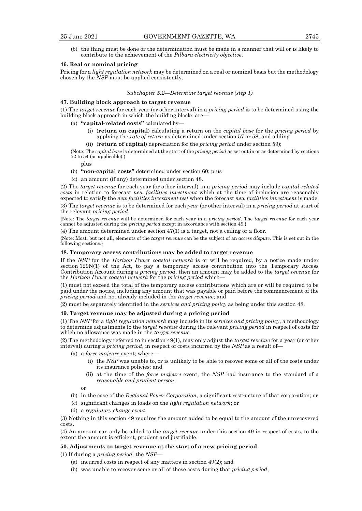(b) the thing must be done or the determination must be made in a manner that will or is likely to contribute to the achievement of the *Pilbara electricity objective*.

#### **46. Real or nominal pricing**

Pricing for a *light regulation network* may be determined on a real or nominal basis but the methodology chosen by the *NSP* must be applied consistently.

#### *Subchapter 5.2—Determine target revenue (step 1)*

# **47. Building block approach to target revenue**

(1) The *target revenue* for each year (or other interval) in a *pricing period* is to be determined using the building block approach in which the building blocks are—

- (a) **"capital-related costs"** calculated by—
	- (i) (**return on capital**) calculating a return on the *capital base* for the *pricing period* by applying the *rate of return* as determined under section 57 or 58; and adding
	- (ii) (**return of capital**) depreciation for the *pricing period* under section 59);

{Note: The *capital base* is determined at the start of the *pricing period* as set out in or as determined by sections 52 to 54 (as applicable).}

plus

(b) **"non-capital costs"** determined under section 60; plus

(c) an amount (if any) determined under section 48.

(2) The *target revenue* for each year (or other interval) in a *pricing period* may include *capital-related costs* in relation to forecast *new facilities investment* which at the time of inclusion are reasonably expected to satisfy the *new facilities investment test* when the forecast *new facilities investment* is made. (3) The *target revenue* is to be determined for each *year* (or other interval) in a *pricing period* at start of the relevant *pricing period*.

{Note: The *target revenue* will be determined for each year in a *pricing period*. The *target revenue* for each year cannot be adjusted during the *pricing period* except in accordance with section 49.}

(4) The amount determined under section 47(1) is a target, not a ceiling or a floor.

{Note: Most, but not all, elements of the *target revenue* can be the subject of an *access dispute*. This is set out in the following sections.}

#### **48. Temporary access contributions may be added to target revenue**

If the *NSP* for the *Horizon Power coastal network* is or will be required, by a notice made under section 129N(1) of the Act, to pay a temporary access contribution into the Temporary Access Contribution Account during a *pricing period*, then an amount may be added to the *target revenue* for the *Horizon Power coastal network* for the *pricing period* which—

(1) must not exceed the total of the temporary access contributions which are or will be required to be paid under the notice, including any amount that was payable or paid before the commencement of the *pricing period* and not already included in the *target revenue*; and

(2) must be separately identified in the *services and pricing policy* as being under this section 48.

#### **49. Target revenue may be adjusted during a pricing period**

(1) The *NSP* for a *light regulation network* may include in its *services and pricing policy*, a methodology to determine adjustments to the *target revenue* during the relevant *pricing period* in respect of costs for which no allowance was made in the *target revenue*.

(2) The methodology referred to in section 49(1), may only adjust the *target revenue* for a year (or other interval) during a *pricing period*, in respect of costs incurred by the *NSP* as a result of—

- (a) a *force majeure* event; where—
	- (i) the *NSP* was unable to, or is unlikely to be able to recover some or all of the costs under its insurance policies*;* and
	- (ii) at the time of the *force majeure* event, the *NSP* had insurance to the standard of a *reasonable and prudent person*;

or

- (b) in the case of the *Regional Power Corporation*, a significant restructure of that corporation; or
- (c) significant changes in loads on the *light regulation network*; or
- (d) a *regulatory change event*.

(3) Nothing in this section 49 requires the amount added to be equal to the amount of the unrecovered costs.

(4) An amount can only be added to the *target revenue* under this section 49 in respect of costs, to the extent the amount is efficient, prudent and justifiable.

#### **50. Adjustments to target revenue at the start of a new pricing period**

(1) If during a *pricing period,* the *NSP*—

- (a) incurred costs in respect of any matters in section 49(2); and
- (b) was unable to recover some or all of those costs during that *pricing period*,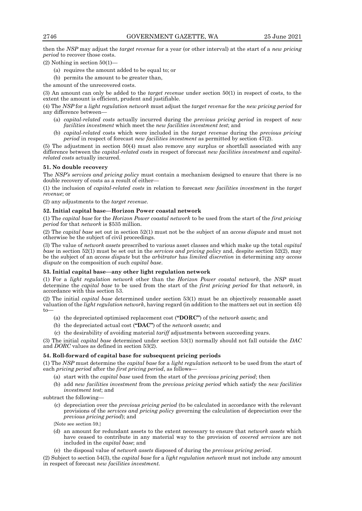then the *NSP* may adjust the *target revenue* for a year (or other interval) at the start of a *new pricing period* to recover those costs.

(2) Nothing in section 50(1)—

- (a) requires the amount added to be equal to; or
- (b) permits the amount to be greater than,

the amount of the unrecovered costs.

(3) An amount can only be added to the *target revenue* under section 50(1) in respect of costs, to the extent the amount is efficient, prudent and justifiable.

(4) The *NSP* for a *light regulation network* must adjust the *target revenue* for the *new pricing period* for any difference between—

- (a) *capital-related costs* actually incurred during the *previous pricing period* in respect of *new facilities investment* which meet the *new facilities investment test*; and
- (b) *capital-related* costs which were included in the *target revenue* during the *previous pricing period* in respect of forecast *new facilities investment* as permitted by section 47(2)*.*

(5) The adjustment in section 50(4) must also remove any surplus or shortfall associated with any difference between the *capital-related costs* in respect of forecast *new facilities investment* and *capitalrelated costs* actually incurred.

#### **51. No double recovery**

The *NSP's services and pricing policy* must contain a mechanism designed to ensure that there is no double recovery of costs as a result of either—

(1) the inclusion of *capital-related costs* in relation to forecast *new facilities investment* in the *target revenue*; or

(2) any adjustments to the *target revenue*.

## **52. Initial capital base—Horizon Power coastal network**

(1) The *capital base* for the *Horizon Power coastal network* to be used from the start of the *first pricing period* for that *network* is \$535 million.

(2) The *capital base* set out in section 52(1) must not be the subject of an *access dispute* and must not otherwise be the subject of civil proceedings.

(3) The value of *network assets* prescribed to various asset classes and which make up the total *capital base* in section 52(1) must be set out in the *services and pricing policy* and, despite section 52(2), may be the subject of an *access dispute* but the *arbitrator* has *limited discretion* in determining any *access dispute* on the composition of such *capital base*.

#### **53. Initial capital base—any other light regulation network**

(1) For a *light regulation network* other than the *Horizon Power coastal network*, the *NSP* must determine the *capital base* to be used from the start of the *first pricing period* for that *network*, in accordance with this section 53.

(2) The initial *capital base* determined under section 53(1) must be an objectively reasonable asset valuation of the *light regulation network*, having regard (in addition to the matters set out in section 45) to—

- (a) the depreciated optimised replacement cost (**"DORC"**) of the *network assets*; and
- (b) the depreciated actual cost (**"DAC"**) of the *network assets*; and
- (c) the desirability of avoiding material *tariff* adjustments between succeeding years.

(3) The initial *capital base* determined under section 53(1) normally should not fall outside the *DAC* and *DORC* values as defined in section 53(2).

## **54. Roll-forward of capital base for subsequent pricing periods**

(1) The *NSP* must determine the *capital base* for a *light regulation network* to be used from the start of each *pricing period* after the *first pricing period*, as follows—

- (a) start with the *capital base* used from the start of the *previous pricing period*; then
- (b) add *new facilities investment* from the *previous pricing period* which satisfy the *new facilities investment test*; and

subtract the following—

- (c) depreciation over the *previous pricing period* (to be calculated in accordance with the relevant provisions of the *services and pricing policy* governing the calculation of depreciation over the *previous pricing period*); and
- {Note see section 59.}
- (d) an amount for redundant assets to the extent necessary to ensure that *network assets* which have ceased to contribute in any material way to the provision of *covered services* are not included in the *capital base*; and
- (e) the disposal value of *network assets* disposed of during the *previous pricing period*.

(2) Subject to section 54(3), the *capital base* for a *light regulation network* must not include any amount in respect of forecast *new facilities investment.*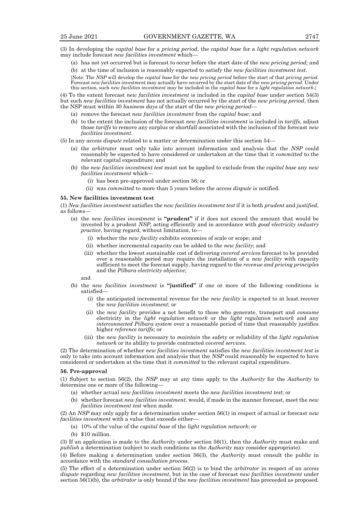(3) In developing the *capital base* for a *pricing period*, the *capital base* for a *light regulation network* may include forecast *new facilities investment* which—

(a) has not yet occurred but is forecast to occur before the start date of the *new pricing period;* and

(b) at the time of inclusion is reasonably expected to satisfy the *new facilities investment test*. {Note: The *NSP* will develop the *capital base* for the *new pricing period* before the start of that *pricing period*. Forecast *new facilities investment* may actually have occurred by the start date of the *new pricing period*. Under this section, such *new facilities investment* may be included in the *capital base* for a *light regulation network*.}

(4) To the extent forecast *new facilities investment* is included in the *capital base* under section 54(3) but such *new facilities investment* has not actually occurred by the start of the *new pricing period*, then the NSP must within 30 *business days* of the start of the *new pricing period*—

- (a) remove the forecast *new facilities investment* from the *capital base*; and
- (b) to the extent the inclusion of the forecast *new facilities investment* is included in *tariffs*, adjust those *tariffs* to remove any surplus or shortfall associated with the inclusion of the forecast *new facilities investment*.

(5) In any *access dispute* related to a matter or determination under this section 54—

- (a) the *arbitrator* must only take into account information and analysis that the *NSP* could reasonably be expected to have considered or undertaken at the time that it *committed* to the relevant capital expenditure; and
- (b) the *new facilities investment test* must not be applied to exclude from the *capital base* any *new facilities investment* which—
	- (i) has been pre-approved under section 56; or
	- (ii) was *committed* to more than 5 years before the *access dispute* is notified.

#### **55. New facilities investment test**

(1) *New facilities investment* satisfies the *new facilities investment test* if it is both *prudent* and *justified*, as follows—

- (a) the *new facilities investment* is **"prudent"** if it does not exceed the amount that would be invested by a prudent *NSP*, acting efficiently and in accordance with *good electricity industry practice*, having regard, without limitation, to-
	- (i) whether the *new facility* exhibits economies of scale or scope; and
	- (ii) whether incremental capacity can be added to the *new facility*; and
	- (iii) whether the lowest sustainable cost of delivering *covered service*s forecast to be provided over a reasonable period may require the installation of a *new facility* with capacity sufficient to meet the forecast supply, having regard to the *revenue and pricing principles* and the *Pilbara electricity objective*;

and

- (b) the *new facilities investment* is **"justified"** if one or more of the following conditions is satisfied—
	- (i) the anticipated incremental revenue for the *new facility* is expected to at least recover the *new facilities investment*; or
	- (ii) the *new facility* provides a net benefit to those who generate, transport and *consume* electricity in the *light regulation network* or the *light regulation network* and any *interconnected Pilbara system* over a reasonable period of time that reasonably justifies higher *reference tariffs*; or
	- (iii) the *new facility* is necessary to *maintain* the safety or reliability of the *light regulation network* or its ability to provide contracted *covered services*.

(2) The determination of whether *new facilities investment* satisfies the *new facilities investment test* is only to take into account information and analysis that the *NSP* could reasonably be expected to have considered or undertaken at the time that it *committed* to the relevant capital expenditure.

#### **56. Pre-approval**

(1) Subject to section 56(2), the *NSP* may at any time apply to the *Authority* for the *Authority* to determine one or more of the following—

- (a) whether actual *new facilities investment* meets the *new facilities investment test*; or
- (b) whether forecast *new facilities investment,* would, if made in the manner forecast, meet the *new facilities investment test* when made.

(2) An *NSP* may only apply for a determination under section 56(1) in respect of actual or forecast *new facilities investment* with a value that exceeds either—

- (a) 10% of the value of the *capital base* of the *light regulation network*; or
- (b) \$10 million.

(3) If an application is made to the *Authority* under section 56(1), then the *Authority* must make and *publish* a determination (subject to such conditions as the *Authority* may consider appropriate).

(4) Before making a determination under section 56(3), the *Authority* must consult the public in accordance with the *standard consultation process*.

(5) The effect of a determination under section 56(2) is to bind the *arbitrator* in respect of an *access dispute* regarding *new facilities investment*, but in the case of forecast *new facilities investment* under section 56(1)(b), the *arbitrator* is only bound if the *new facilities investment* has proceeded as proposed.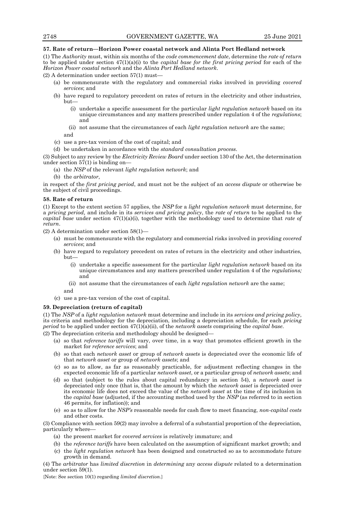## **57. Rate of return—Horizon Power coastal network and Alinta Port Hedland network**

(1) The *Authority* must, within six months of the *code commencement date*, determine the *rate of return* to be applied under section 47(1)(a)(i) to the *capital base for the first pricing period* for each of the *Horizon Power coastal network* and the *Alinta Port Hedland network*.

(2) A determination under section 57(1) must—

- (a) be commensurate with the regulatory and commercial risks involved in providing *covered services*; and
- (b) have regard to regulatory precedent on rates of return in the electricity and other industries, but—
	- (i) undertake a specific assessment for the particular *light regulation network* based on its unique circumstances and any matters prescribed under regulation 4 of the *regulations*; and
	- (ii) not assume that the circumstances of each *light regulation network* are the same;
	- and
- (c) use a pre-tax version of the cost of capital; and
- (d) be undertaken in accordance with the *standard consultation process*.

(3) Subject to any review by the *Electricity Review Board* under section 130 of the Act, the determination under section  $57(1)$  is binding on-

- (a) the *NSP* of the relevant *light regulation network*; and
- (b) the *arbitrator*,

in respect of the *first pricing period*, and must not be the subject of an *access dispute* or otherwise be the subject of civil proceedings.

### **58. Rate of return**

(1) Except to the extent section 57 applies, the *NSP* for a *light regulation network* must determine, for a *pricing period,* and include in its *services and pricing policy*, the *rate of return* to be applied to the *capital base* under section 47(1)(a)(i), together with the methodology used to determine that *rate of return*.

(2) A determination under section 58(1)—

- (a) must be commensurate with the regulatory and commercial risks involved in providing *covered services*; and
- (b) have regard to regulatory precedent on rates of return in the electricity and other industries, but—
	- (i) undertake a specific assessment for the particular *light regulation network* based on its unique circumstances and any matters prescribed under regulation 4 of the *regulations;*  and
	- (ii) not assume that the circumstances of each *light regulation network* are the same; and
- (c) use a pre-tax version of the cost of capital.

### **59. Depreciation (return of capital)**

(1) The *NSP* of a *light regulation network* must determine and include in its *services and pricing policy*, its criteria and methodology for the depreciation, including a depreciation schedule, for each *pricing period* to be applied under section 47(1)(a)(ii), of the *network assets* comprising the *capital base*.

(2) The depreciation criteria and methodology should be designed—

- (a) so that *reference tariffs* will vary, over time, in a way that promotes efficient growth in the market for *reference services*; and
- (b) so that each *network asset* or group of *network assets* is depreciated over the economic life of that *network asset* or group of *network assets*; and
- (c) so as to allow, as far as reasonably practicable, for adjustment reflecting changes in the expected economic life of a particular *network asset*, or a particular group of *network assets*; and
- (d) so that (subject to the rules about capital redundancy in section 54), a *network asset* is depreciated only once (that is, that the amount by which the *network asset* is depreciated over its economic life does not exceed the value of the *network asset* at the time of its inclusion in the *capital base* (adjusted, if the accounting method used by the *NSP* (as referred to in section 46 permits, for inflation)); and
- (e) so as to allow for the *NSP's* reasonable needs for cash flow to meet financing, *non-capital costs* and other costs.

(3) Compliance with section 59(2) may involve a deferral of a substantial proportion of the depreciation, particularly where—

- (a) the present market for *covered services* is relatively immature; and
- (b) the *reference tariffs* have been calculated on the assumption of significant market growth; and
- (c) the *light regulation network* has been designed and constructed so as to accommodate future growth in demand.

(4) The *arbitrator* has *limited discretion* in *determining* any *access dispute* related to a determination under section 59(1).

{Note: See section 10(1) regarding *limited discretion*.}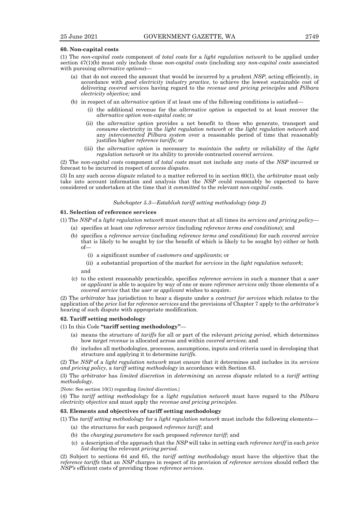#### **60. Non-capital costs**

(1) The *non-capital costs* component of *total costs* for a *light regulation network* to be applied under section 47(1)(b) must only include those *non-capital costs* (including any *non-capital costs* associated with pursuing *alternative options*)—

- (a) that do not exceed the amount that would be incurred by a prudent *NSP*, acting efficiently, in accordance with *good electricity industry practice*, to achieve the lowest sustainable cost of delivering *covered service*s having regard to the *revenue and pricing principles* and *Pilbara electricity objective;* and
- (b) in respect of an *alternative option* if at least one of the following conditions is satisfied—
	- (i) the additional revenue for the *alternative option* is expected to at least recover the *alternative option non-capital costs*; or
	- (ii) the *alternative option* provides a net benefit to those who generate, transport and *consume* electricity in the *light regulation network* or the *light regulation network* and any *interconnected Pilbara system* over a reasonable period of time that reasonably justifies higher *reference tariffs*; or
	- (iii) the *alternative option* is necessary to *maintain* the safety or reliability of the *light regulation network* or its ability to provide contracted *covered services*.

(2) The *non-capital costs* component of *total costs* must not include any costs of the *NSP* incurred or forecast to be incurred in respect of *access disputes*.

(3) In any such *access dispute* related to a matter referred to in section 60(1), the *arbitrator* must only take into account information and analysis that the *NSP* could reasonably be expected to have considered or undertaken at the time that it *committed* to the relevant *non-capital costs.*

## *Subchapter 5.3—Establish tariff setting methodology (step 2)*

# **61. Selection of reference services**

- (1) The *NSP* of a *light regulation network* must ensure that at all times its *services and pricing policy*
	- (a) specifies at least one *reference service* (including *reference terms and conditions*); and
	- (b) specifies a *reference service* (including *reference terms and conditions*) for each *covered service* that is likely to be sought by (or the benefit of which is likely to be sought by) either or both of—
		- (i) a significant number of *customers and applicants*; or
		- (ii) a substantial proportion of the market for *services* in the *light regulation network*;

and

(c) to the extent reasonably practicable, specifies *reference services* in such a manner that a *user* or *applicant* is able to acquire by way of one or more *reference services* only those elements of a *covered service* that the *user* or *applicant* wishes to acquire.

(2) The *arbitrator* has jurisdiction to hear a dispute under a *contract for services* which relates to the application of the *price list* for *reference services* and the provisions of Chapter 7 apply to the *arbitrator's* hearing of such dispute with appropriate modification.

# **62. Tariff setting methodology**

(1) In this Code **"tariff setting methodology"**—

- (a) means the structure of *tariffs* for all or part of the relevant *pricing period*, which determines how *target revenue* is allocated across and within *covered services*; and
- (b) includes all methodologies, processes, assumptions, inputs and criteria used in developing that structure and applying it to determine *tariffs*.

(2) The *NSP* of a *light regulation network* must ensure that it determines and includes in its *services and pricing policy*, a *tariff setting methodology* in accordance with Section 63.

(3) The *arbitrator* has *limited discretion* in *determining* an *access dispute* related to a *tariff setting methodology*.

{Note: See section 10(1) regarding *limited discretion*.}

(4) The *tariff setting methodology* for a *light regulation network* must have regard to the *Pilbara electricity objective* and must apply the *revenue and pricing principles*.

#### **63. Elements and objectives of tariff setting methodology**

(1) The *tariff setting methodology* for a *light regulation network* must include the following elements—

- (a) the structures for each proposed *reference tariff*; and
- (b) the *charging parameters* for each proposed *reference tariff*; and
- (c) a description of the approach that the *NSP* will take in setting each *reference tariff* in each *price list* during the relevant *pricing period.*

(2) Subject to sections 64 and 65, the *tariff setting methodology* must have the objective that the *reference tariffs* that an *NSP* charges in respect of its provision of *reference services* should reflect the *NSP's* efficient costs of providing those *reference services*.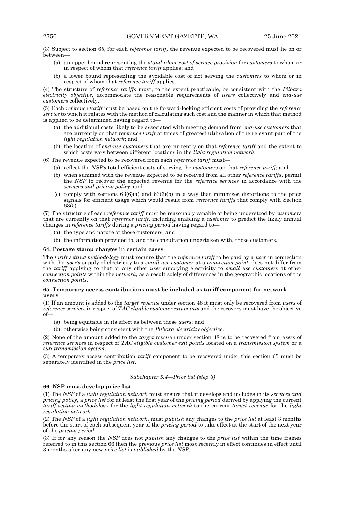(3) Subject to section 65, for each *reference tariff,* the revenue expected to be recovered must lie on or between—

- (a) an upper bound representing the *stand-alone cost of service provision* for *customers* to whom or in respect of whom that *reference tariff* applies; and
- (b) a lower bound representing the avoidable cost of not serving the *customers* to whom or in respect of whom that *reference tariff* applies.

(4) The structure of *reference tariffs* must, to the extent practicable, be consistent with the *Pilbara electricity objective*, accommodate the reasonable requirements of *users* collectively and *end-use customers* collectively.

(5) Each *reference tariff* must be based on the forward-looking efficient costs of providing the *reference service* to which it relates with the method of calculating such cost and the manner in which that method is applied to be determined having regard to—

- (a) the additional costs likely to be associated with meeting demand from *end-use customers* that are currently on that *reference tariff* at times of greatest utilisation of the relevant part of the *light regulation network*; and
- (b) the location of *end-use customers* that are currently on that *reference tariff* and the extent to which costs vary between different locations in the *light regulation network.*

(6) The revenue expected to be recovered from each *reference tariff* must—

- (a) reflect the *NSP's* total efficient costs of serving the *customers* on that *reference tariff*; and
	- (b) when summed with the revenue expected to be received from all other *reference tariffs*, permit the *NSP* to recover the expected revenue for the *reference services* in accordance with the *services and pricing policy*; and
	- (c) comply with sections  $63(6)(a)$  and  $63(6)(b)$  in a way that minimises distortions to the price signals for efficient usage which would result from *reference tariffs* that comply with Section 63(5).

(7) The structure of each *reference tariff* must be reasonably capable of being understood by *customers* that are currently on that *reference tariff*, including enabling a *customer* to predict the likely annual changes in *reference tariffs* during a *pricing period* having regard to—

- (a) the type and nature of those customers; and
- (b) the information provided to, and the consultation undertaken with, those customers.

#### **64. Postage stamp charges in certain cases**

The *tariff setting methodology* must require that the *reference tariff* to be paid by a *user* in connection with the *user's* supply of electricity to a *small use customer* at a *connection point*, does not differ from the *tariff* applying to that or any other *user* supplying electricity to *small use customers* at other *connection points* within the *network*, as a result solely of differences in the geographic locations of the *connection points*.

## **65. Temporary access contributions must be included as tariff component for network users**

(1) If an amount is added to the *target revenue* under section 48 it must only be recovered from *users* of *reference services* in respect of *TAC eligible customer exit points* and the recovery must have the objective of—

- (a) being equitable in its effect as between those *users*; and
- (b) otherwise being consistent with the *Pilbara electricity objective*.

(2) None of the amount added to the *target revenue* under section 48 is to be recovered from *users* of *reference services* in respect of *TAC eligible customer exit points* located on a *transmission system* or a *sub-transmission system*.

(3) A temporary access contribution *tariff* component to be recovered under this section 65 must be separately identified in the *price list*.

### *Subchapter 5.4—Price list (step 3)*

#### **66. NSP must develop price list**

(1) The *NSP* of a *light regulation network* must ensure that it develops and includes in its *services and pricing policy*, a *price list* for at least the first year of the *pricing period* derived by applying the current *tariff setting methodology* for the *light regulation network* to the current *target revenue* for the *light regulation network.*

(2) The *NSP* of a *light regulation network*, must *publish* any changes to the *price list* at least 3 months before the start of each subsequent year of the *pricing period* to take effect at the start of the next year of the *pricing period*.

(3) If for any reason the *NSP* does not *publish* any changes to the *price list* within the time frames referred to in this section 66 then the previous *price list* most recently in effect continues in effect until 3 months after any new *price list* is *published* by the *NSP*.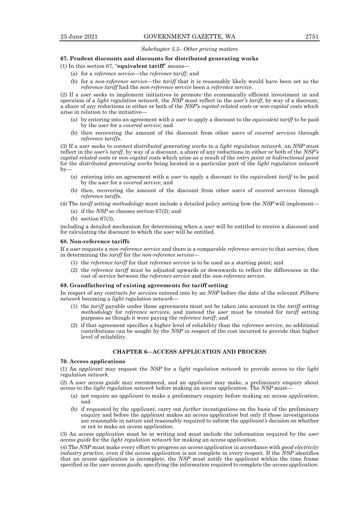## *Subchapter 5.5– Other pricing matters*

### **67. Prudent discounts and discounts for distributed generating works**

(1) In this section 67, "**equivalent tariff**" means—

- (a) for a *reference service*—the *reference tariff*; and
- (b) for a *non-reference service*—the *tariff* that it is reasonably likely would have been set as the *reference tariff* had the *non-reference service* been a *reference service*.

(2) If a *user* seeks to implement initiatives to promote the economically efficient investment in and operation of a *light regulation network*, the *NSP* must reflect in the *user's tariff*, by way of a discount, a share of any reductions in either or both of the *NSP's capital-related costs* or *non-capital costs* which arise in relation to the initiative—

- (a) by entering into an agreement with a *user* to apply a discount to the *equivalent tariff* to be paid by the *user* for a *covered service*; and
- (b) then recovering the amount of the discount from other *users* of *covered services* through *reference tariffs*.

(3) If a *user* seeks to *connect distributed generating works* to a *light regulation network*, an *NSP* must reflect in the *user's tariff*, by way of a discount, a share of any reductions in either or both of the *NSP's capital-related costs* or *non-capital costs* which arise as a result of the *entry point* or *bidirectional point* for the *distributed generating works* being located in a particular part of the *light regulation network* by—

- (a) entering into an agreement with a *user* to apply a discount to the equivalent *tariff* to be paid by the *user* for a *covered service*; and
- (b) then, recovering the amount of the discount from other *users* of *covered services* through *reference tariffs*.
- (4) The *tariff setting methodology* must include a detailed policy setting how the *NSP* will implement—
	- (a) if the *NSP* so chooses section 67(2); and
	- (b) section 67(3),

including a detailed mechanism for determining when a *user* will be entitled to receive a discount and for calculating the discount to which the *user* will be entitled.

#### **68. Non-reference tariffs**

If a *user* requests a *non-reference service* and there is a comparable *reference service* to that service*,* then in determining the *tariff* for the *non-reference service*—

- (1) the *reference tariff* for that *reference service* is to be used as a starting point; and
- (2) the *reference tariff* must be adjusted upwards or downwards to reflect the differences in the cost of service between the *reference service* and the *non-reference service*.

#### **69. Grandfathering of existing agreements for tariff setting**

In respect of any *contracts for services* entered into by an *NSP* before the date of the relevant *Pilbara network* becoming a *light regulation network*—

- (1) the *tariff* payable under those agreements must not be taken into account in the *tariff setting methodology* for *reference services*, and instead the *user* must be treated for *tariff* setting purposes as though it were paying the *reference tariff*; and
- (2) if that agreement specifies a higher level of reliability than the *reference service*, no additional contributions can be sought by the *NSP* in respect of the cost incurred to provide that higher level of reliability.

## **CHAPTER 6—ACCESS APPLICATION AND PROCESS**

# **70. Access applications**

(1) An *applicant* may request the *NSP* for a *light regulation network* to provide *access* to the *light regulation network*.

(2) A *user access guide* may recommend, and an *applicant* may make, a preliminary enquiry about *access* to the *light regulation network* before making an *access application*. The *NSP* must—

- (a) not require an *applicant* to make a preliminary enquiry before making an *access application*; and
- (b) if requested by the *applicant*, carry out *further investigations* on the basis of the preliminary enquiry and before the *applicant* makes an *access application* but only if those investigations are reasonable in nature and reasonably required to inform the *applicant's* decision on whether or not to make an *access application*.

(3) An *access application* must be in writing and must include the information required by the *user access guide* for the *light regulation network* for making an *access application*.

(4) The *NSP* must make every effort to progress an *access application* in accordance with *good electricity industry practice*, even if the *access application* is not complete in every respect. If the *NSP* identifies that an *access application* is incomplete, the *NSP* must notify the *applicant* within the time frame specified in the *user access guide,* specifying the information required to complete the *access application*.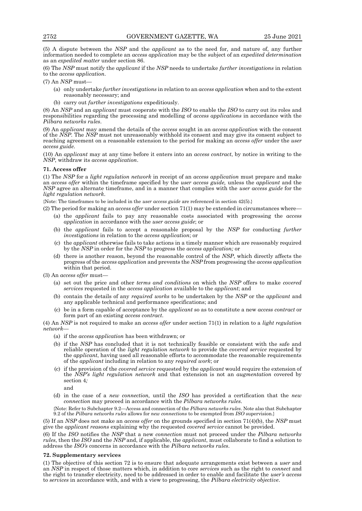(5) A dispute between the *NSP* and the *applicant* as to the need for, and nature of, any further information needed to complete an *access application* may be the subject of an *expedited determination* as an *expedited matter* under section 86.

(6) The *NSP* must notify the *applicant* if the *NSP* needs to undertake *further investigations* in relation to the *access application*.

(7) An *NSP* must—

- (a) only undertake *further investigations* in relation to an *access application* when and to the extent reasonably necessary; and
- (b) carry out *further investigations* expeditiously.

(8) An *NSP* and an *applicant* must cooperate with the *ISO* to enable the *ISO* to carry out its roles and responsibilities regarding the processing and modelling of *access applications* in accordance with the *Pilbara networks rules*.

(9) An *applicant* may amend the details of the *access* sought in an *access application* with the consent of the *NSP*. The *NSP* must not unreasonably withhold its consent and may give its consent subject to reaching agreement on a reasonable extension to the period for making an *access offer* under the *user access guide*.

(10) An *applicant* may at any time before it enters into an *access contract*, by notice in writing to the *NSP*, withdraw its *access application*.

## **71. Access offer**

(1) The *NSP* for a *light regulation network* in receipt of an *access application* must prepare and make an *access offer* within the timeframe specified by the *user access guide,* unless the *applicant* and the *NSP* agree an alternate timeframe, and in a manner that complies with the *user access guide* for the *light regulation network*.

{Note: The timeframes to be included in the *user access guide* are referenced in section 42(5).}

(2) The period for making an *access offer* under section 71(1) may be extended in circumstances where—

- (a) the *applicant* fails to pay any reasonable costs associated with progressing the *access application* in accordance with the *user access guide*; or
- (b) the *applicant* fails to accept a reasonable proposal by the *NSP* for conducting *further investigations* in relation to the *access application*; or
- (c) the *applicant* otherwise fails to take actions in a timely manner which are reasonably required by the *NSP* in order for the *NSP* to progress the *access application;* or
- (d) there is another reason, beyond the reasonable control of the *NSP*, which directly affects the progress of the *access application* and prevents the *NSP* from progressing the *access application* within that period.
- (3) An *access offer* must—
	- (a) set out the price and other *terms and conditions* on which the *NSP* offers to make *covered services* requested in the *access application* available to the *applicant*; and
	- (b) contain the details of any *required works* to be undertaken by the *NSP* or the *applicant* and any applicable technical and performance specifications; and
	- (c) be in a form capable of acceptance by the *applicant* so as to constitute a new *access contract* or form part of an existing *access contract*.

(4) An *NSP* is not required to make an *access offer* under section 71(1) in relation to a *light regulation network*—

- (a) if the *access application* has been withdrawn; or
- (b) if the *NSP* has concluded that it is not technically feasible or consistent with the safe and reliable operation of the *light regulation network* to provide the *covered service* requested by the *applicant*, having used all reasonable efforts to accommodate the reasonable requirements of the *applicant* including in relation to any *required work*; or
- (c) if the provision of the *covered service* requested by the *applicant* would require the extension of the *NSP's light regulation network* and that extension is not an *augmentation* covered by section 4*;*
	- and
- (d) in the case of a *new connection,* until the *ISO* has provided a certification that the *new connection* may proceed in accordance with the *Pilbara networks rules*.

{Note: Refer to Subchapter 9.2—Access and connection of the *Pilbara networks rules*. Note also that Subchapter 9.2 of the *Pilbara networks rules* allows for *new connections* to be exempted from *ISO* supervision.}

(5) If an *NSP* does not make an *access offer* on the grounds specified in section 71(4)(b), the *NSP* must give the *applicant reasons* explaining why the requested *covered service* cannot be provided.

(6) If the *ISO* notifies the *NSP* that a new *connection* must not proceed under the *Pilbara networks rules*, then the *ISO* and the *NSP* and, if applicable, the *applicant*, must collaborate to find a solution to address the *ISO's* concerns in accordance with the *Pilbara networks rules*.

## **72. Supplementary services**

(1) The objective of this section 72 is to ensure that adequate arrangements exist between a *user* and an *NSP* in respect of those matters which, in addition to core *services* such as the right to *connect* and the right to transfer electricity, need to be addressed in order to enable and facilitate the *user's access* to *services* in accordance with, and with a view to progressing, the *Pilbara electricity objective*.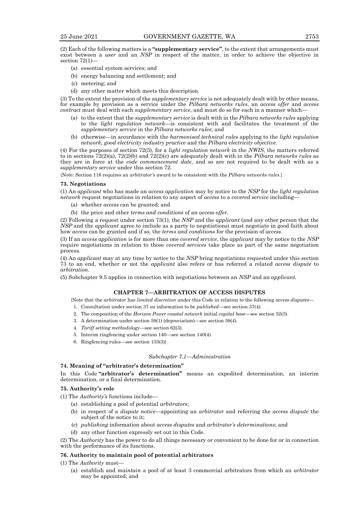(2) Each of the following matters is a **"supplementary service"**, to the extent that arrangements must exist between a *user* and an *NSP* in respect of the matter, in order to achieve the objective in section  $72(1)$ 

- (a) essential system services; and
- (b) energy balancing and settlement; and
- (c) metering; and
- (d) any other matter which meets this description.

(3) To the extent the provision of the *supplementary service* is not adequately dealt with by other means, for example by provision as a service under the *Pilbara networks rules*, an *access offer* and *access contract* must deal with each *supplementary service*, and must do so for each in a manner which—

- (a) to the extent that the *supplementary service* is dealt with in the *Pilbara networks rules* applying to the *light regulation network*—is consistent with and facilitates the treatment of the *supplementary service* in the *Pilbara networks rules*; and
- (b) otherwise—in accordance with the *harmonised technical rules* applying to the *light regulation network, good electricity industry practice* and the *Pilbara electricity objective*.

(4) For the purposes of section 72(3), for a *light regulation network* in the *NWIS*, the matters referred to in sections 72(2)(a), 72(2)(b) and 72(2)(c) are adequately dealt with in the *Pilbara networks rules* as they are in force at the *code commencement date*, and so are not required to be dealt with as a *supplementary service* under this section 72.

{Note: Section 116 requires an *arbitrator's* award to be consistent with the *Pilbara networks rules*.}

#### **73. Negotiations**

(1) An *applicant* who has made an *access application* may by notice to the *NSP* for the *light regulation network* request negotiations in relation to any aspect of *access* to a *covered service* including—

- (a) whether *access* can be granted; and
- (b) the price and other *terms and conditions* of an *access offer*.

(2) Following a request under section 73(1), the *NSP* and the *applicant* (and any other person that the *NSP* and the *applicant* agree to include as a party to negotiations) must negotiate in good faith about how *access* can be granted and if so, the *terms and conditions* for the provision of *access*.

(3) If an *access application* is for more than one *covered service*, the *applicant* may by notice to the *NSP* require negotiations in relation to those *covered services* take place as part of the same negotiation process.

(4) An *applicant* may at any time by notice to the *NSP* bring negotiations requested under this section 73 to an end, whether or not the *applicant* also refers or has referred a related *access dispute* to *arbitration*.

(5) Subchapter 9.5 applies in connection with negotiations between an *NSP* and an *applicant.*

## **CHAPTER 7—ARBITRATION OF ACCESS DISPUTES**

{Note that the *arbitrator* has *limited discretion* under this Code in relation to the following *access disputes*—

- 1. Consultation under section 37 on information to be *published—*see section 37(4).
- 2. The composition of the *Horizon Power coastal network* initial *capital base*—see section 52(3).
- 3. A determination under section 59(1) (depreciation)—see section 59(4).
- 4. *Tariff setting methodology*—see section 62(3).
- 5. Interim ringfencing under section 140—see section 140(4).
- 6. Ringfencing rules—see section 133(3)}

### *Subchapter 7.1—Administration*

## **74. Meaning of "arbitrator's determination"**

In this Code **"arbitrator's determination"** means an expedited determination, an interim determination, or a final determination.

## **75. Authority's role**

(1) The *Authority's* functions include—

- (a) establishing a pool of potential *arbitrators*;
- (b) in respect of a *dispute notice—*appointing an *arbitrator* and referring the *access dispute* the subject of the notice to it;
- (c) *publishing* information about *access disputes* and *arbitrator's determinations*; and
- (d) any other function expressly set out in this Code.

(2) The *Authority* has the power to do all things necessary or convenient to be done for or in connection with the performance of its functions.

## **76. Authority to maintain pool of potential arbitrators**

(1) The *Authority* must—

(a) establish and *maintain* a pool of at least 3 commercial arbitrators from which an *arbitrator* may be appointed; and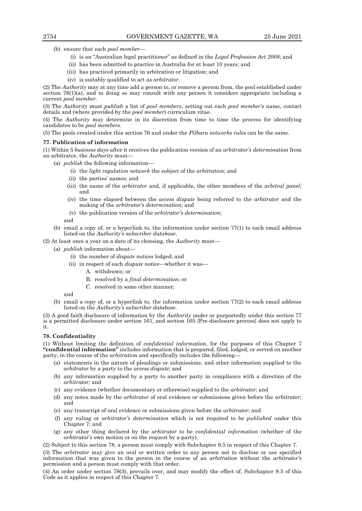- (b) ensure that each *pool member*
	- (i) is an "Australian legal practitioner" as defined in the *Legal Profession Act 2008*; and
	- (ii) has been admitted to practice in Australia for at least 10 years; and
	- (iii) has practiced primarily in arbitration or litigation; and
	- (iv) is suitably qualified to act as *arbitrator*.

(2) The *Authority* may at any time add a person to, or remove a person from, the pool established under section 76(1)(a), and in doing so may consult with any person it considers appropriate including a current *pool member*.

(3) The *Authority* must *publish* a list of *pool members*, setting out each *pool member's* name, contact details and (where provided by the *pool member*) curriculum vitae.

(4) The *Authority* may determine in its discretion from time to time the process for identifying candidates to be *pool members*.

(5) The pools created under this section 76 and under the *Pilbara networks rules* can be the same.

## **77. Publication of information**

(1) Within 5 *business days* after it receives the publication version of an *arbitrator's determination* from an arbitrator, the *Authority* must—

- (a) *publish* the following information—
	- (i) the *light regulation network* the subject of the *arbitration*; and
	- (ii) the parties' names; and
	- (iii) the name of the *arbitrator* and, if applicable, the other members of the *arbitral panel*; and
	- (iv) the time elapsed between the *access dispute* being referred to the *arbitrator* and the making of the *arbitrator's determination*; and
	- (v) the publication version of the *arbitrator's determination*;

and

- (b) email a copy of, or a hyperlink to, the information under section 77(1) to each email address listed on the *Authority's subscriber database*.
- (2) At least once a year on a date of its choosing, the *Authority* must—
	- (a) *publish* information about—
		- (i) the number of *dispute notices* lodged; and
		- (ii) in respect of each *dispute notice*—whether it was—
			- A. withdrawn; or
			- B. resolved by a *final determination*; or
			- C. resolved in some other manner;

and

(b) email a copy of, or a hyperlink to, the information under section 77(2) to each email address listed on the *Authority's subscriber database.*

(3) A good faith disclosure of information by the *Authority* under or purportedly under this section 77 is a permitted disclosure under section 161, and section 165 {Pre-disclosure process} does not apply to it.

# **78. Confidentiality**

(1) Without limiting the definition of *confidential information*, for the purposes of this Chapter 7 **"confidential information"** includes information that is prepared, filed, lodged, or served on another party, in the course of the *arbitration* and specifically includes the following—

- (a) statements in the nature of pleadings or submissions, and other information supplied to the *arbitrator* by a party to the *access dispute*; and
- (b) any information supplied by a party to another party in compliance with a direction of the *arbitrator*; and
- (c) any evidence (whether documentary or otherwise) supplied to the *arbitrator*; and
- (d) any notes made by the *arbitrator* of oral evidence or submissions given before the *arbitrator*; and
- (e) any transcript of oral evidence or submissions given before the *arbitrator*; and
- (f) any ruling or *arbitrator's determination* which is not required to be *published* under this Chapter 7; and
- (g) any other thing declared by the *arbitrator* to be *confidential information* (whether of the *arbitrator's* own motion or on the request by a party).

(2) Subject to this section 78, a person must comply with Subchapter 9.5 in respect of this Chapter 7. (3) The *arbitrator* may give an oral or written order to any person not to disclose or use specified information that was given to the person in the course of an *arbitration* without the *arbitrator's* permission and a person must comply with that order.

(4) An order under section 78(3), prevails over, and may modify the effect of, Subchapter 9.5 of this Code as it applies in respect of this Chapter 7.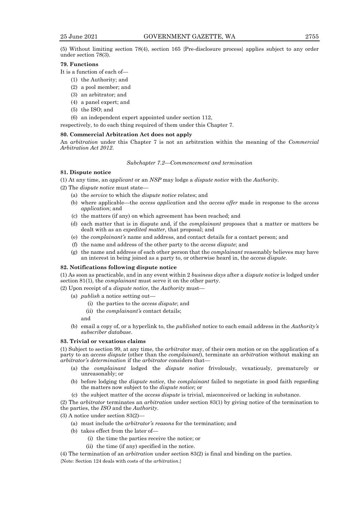(5) Without limiting section 78(4), section 165 {Pre-disclosure process} applies subject to any order under section 78(3).

# **79. Functions**

It is a function of each of—

- (1) the Authority; and
- (2) a pool member; and
- (3) an arbitrator; and
- (4) a panel expert; and
- (5) the ISO; and
- (6) an independent expert appointed under section 112,

respectively, to do each thing required of them under this Chapter 7.

### **80. Commercial Arbitration Act does not apply**

An *arbitration* under this Chapter 7 is not an arbitration within the meaning of the *Commercial Arbitration Act 2012*.

#### *Subchapter 7.2—Commencement and termination*

# **81. Dispute notice**

(1) At any time, an *applicant* or an *NSP* may lodge a *dispute notice* with the *Authority*.

- (2) The *dispute notice* must state—
	- (a) the *service* to which the *dispute notice* relates; and
	- (b) where applicable—the *access application* and the *access offer* made in response to the *access application*; and
	- (c) the matters (if any) on which agreement has been reached; and
	- (d) each matter that is in dispute and, if the *complainant* proposes that a matter or matters be dealt with as an *expedited matter*, that proposal; and
	- (e) the *complainant's* name and address, and contact details for a contact person; and
	- (f) the name and address of the other party to the *access dispute*; and
	- (g) the name and address of each other person that the *complainant* reasonably believes may have an interest in being joined as a party to, or otherwise heard in, the *access dispute*.

## **82. Notifications following dispute notice**

(1) As soon as practicable, and in any event within 2 *business days* after a *dispute notice* is lodged under section 81(1), the *complainant* must serve it on the other party.

(2) Upon receipt of a *dispute notice*, the *Authority* must—

- (a) *publish* a notice setting out—
	- (i) the parties to the *access dispute*; and
	- (ii) the *complainant's* contact details;

and

(b) email a copy of, or a hyperlink to, the *published* notice to each email address in the *Authority's subscriber database*.

#### **83. Trivial or vexatious claims**

(1) Subject to section 99, at any time, the *arbitrator* may, of their own motion or on the application of a party to an *access dispute* (other than the *complainant*), terminate an *arbitration* without making an *arbitrator's determination* if the *arbitrator* considers that—

- (a) the *complainant* lodged the *dispute notice* frivolously, vexatiously, prematurely or unreasonably; or
- (b) before lodging the *dispute notice*, the *complainant* failed to negotiate in good faith regarding the matters now subject to the *dispute notice*; or
- (c) the subject matter of the *access dispute* is trivial, misconceived or lacking in substance.

(2) The *arbitrator* terminates an *arbitration* under section 83(1) by giving notice of the termination to the parties, the *ISO* and the *Authority*.

(3) A notice under section 83(2)—

- (a) must include the *arbitrator's reasons* for the termination; and
- (b) takes effect from the later of—
	- (i) the time the parties receive the notice; or
	- (ii) the time (if any) specified in the notice.

(4) The termination of an *arbitration* under section 83(2) is final and binding on the parties. {Note: Section 124 deals with costs of the *arbitration*.}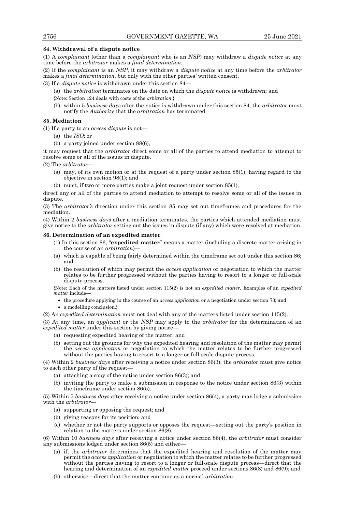## **84. Withdrawal of a dispute notice**

(1) A *complainant* (other than a *complainant* who is an *NSP*) may withdraw a *dispute notice* at any time before the *arbitrator* makes a *final determination*.

(2) If the *complainant* is an *NSP*, it may withdraw a *dispute notice* at any time before the *arbitrator* makes a *final determination,* but only with the other parties*'* written consent.

(3) If a *dispute notice* is withdrawn under this section 84—

(a) the *arbitration* terminates on the date on which the *dispute notice* is withdrawn; and

{Note: Section 124 deals with costs of the *arbitration*.}

(b) within 5 *business days* after the notice is withdrawn under this section 84, the *arbitrator* must notify the *Authority* that the *arbitration* has terminated.

## **85. Mediation**

(1) If a party to an *access dispute* is not—

- (a) the *ISO*; or
- (b) a party joined under section 88(6),

it may request that the *arbitrator* direct some or all of the parties to attend mediation to attempt to resolve some or all of the issues in dispute.

(2) The *arbitrator*—

- (a) may, of its own motion or at the request of a party under section 85(1), having regard to the objective in section 98(1); and
- (b) must, if two or more parties make a joint request under section 85(1)*,*

direct any or all of the parties to attend mediation to attempt to resolve some or all of the issues in dispute.

(3) The *arbitrator's* direction under this section 85 may set out timeframes and procedures for the mediation.

(4) Within 2 *business days* after a mediation terminates, the parties which attended mediation must give notice to the *arbitrator* setting out the issues in dispute (if any) which were resolved at mediation.

## **86. Determination of an expedited matter**

- (1) In this section 86, "**expedited matter**" means a matter (including a discrete matter arising in the course of an *arbitration*)—
- (a) which is capable of being fairly determined within the timeframe set out under this section 86; and
- (b) the resolution of which may permit the *access application* or negotiation to which the matter relates to be further progressed without the parties having to resort to a longer or full-scale dispute process.

{Note: Each of the matters listed under section 115(2) is not an *expedited matter.* Examples of an *expedited matter* include—

- the procedure applying in the course of an *access application* or a negotiation under section 73; and
- a modelling conclusion.}

(2) An *expedited determination* must not deal with any of the matters listed under section 115(2).

(3) At any time, an *applicant* or the *NSP* may apply to the *arbitrator* for the determination of an *expedited matter* under this section by giving notice-

- (a) requesting expedited hearing of the matter; and
- (b) setting out the grounds for why the expedited hearing and resolution of the matter may permit the *access application* or negotiation to which the matter relates to be further progressed without the parties having to resort to a longer or full-scale dispute process.

(4) Within 2 *business days* after receiving a notice under section 86(3), the *arbitrator* must give notice to each other party of the request—

- (a) attaching a copy of the notice under section 86(3); and
- (b) inviting the party to make a submission in response to the notice under section 86(3) within the timeframe under section 86(5).

(5) Within 5 *business days* after receiving a notice under section 86(4), a party may lodge a submission with the *arbitrator*—

- (a) supporting or opposing the request; and
- (b) giving reasons for its position; and
- (c) whether or not the party supports or opposes the request—setting out the party's position in relation to the matters under section  $86(8)$ .

(6) Within 10 *business days* after receiving a notice under section 86(4), the *arbitrator* must consider any submissions lodged under section 86(5) and either—

- (a) if, the *arbitrator* determines that the expedited hearing and resolution of the matter may permit the *access application* or negotiation to which the matter relates to be further progressed without the parties having to resort to a longer or full-scale dispute process—direct that the hearing and determination of an *expedited matter* proceed under sections 86(8) and 86(9); and
- (b) otherwise—direct that the matter continue as a normal *arbitration*.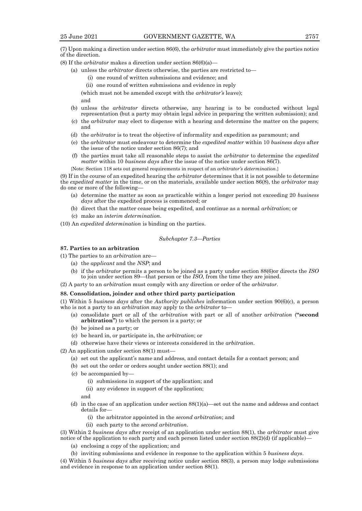(7) Upon making a direction under section 86(6), the *arbitrator* must immediately give the parties notice of the direction.

- (8) If the *arbitrator* makes a direction under section 86(6)(a)—
	- (a) unless the *arbitrator* directs otherwise, the parties are restricted to—
		- (i) one round of written submissions and evidence; and
		- (ii) one round of written submissions and evidence in reply
		- (which must not be amended except with the *arbitrator's* leave);
		- and
	- (b) unless the *arbitrator* directs otherwise, any hearing is to be conducted without legal representation (but a party may obtain legal advice in preparing the written submission); and
	- (c) the *arbitrator* may elect to dispense with a hearing and determine the matter on the papers; and
	- (d) the *arbitrato*r is to treat the objective of informality and expedition as paramount; and
	- (e) the *arbitrator* must endeavour to determine the *expedited matter* within 10 *business days* after the issue of the notice under section 86(7); and
	- (f) the parties must take all reasonable steps to assist the *arbitrator* to determine the *expedited matter* within 10 *business days* after the issue of the notice under section 86(7).
	- {Note: Section 118 sets out general requirements in respect of an *arbitrator's determination*.}

(9) If in the course of an expedited hearing the *arbitrator* determines that it is not possible to determine the *expedited matter* in the time, or on the materials, available under section 86(8), the *arbitrator* may do one or more of the following—

- (a) determine the matter as soon as practicable within a longer period not exceeding 20 *business days* after the expedited process is commenced; or
- (b) direct that the matter cease being expedited, and continue as a normal *arbitration*; or
- (c) make an *interim determination*.

(10) An *expedited determination* is binding on the parties.

# *Subchapter 7.3—Parties*

# **87. Parties to an arbitration**

- (1) The parties to an *arbitration* are—
	- (a) the *applicant* and the *NSP*; and
	- (b) if the *arbitrator* permits a person to be joined as a party under section 88(6)or directs the *ISO* to join under section 89—that person or the *ISO*, from the time they are joined.
- (2) A party to an *arbitration* must comply with any direction or order of the *arbitrator*.

#### **88. Consolidation, joinder and other third party participation**

(1) Within 5 *business days* after the *Authority publishes* information under section 90(6)(c), a person who is not a party to an *arbitration* may apply to the *arbitrator* to—

- (a) consolidate part or all of the *arbitration* with part or all of another *arbitration* (**"second arbitration"**) to which the person is a party; or
- (b) be joined as a party; or
- (c) be heard in, or participate in, the *arbitration*; or
- (d) otherwise have their views or interests considered in the *arbitration*.
- (2) An application under section 88(1) must—
	- (a) set out the applicant's name and address, and contact details for a contact person; and
	- (b) set out the order or orders sought under section 88(1); and
	- (c) be accompanied by—
		- (i) submissions in support of the application; and
		- (ii) any evidence in support of the application;
		- and
	- (d) in the case of an application under section 88(1)(a)—set out the name and address and contact details for—
		- (i) the arbitrator appointed in the *second arbitration*; and
		- (ii) each party to the *second arbitration*.

(3) Within 2 *business days* after receipt of an application under section 88(1), the *arbitrator* must give notice of the application to each party and each person listed under section 88(2)(d) (if applicable)—

- (a) enclosing a copy of the application; and
- (b) inviting submissions and evidence in response to the application within 5 *business days*.

(4) Within 5 *business days* after receiving notice under section 88(3), a person may lodge submissions and evidence in response to an application under section 88(1).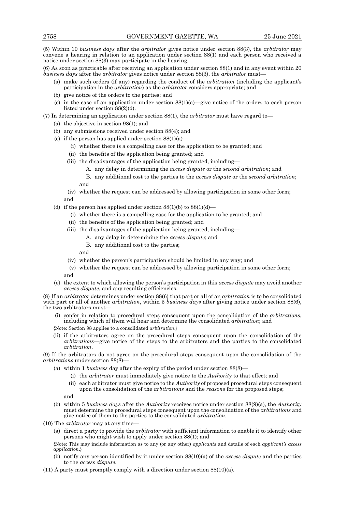(5) Within 10 *business days* after the *arbitrator* gives notice under section 88(3), the *arbitrator* may convene a hearing in relation to an application under section 88(1) and each person who received a notice under section 88(3) may participate in the hearing.

(6) As soon as practicable after receiving an application under section 88(1) and in any event within 20 *business days* after the *arbitrator* gives notice under section 88(3), the *arbitrator* must—

- (a) make such orders (if any) regarding the conduct of the *arbitration* (including the applicant's participation in the *arbitration*) as the *arbitrator* considers appropriate; and
- (b) give notice of the orders to the parties; and
- (c) in the case of an application under section  $88(1)(a)$ —give notice of the orders to each person listed under section 88(2)(d).

(7) In determining an application under section 88(1), the *arbitrator* must have regard to—

- (a) the objective in section 98(1); and
- (b) any submissions received under section 88(4); and
- (c) if the person has applied under section  $88(1)(a)$ 
	- (i) whether there is a compelling case for the application to be granted; and
	- (ii) the benefits of the application being granted; and
	- (iii) the disadvantages of the application being granted, including—
		- A. any delay in determining the *access dispute* or the *second arbitration*; and
		- B. any additional cost to the parties to the *access dispute* or the *second arbitration*; and
	- (iv) whether the request can be addressed by allowing participation in some other form; and
- (d) if the person has applied under section  $88(1)(b)$  to  $88(1)(d)$ 
	- (i) whether there is a compelling case for the application to be granted; and
	- (ii) the benefits of the application being granted; and
	- (iii) the disadvantages of the application being granted, including—
		- A. any delay in determining the *access dispute*; and
		- B. any additional cost to the parties;

and

- (iv) whether the person's participation should be limited in any way; and
- (v) whether the request can be addressed by allowing participation in some other form; and
- (e) the extent to which allowing the person's participation in this *access dispute* may avoid another *access dispute*, and any resulting efficiencies.

(8) If an *arbitrator* determines under section 88(6) that part or all of an *arbitration* is to be consolidated with part or all of another *arbitration*, within 5 *business days* after giving notice under section 88(6), the two arbitrators must—

- (i) confer in relation to procedural steps consequent upon the consolidation of the *arbitrations*, including which of them will hear and determine the consolidated *arbitration*; and
- {Note: Section 98 applies to a consolidated *arbitration*.}
- (ii) if the arbitrators agree on the procedural steps consequent upon the consolidation of the *arbitrations*—give notice of the steps to the arbitrators and the parties to the consolidated *arbitration*.

(9) If the arbitrators do not agree on the procedural steps consequent upon the consolidation of the *arbitrations* under section 88(8)—

- (a) within 1 *business* day after the expiry of the period under section 88(8)—
	- (i) the *arbitrator* must immediately give notice to the *Authority* to that effect; and
	- (ii) each arbitrator must give notice to the *Authority* of proposed procedural steps consequent upon the consolidation of the *arbitrations* and the *reasons* for the proposed steps;

and

- (b) within 5 *business days* after the *Authority* receives notice under section 88(9)(a), the *Authority* must determine the procedural steps consequent upon the consolidation of the *arbitrations* and give notice of them to the parties to the consolidated *arbitration*.
- (10) The *arbitrator* may at any time—
	- (a) direct a party to provide the *arbitrator* with sufficient information to enable it to identify other persons who might wish to apply under section 88(1); and

{Note: This may include information as to any (or any other) *applicants* and details of each *applicant's access application*.}

- (b) notify any person identified by it under section 88(10)(a) of the *access dispute* and the parties to the *access dispute*.
- (11) A party must promptly comply with a direction under section 88(10)(a).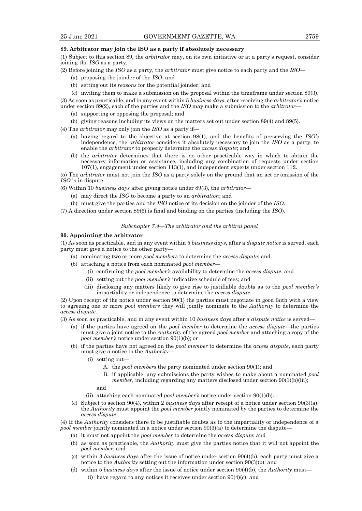## **89. Arbitrator may join the ISO as a party if absolutely necessary**

(1) Subject to this section 89, the *arbitrator* may, on its own initiative or at a party's request, consider joining the *ISO* as a party.

- (2) Before joining the *ISO* as a party, the *arbitrator* must give notice to each party and the *ISO*
	- (a) proposing the joinder of the *ISO*; and
	- (b) setting out its *reasons* for the potential joinder; and
	- (c) inviting them to make a submission on the proposal within the timeframe under section 89(3).

(3) As soon as practicable, and in any event within 5 *business days*, after receiving the *arbitrator's* notice under section 89(2), each of the parties and the *ISO* may make a submission to the *arbitrator*—

- (a) supporting or opposing the proposal; and
- (b) giving reasons including its views on the matters set out under section 89(4) and 89(5).

(4) The *arbitrator* may only join the *ISO* as a party if—

- (a) having regard to the objective at section 98(1), and the benefits of preserving the *ISO's* independence, the *arbitrator* considers it absolutely necessary to join the *ISO* as a party, to enable the *arbitrator* to properly determine the *access dispute*; and
- (b) the *arbitrator* determines that there is no other practicable way in which to obtain the necessary information or assistance, including any combination of requests under section 107(1), engagement under section 113(1), and independent experts under section 112.

(5) The *arbitrator* must not join the *ISO* as a party solely on the ground that an act or omission of the *ISO* is in dispute.

- (6) Within 10 *business days* after giving notice under 89(3), the *arbitrator*
	- (a) may direct the *ISO* to become a party to an *arbitration*; and
	- (b) must give the parties and the *ISO* notice of its decision on the joinder of the *ISO*.
- (7) A direction under section 89(6) is final and binding on the parties (including the *ISO*).

### *Subchapter 7.4—The arbitrator and the arbitral panel*

## **90. Appointing the arbitrator**

(1) As soon as practicable, and in any event within 5 *business days*, after a *dispute notice* is served, each party must give a notice to the other party—

- (a) nominating two or more *pool members* to determine the *access dispute*; and
- (b) attaching a notice from each nominated *pool member*
	- (i) confirming the *pool member's* availability to determine the *access dispute*; and
	- (ii) setting out the *pool member's* indicative schedule of fees; and
	- (iii) disclosing any matters likely to give rise to justifiable doubts as to the *pool member's*  impartiality or independence to determine the *access dispute*.

(2) Upon receipt of the notice under section 90(1) the parties must negotiate in good faith with a view to agreeing one or more *pool members* they will jointly nominate to the *Authority* to determine the *access dispute*.

(3) As soon as practicable, and in any event within 10 *business days* after a *dispute notice* is served—

- (a) if the parties have agreed on the *pool member* to determine the *access dispute*—the parties must give a joint notice to the *Authority* of the agreed *pool member* and attaching a copy of the *pool member's* notice under section 90(1)(b); or
- (b) if the parties have not agreed on the *pool member* to determine the *access dispute*, each party must give a notice to the *Authority*—
	- (i) setting out—
		- A. the *pool members* the party nominated under section 90(1); and
		- B. if applicable, any submissions the party wishes to make about a nominated *pool member*, including regarding any matters disclosed under section 90(1)(b)(iii);

and

- (ii) attaching each nominated *pool member's* notice under section 90(1)(b).
- (c) Subject to section 90(4), within 2 *business days* after receipt of a notice under section 90(3)(a), the *Authority* must appoint the *pool member* jointly nominated by the parties to determine the *access dispute*.

(4) If the *Authority* considers there to be justifiable doubts as to the impartiality or independence of a *pool member* jointly nominated in a notice under section 90(3)(a) to determine the dispute-

- (a) it must not appoint the *pool member* to determine the *access dispute*; and
- (b) as soon as practicable, the *Authority* must give the parties notice that it will not appoint the *pool member*; and
- (c) within 3 *business days* after the issue of notice under section 90(4)(b), each party must give a notice to the *Authority* setting out the information under section 90(3)(b); and
- (d) within 5 *business days* after the issue of notice under section 90(4)(b), the *Authority* must— (i) have regard to any notices it receives under section  $90(4)(c)$ ; and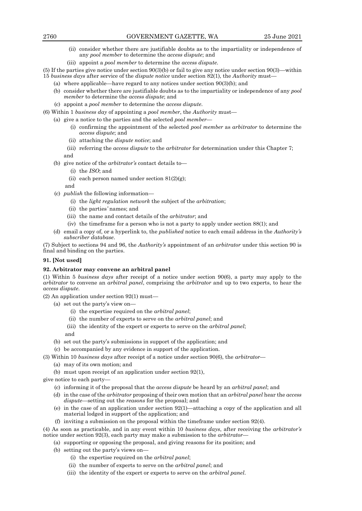- (ii) consider whether there are justifiable doubts as to the impartiality or independence of any *pool member* to determine the *access dispute*; and
- (iii) appoint a *pool member* to determine the *access dispute*.
- (5) If the parties give notice under section 90(3)(b) or fail to give any notice under section 90(3)—within 15 *business days* after service of the *dispute notice* under section 82(1), the *Authority* must—
	- (a) where applicable—have regard to any notices under section 90(3)(b); and
	- (b) consider whether there are justifiable doubts as to the impartiality or independence of any *pool member* to determine the *access dispute*; and
	- (c) appoint a *pool member* to determine the *access dispute*.
- (6) Within 1 *business day* of appointing a *pool member*, the *Authority* must—
	- (a) give a notice to the parties and the selected *pool member*
		- (i) confirming the appointment of the selected *pool member* as *arbitrator* to determine the *access dispute*; and
		- (ii) attaching the *dispute notice*; and
		- (iii) referring the *access dispute* to the *arbitrator* for determination under this Chapter 7; and
	- (b) give notice of the *arbitrator's* contact details to—
		- (i) the *ISO*; and
		- (ii) each person named under section  $81(2)(g)$ ;
		- and
	- (c) *publish* the following information—
		- (i) the *light regulation network* the subject of the *arbitration*;
		- (ii) the parties*'* names; and
		- (iii) the name and contact details of the *arbitrator*; and
		- (iv) the timeframe for a person who is not a party to apply under section 88(1); and
	- (d) email a copy of, or a hyperlink to, the *published* notice to each email address in the *Authority's subscriber database*.

(7) Subject to sections 94 and 96, the *Authority's* appointment of an *arbitrator* under this section 90 is final and binding on the parties.

# **91. [Not used]**

### **92. Arbitrator may convene an arbitral panel**

(1) Within 5 *business days* after receipt of a notice under section 90(6), a party may apply to the *arbitrator* to convene an *arbitral panel*, comprising the *arbitrator* and up to two experts, to hear the *access dispute*.

(2) An application under section 92(1) must—

- (a) set out the party's view on—
	- (i) the expertise required on the *arbitral panel*;
	- (ii) the number of experts to serve on the *arbitral panel*; and
	- (iii) the identity of the expert or experts to serve on the *arbitral panel*; and
	- (b) set out the party's submissions in support of the application; and
- (c) be accompanied by any evidence in support of the application.
- (3) Within 10 *business days* after receipt of a notice under section 90(6), the *arbitrator*
	- (a) may of its own motion; and
	- (b) must upon receipt of an application under section 92(1),
- give notice to each party—
	- (c) informing it of the proposal that the *access dispute* be heard by an *arbitral panel*; and
	- (d) in the case of the *arbitrator* proposing of their own motion that an *arbitral panel* hear the *access dispute*—setting out the *reasons* for the proposal; and
	- (e) in the case of an application under section 92(1)—attaching a copy of the application and all material lodged in support of the application; and
	- (f) inviting a submission on the proposal within the timeframe under section 92(4).

(4) As soon as practicable, and in any event within 10 *business days*, after receiving the *arbitrator's* notice under section 92(3), each party may make a submission to the *arbitrator*—

- (a) supporting or opposing the proposal, and giving reasons for its position; and
- (b) setting out the party's views on—
	- (i) the expertise required on the *arbitral panel*;
	- (ii) the number of experts to serve on the *arbitral panel*; and
	- (iii) the identity of the expert or experts to serve on the *arbitral panel*.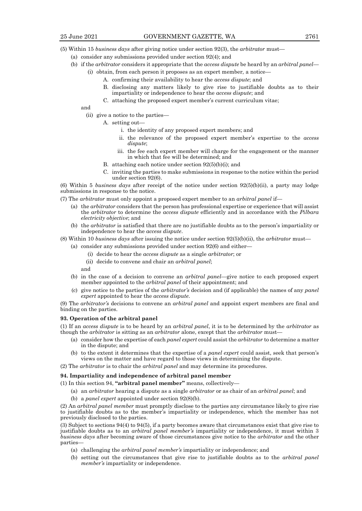- (5) Within 15 *business days* after giving notice under section 92(3), the *arbitrator* must—
	- (a) consider any submissions provided under section 92(4); and
	- (b) if the *arbitrator* considers it appropriate that the *access dispute* be heard by an *arbitral panel*
		- (i) obtain, from each person it proposes as an expert member, a notice—
			- A. confirming their availability to hear the *access dispute*; and
			- B. disclosing any matters likely to give rise to justifiable doubts as to their impartiality or independence to hear the *access dispute*; and
			- C. attaching the proposed expert member's current curriculum vitae;

and

- (ii) give a notice to the parties—
	- A. setting out
		- i. the identity of any proposed expert members; and
		- ii. the relevance of the proposed expert member's expertise to the *access dispute*;
		- iii. the fee each expert member will charge for the engagement or the manner in which that fee will be determined; and
	- B. attaching each notice under section 92(5)(b)(i); and
	- C. inviting the parties to make submissions in response to the notice within the period under section 92(6).

(6) Within 5 *business days* after receipt of the notice under section 92(5)(b)(ii), a party may lodge submissions in response to the notice.

- (7) The *arbitrator* must only appoint a proposed expert member to an *arbitral panel* if—
	- (a) the *arbitrator* considers that the person has professional expertise or experience that will assist the *arbitrator* to determine the *access dispute* efficiently and in accordance with the *Pilbara electricity objective*; and
	- (b) the *arbitrator* is satisfied that there are no justifiable doubts as to the person's impartiality or independence to hear the *access dispute*.
- (8) Within 10 *business days* after issuing the notice under section 92(5)(b)(ii), the *arbitrator* must—

(a) consider any submissions provided under section 92(6) and either—

- (i) decide to hear the *access dispute* as a single *arbitrator*; or
- (ii) decide to convene and chair an *arbitral panel*;

and

- (b) in the case of a decision to convene an *arbitral panel—*give notice to each proposed expert member appointed to the *arbitral panel* of their appointment; and
- (c) give notice to the parties of the *arbitrator's* decision and (if applicable) the names of any *panel expert* appointed to hear the *access dispute*.

(9) The *arbitrator's* decisions to convene an *arbitral panel* and appoint expert members are final and binding on the parties.

## **93. Operation of the arbitral panel**

(1) If an *access dispute* is to be heard by an *arbitral panel*, it is to be determined by the *arbitrator* as though the *arbitrator* is sitting as an *arbitrator* alone, except that the *arbitrator* must—

- (a) consider how the expertise of each *panel expert* could assist the *arbitrator* to determine a matter in the dispute; and
- (b) to the extent it determines that the expertise of a *panel expert* could assist, seek that person's views on the matter and have regard to those views in determining the dispute.
- (2) The *arbitrator* is to chair the *arbitral panel* and may determine its procedures.

# **94. Impartiality and independence of arbitral panel member**

- (1) In this section 94, **"arbitral panel member"** means, collectively—
	- (a) an *arbitrator* hearing a dispute as a single *arbitrator* or as chair of an *arbitral panel*; and
	- (b) a *panel expert* appointed under section 92(8)(b).

(2) An *arbitral panel member* must promptly disclose to the parties any circumstance likely to give rise to justifiable doubts as to the member's impartiality or independence, which the member has not previously disclosed to the parties.

(3) Subject to sections 94(4) to 94(5), if a party becomes aware that circumstances exist that give rise to justifiable doubts as to an *arbitral panel member's* impartiality or independence, it must within 3 *business days* after becoming aware of those circumstances give notice to the *arbitrator* and the other parties—

- (a) challenging the *arbitral panel member's* impartiality or independence; and
- (b) setting out the circumstances that give rise to justifiable doubts as to the *arbitral panel member's* impartiality or independence.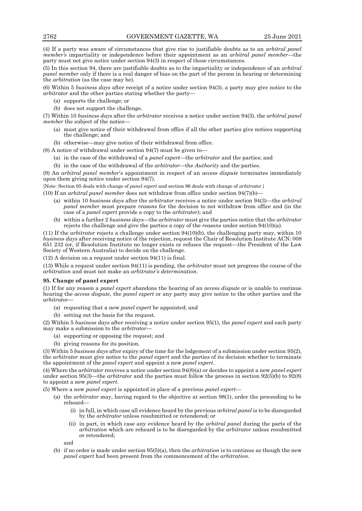(4) If a party was aware of circumstances that give rise to justifiable doubts as to an *arbitral panel member's* impartiality or independence before their appointment as an *arbitral panel member*—the party must not give notice under section 94(3) in respect of those circumstances.

(5) In this section 94, there are justifiable doubts as to the impartiality or independence of an *arbitral panel member* only if there is a real danger of bias on the part of the person in hearing or determining the *arbitration* (as the case may be).

(6) Within 5 *business days* after receipt of a notice under section 94(3), a party may give notice to the *arbitrator* and the other parties stating whether the party—

- (a) supports the challenge; or
- (b) does not support the challenge.

(7) Within 10 *business days* after the *arbitrator* receives a notice under section 94(3), the *arbitral panel member* the subject of the notice-

- (a) must give notice of their withdrawal from office if all the other parties give notices supporting the challenge; and
- (b) otherwise—may give notice of their withdrawal from office.

(8) A notice of withdrawal under section 94(7) must be given to—

- (a) in the case of the withdrawal of a *panel expert*—the *arbitrator* and the parties; and
- (b) in the case of the withdrawal of the *arbitrator*—the *Authority* and the parties.

(9) An *arbitral panel member*'s appointment in respect of an *access dispute* terminates immediately upon them giving notice under section 94(7).

{Note: Section 95 deals with change of *panel expert* and section 96 deals with change of *arbitrator*.}

(10) If an *arbitral panel member* does not withdraw from office under section 94(7)(b)—

- (a) within 10 *business days* after the *arbitrator* receives a notice under section 94(3)—the *arbitral panel member* must prepare *reasons* for the decision to not withdraw from office and (in the case of a *panel expert* provide a copy to the *arbitrator*); and
- (b) within a further 2 *business days—*the *arbitrator* must give the parties notice that the *arbitrator* rejects the challenge and give the parties a copy of the *reasons* under section 94(10)(a).

(11) If the *arbitrator* rejects a challenge under section 94(10)(b), the challenging party may, within 10 *business days* after receiving notice of the rejection, request the Chair of Resolution Institute ACN: 008 651 232 (or, if Resolution Institute no longer exists or refuses the request—the President of the Law Society of Western Australia) to decide on the challenge.

(12) A decision on a request under section 94(11) is final.

(13) While a request under section 94(11) is pending, the *arbitrator* must not progress the course of the *arbitration* and must not make an *arbitrator's determination*.

### **95. Change of panel expert**

(1) If for any reason a *panel expert* abandons the hearing of an *access dispute* or is unable to continue hearing the *access dispute*, the *panel expert* or any party may give notice to the other parties and the *arbitrator*—

(a) requesting that a new *panel expert* be appointed; and

(b) setting out the basis for the request.

(2) Within 5 *business days* after receiving a notice under section 95(1), the *panel expert* and each party may make a submission to the *arbitrator*—

- (a) supporting or opposing the request; and
- (b) giving reasons for its position.

(3) Within 5 *business days* after expiry of the time for the lodgement of a submission under section 95(2), the *arbitrator* must give notice to the *panel expert* and the parties of its decision whether to terminate the appointment of the *panel expert* and appoint a new *panel expert*.

(4) Where the *arbitrator* receives a notice under section 94(8)(a) or decides to appoint a new *panel expert*  under section 95(3)—the *arbitrator* and the parties must follow the process in section 92(5)(b) to 92(8) to appoint a new *panel expert*.

(5) Where a new *panel expert* is appointed in place of a previous *panel expert*—

- (a) the *arbitrator* may, having regard to the objective at section 98(1), order the proceeding to be reheard—
	- (i) in full, in which case all evidence heard by the previous *arbitral panel* is to be disregarded by the *arbitrator* unless resubmitted or retendered; or
	- (ii) in part, in which case any evidence heard by the *arbitral panel* during the parts of the *arbitration* which are reheard is to be disregarded by the *arbitrator* unless resubmitted or retendered;

and

(b) if no order is made under section 95(5)(a), then the *arbitration* is to continue as though the new *panel expert* had been present from the commencement of the *arbitration*.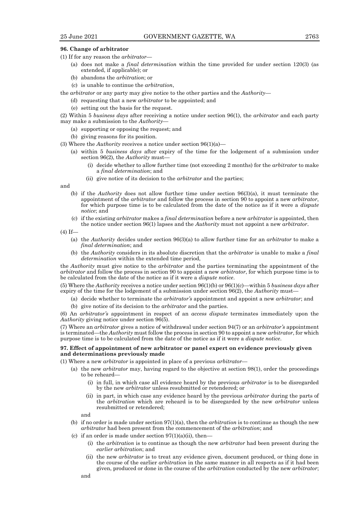## **96. Change of arbitrator**

- (1) If for any reason the *arbitrator*
	- (a) does not make a *final determination* within the time provided for under section 120(3) (as extended, if applicable); or
	- (b) abandons the *arbitration*; or
	- (c) is unable to continue the *arbitration*,
- the *arbitrator* or any party may give notice to the other parties and the *Authority*
	- (d) requesting that a new *arbitrator* to be appointed; and
	- (e) setting out the basis for the request.

(2) Within 5 *business days* after receiving a notice under section 96(1), the *arbitrator* and each party may make a submission to the *Authority*—

- (a) supporting or opposing the request; and
- (b) giving reasons for its position.
- (3) Where the *Authority* receives a notice under section 96(1)(a)—
	- (a) within 5 *business days* after expiry of the time for the lodgement of a submission under section 96(2), the *Authority* must—
		- (i) decide whether to allow further time (not exceeding 2 months) for the *arbitrator* to make a *final determination*; and
		- (ii) give notice of its decision to the *arbitrator* and the parties;

and

- (b) if the *Authority* does not allow further time under section 96(3)(a), it must terminate the appointment of the *arbitrator* and follow the process in section 90 to appoint a new *arbitrator*, for which purpose time is to be calculated from the date of the notice as if it were a *dispute notice*; and
- (c) if the existing *arbitrator* makes a *final determination* before a new *arbitrator* is appointed, then the notice under section 96(1) lapses and the *Authority* must not appoint a new *arbitrator*.

 $(4)$  If—

- (a) the *Authority* decides under section 96(3)(a) to allow further time for an *arbitrator* to make a *final determination*; and
- (b) the *Authority* considers in its absolute discretion that the *arbitrator* is unable to make a *final determination* within the extended time period,

the *Authority* must give notice to the *arbitrator* and the parties terminating the appointment of the *arbitrator* and follow the process in section 90 to appoint a new *arbitrator*, for which purpose time is to be calculated from the date of the notice as if it were a *dispute notice*.

(5) Where the *Authority* receives a notice under section 96(1)(b) or 96(1)(c)—within 5 *business days* after expiry of the time for the lodgement of a submission under section 96(2), the *Authority* must—

- (a) decide whether to terminate the *arbitrator's* appointment and appoint a new *arbitrator*; and
- (b) give notice of its decision to the *arbitrator* and the parties.

(6) An *arbitrator's* appointment in respect of an *access dispute* terminates immediately upon the *Authority* giving notice under section 96(5).

(7) Where an *arbitrator* gives a notice of withdrawal under section 94(7) or an *arbitrator's* appointment is terminated—the *Authority* must follow the process in section 90 to appoint a new *arbitrator*, for which purpose time is to be calculated from the date of the notice as if it were a *dispute notice*.

## **97. Effect of appointment of new arbitrator or panel expert on evidence previously given and determinations previously made**

(1) Where a new *arbitrator* is appointed in place of a previous *arbitrator*—

- (a) the new *arbitrator* may, having regard to the objective at section 98(1), order the proceedings to be reheard—
	- (i) in full, in which case all evidence heard by the previous *arbitrator* is to be disregarded by the new *arbitrator* unless resubmitted or retendered; or
	- (ii) in part, in which case any evidence heard by the previous *arbitrator* during the parts of the *arbitration* which are reheard is to be disregarded by the new *arbitrator* unless resubmitted or retendered;

and

- (b) if no order is made under section 97(1)(a), then the *arbitration* is to continue as though the new *arbitrator* had been present from the commencement of the *arbitration*; and
- (c) if an order is made under section  $97(1)(a)(ii)$ , then-
	- (i) the *arbitration* is to continue as though the new *arbitrator* had been present during the *earlier arbitration*; and
	- (ii) the new *arbitrator* is to treat any evidence given, document produced, or thing done in the course of the earlier *arbitration* in the same manner in all respects as if it had been given, produced or done in the course of the *arbitration* conducted by the new *arbitrator*;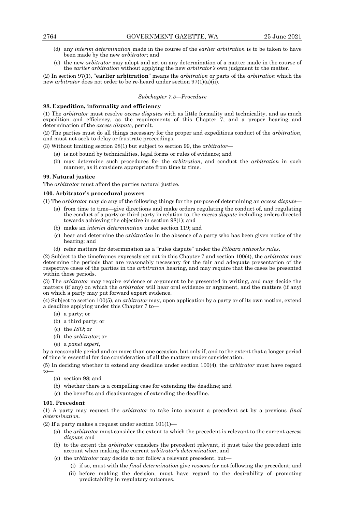- (d) any *interim determination* made in the course of the *earlier arbitration* is to be taken to have been made by the new *arbitrator*; and
- (e) the new *arbitrator* may adopt and act on any determination of a matter made in the course of the *earlier arbitration* without applying the new *arbitrator's* own judgment to the matter.

(2) In section 97(1), "**earlier arbitration**" means the *arbitration* or parts of the *arbitration* which the new *arbitrator* does not order to be re-heard under section 97(1)(a)(ii).

## *Subchapter 7.5—Procedure*

## **98. Expedition, informality and efficiency**

(1) The *arbitrator* must resolve *access disputes* with as little formality and technicality, and as much expedition and efficiency, as the requirements of this Chapter 7, and a proper hearing and determination of the *access dispute*, permit.

(2) The parties must do all things necessary for the proper and expeditious conduct of the *arbitration*, and must not seek to delay or frustrate proceedings.

(3) Without limiting section 98(1) but subject to section 99, the *arbitrator*—

- (a) is not bound by technicalities, legal forms or rules of evidence; and
- (b) may determine such procedures for the *arbitration*, and conduct the *arbitration* in such manner, as it considers appropriate from time to time.

## **99. Natural justice**

The *arbitrator* must afford the parties natural justice.

## **100. Arbitrator's procedural powers**

(1) The *arbitrator* may do any of the following things for the purpose of determining an *access dispute*—

- (a) from time to time—give directions and make orders regulating the conduct of, and regulating the conduct of a party or third party in relation to, the *access dispute* including orders directed towards achieving the objective in section 98(1); and
- (b) make an *interim determination* under section 119; and
- (c) hear and determine the *arbitration* in the absence of a party who has been given notice of the hearing; and
- (d) refer matters for determination as a "rules dispute" under the *Pilbara networks rules*.

(2) Subject to the timeframes expressly set out in this Chapter 7 and section 100(4), the *arbitrator* may determine the periods that are reasonably necessary for the fair and adequate presentation of the respective cases of the parties in the *arbitration* hearing, and may require that the cases be presented within those periods.

(3) The *arbitrator* may require evidence or argument to be presented in writing, and may decide the matters (if any) on which the *arbitrator* will hear oral evidence or argument, and the matters (if any) on which a party may put forward expert evidence.

(4) Subject to section 100(5), an *arbitrator* may, upon application by a party or of its own motion, extend a deadline applying under this Chapter 7 to—

- (a) a party; or
- (b) a third party; or
- (c) the *ISO*; or
- (d) the *arbitrator*; or
- (e) a *panel expert*,

by a reasonable period and on more than one occasion, but only if, and to the extent that a longer period of time is essential for due consideration of all the matters under consideration.

(5) In deciding whether to extend any deadline under section 100(4), the *arbitrator* must have regard to—

- (a) section 98; and
- (b) whether there is a compelling case for extending the deadline; and
- (c) the benefits and disadvantages of extending the deadline.

# **101. Precedent**

(1) A party may request the *arbitrator* to take into account a precedent set by a previous *final determination.*

(2) If a party makes a request under section  $101(1)$ —

- (a) the *arbitrator* must consider the extent to which the precedent is relevant to the current *access dispute*; and
- (b) to the extent the *arbitrator* considers the precedent relevant, it must take the precedent into account when making the current *arbitrator's determination*; and
- (c) the *arbitrator* may decide to not follow a relevant precedent, but—
	- (i) if so, must with the *final determination* give *reasons* for not following the precedent; and (ii) before making the decision, must have regard to the desirability of promoting predictability in regulatory outcomes.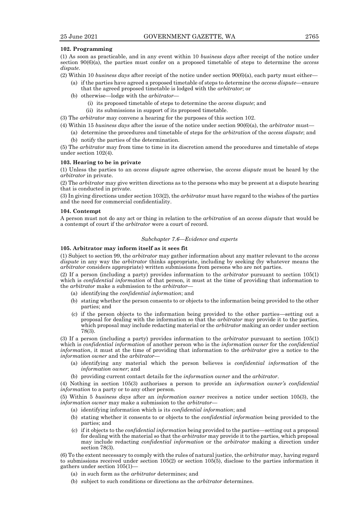#### **102. Programming**

(1) As soon as practicable, and in any event within 10 *business days* after receipt of the notice under section 90(6)(a), the parties must confer on a proposed timetable of steps to determine the *access dispute*.

- (2) Within 10 *business days* after receipt of the notice under section 90(6)(a), each party must either—
	- (a) if the parties have agreed a proposed timetable of steps to determine the *access dispute*—ensure that the agreed proposed timetable is lodged with the *arbitrator*; or
	- (b) otherwise—lodge with the *arbitrator*
		- (i) its proposed timetable of steps to determine the *access dispute*; and
		- (ii) its submissions in support of its proposed timetable.

(3) The *arbitrator* may convene a hearing for the purposes of this section 102.

- (4) Within 15 *business days* after the issue of the notice under section 90(6)(a), the *arbitrator* must—
	- (a) determine the procedures and timetable of steps for the *arbitration* of the *access dispute*; and
	- (b) notify the parties of the determination.

(5) The *arbitrator* may from time to time in its discretion amend the procedures and timetable of steps under section 102(4).

# **103. Hearing to be in private**

(1) Unless the parties to an *access dispute* agree otherwise, the *access dispute* must be heard by the *arbitrator* in private.

(2) The *arbitrator* may give written directions as to the persons who may be present at a dispute hearing that is conducted in private.

(3) In giving directions under section 103(2), the *arbitrator* must have regard to the wishes of the parties and the need for commercial confidentiality.

#### **104. Contempt**

A person must not do any act or thing in relation to the *arbitration* of an *access dispute* that would be a contempt of court if the *arbitrator* were a court of record.

## *Subchapter 7.6—Evidence and experts*

# **105. Arbitrator may inform itself as it sees fit**

(1) Subject to section 99, the *arbitrator* may gather information about any matter relevant to the *access dispute* in any way the *arbitrator* thinks appropriate, including by seeking (by whatever means the *arbitrator* considers appropriate) written submissions from persons who are not parties.

(2) If a person (including a party) provides information to the *arbitrator* pursuant to section 105(1) which is *confidential information* of that person, it must at the time of providing that information to the *arbitrator* make a submission to the *arbitrator*—

- (a) identifying the *confidential information*; and
- (b) stating whether the person consents to or objects to the information being provided to the other parties; and
- (c) if the person objects to the information being provided to the other parties*—*setting out a proposal for dealing with the information so that the *arbitrator* may provide it to the parties, which proposal may include redacting material or the *arbitrator* making an order under section 78(3).

(3) If a person (including a party) provides information to the *arbitrator* pursuant to section 105(1) which is *confidential information* of another person who is the *information owner* for the *confidential information*, it must at the time of providing that information to the *arbitrator* give a notice to the *information owner* and the *arbitrator*—

- (a) identifying any material which the person believes is *confidential information* of the *information owner*; and
- (b) providing current contact details for the *information owner* and the *arbitrator*.

(4) Nothing in section 105(3) authorises a person to provide an *information owner's confidential information* to a party or to any other person.

(5) Within 5 *business days* after an *information owner* receives a notice under section 105(3), the *information owner* may make a submission to the *arbitrator*—

- (a) identifying information which is its *confidential information*; and
- (b) stating whether it consents to or objects to the *confidential information* being provided to the parties; and
- (c) if it objects to the *confidential information* being provided to the parties*—*setting out a proposal for dealing with the material so that the *arbitrator* may provide it to the parties, which proposal may include redacting *confidential information* or the *arbitrator* making a direction under section 78(3).

(6) To the extent necessary to comply with the rules of natural justice, the *arbitrator* may, having regard to submissions received under section 105(2) or section 105(5), disclose to the parties information it gathers under section 105(1)—

- (a) in such form as the *arbitrator* determines; and
- (b) subject to such conditions or directions as the *arbitrator* determines.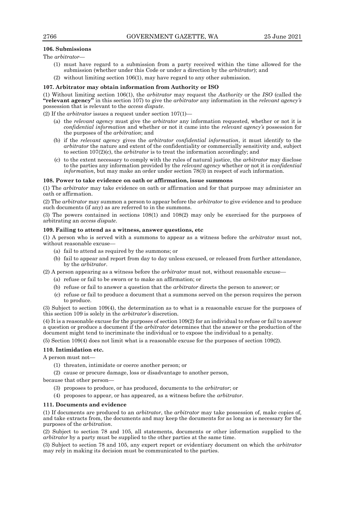## **106. Submissions**

The *arbitrator*—

- (1) must have regard to a submission from a party received within the time allowed for the submission (whether under this Code or under a direction by the *arbitrator*); and
- (2) without limiting section 106(1), may have regard to any other submission.

### **107. Arbitrator may obtain information from Authority or ISO**

(1) Without limiting section 106(1), the *arbitrator* may request the *Authority* or the *ISO* (called the **"relevant agency"** in this section 107) to give the *arbitrator* any information in the *relevant agency's*  possession that is relevant to the *access dispute*.

(2) If the *arbitrator* issues a request under section 107(1)—

- (a) the *relevant agency* must give the *arbitrator* any information requested, whether or not it is *confidential information* and whether or not it came into the *relevant agency's* possession for the purposes of the *arbitration*; and
- (b) if the *relevant agency* gives the *arbitrator confidential information*, it must identify to the *arbitrator* the nature and extent of the confidentiality or commercially sensitivity and, subject to section 107(2)(c), the *arbitrator* is to treat the information accordingly; and
- (c) to the extent necessary to comply with the rules of natural justice, the *arbitrator* may disclose to the parties any information provided by the *relevant agency* whether or not it is *confidential information*, but may make an order under section 78(3) in respect of such information.

#### **108. Power to take evidence on oath or affirmation, issue summons**

(1) The *arbitrator* may take evidence on oath or affirmation and for that purpose may administer an oath or affirmation.

(2) The *arbitrator* may summon a person to appear before the *arbitrator* to give evidence and to produce such documents (if any) as are referred to in the summons.

(3) The powers contained in sections 108(1) and 108(2) may only be exercised for the purposes of arbitrating an *access dispute*.

# **109. Failing to attend as a witness, answer questions, etc**

(1) A person who is served with a summons to appear as a witness before the *arbitrator* must not, without reasonable excuse-

- (a) fail to attend as required by the summons; or
- (b) fail to appear and report from day to day unless excused, or released from further attendance, by the *arbitrator*.

(2) A person appearing as a witness before the *arbitrator* must not, without reasonable excuse—

- (a) refuse or fail to be sworn or to make an affirmation; or
- (b) refuse or fail to answer a question that the *arbitrator* directs the person to answer; or
- (c) refuse or fail to produce a document that a summons served on the person requires the person to produce.

(3) Subject to section 109(4), the determination as to what is a reasonable excuse for the purposes of this section 109 is solely in the *arbitrator's* discretion.

(4) It is a reasonable excuse for the purposes of section 109(2) for an individual to refuse or fail to answer a question or produce a document if the *arbitrator* determines that the answer or the production of the document might tend to incriminate the individual or to expose the individual to a penalty.

(5) Section 109(4) does not limit what is a reasonable excuse for the purposes of section 109(2).

## **110. Intimidation etc.**

A person must not—

- (1) threaten, intimidate or coerce another person; or
- (2) cause or procure damage, loss or disadvantage to another person,

because that other person—

- (3) proposes to produce, or has produced, documents to the *arbitrator*; or
- (4) proposes to appear, or has appeared, as a witness before the *arbitrator*.

### **111. Documents and evidence**

(1) If documents are produced to an *arbitrator*, the *arbitrator* may take possession of, make copies of, and take extracts from, the documents and may keep the documents for as long as is necessary for the purposes of the *arbitration*.

(2) Subject to section 78 and 105, all statements, documents or other information supplied to the *arbitrator* by a party must be supplied to the other parties at the same time.

(3) Subject to section 78 and 105, any expert report or evidentiary document on which the *arbitrator* may rely in making its decision must be communicated to the parties.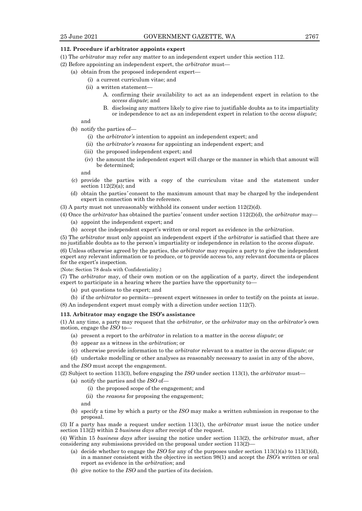#### **112. Procedure if arbitrator appoints expert**

- (1) The *arbitrator* may refer any matter to an independent expert under this section 112.
- (2) Before appointing an independent expert, the *arbitrator* must—
	- (a) obtain from the proposed independent expert—
		- (i) a current curriculum vitae; and
		- (ii) a written statement—
			- A. confirming their availability to act as an independent expert in relation to the *access dispute*; and
			- B. disclosing any matters likely to give rise to justifiable doubts as to its impartiality or independence to act as an independent expert in relation to the *access dispute*;

## and

- (b) notify the parties of—
	- (i) the *arbitrator's* intention to appoint an independent expert; and
	- (ii) the *arbitrator's reasons* for appointing an independent expert; and
	- (iii) the proposed independent expert; and
	- (iv) the amount the independent expert will charge or the manner in which that amount will be determined;

and

- (c) provide the parties with a copy of the curriculum vitae and the statement under section  $112(2)(a)$ ; and
- (d) obtain the parties*'* consent to the maximum amount that may be charged by the independent expert in connection with the reference.
- $(3)$  A party must not unreasonably withhold its consent under section  $112(2)(d)$ .
- (4) Once the *arbitrator* has obtained the parties*'* consent under section 112(2)(d), the *arbitrator* may— (a) appoint the independent expert; and
	- (b) accept the independent expert's written or oral report as evidence in the *arbitration*.

(5) The *arbitrator* must only appoint an independent expert if the *arbitrator* is satisfied that there are no justifiable doubts as to the person's impartiality or independence in relation to the *access dispute*.

(6) Unless otherwise agreed by the parties, the *arbitrator* may require a party to give the independent expert any relevant information or to produce, or to provide access to, any relevant documents or places for the expert's inspection.

{Note: Section 78 deals with Confidentiality.}

(7) The *arbitrator* may, of their own motion or on the application of a party, direct the independent expert to participate in a hearing where the parties have the opportunity to—

(a) put questions to the expert; and

(b) if the *arbitrator* so permits—present expert witnesses in order to testify on the points at issue. (8) An independent expert must comply with a direction under section 112(7).

#### **113. Arbitrator may engage the ISO's assistance**

(1) At any time, a party may request that the *arbitrator,* or the *arbitrator* may on the *arbitrator's* own motion, engage the *ISO* to—

- (a) present a report to the *arbitrator* in relation to a matter in the *access dispute*; or
- (b) appear as a witness in the *arbitration*; or
- (c) otherwise provide information to the *arbitrator* relevant to a matter in the *access dispute*; or

(d) undertake modelling or other analyses as reasonably necessary to assist in any of the above,

and the *ISO* must accept the engagement.

(2) Subject to section 113(3), before engaging the *ISO* under section 113(1), the *arbitrator* must—

- (a) notify the parties and the *ISO* of—
	- (i) the proposed scope of the engagement; and
	- (ii) the *reasons* for proposing the engagement;

and

(b) specify a time by which a party or the *ISO* may make a written submission in response to the proposal.

(3) If a party has made a request under section 113(1), the *arbitrator* must issue the notice under section 113(2) within 2 *business days* after receipt of the request.

(4) Within 15 *business days* after issuing the notice under section 113(2), the *arbitrator* must, after considering any submissions provided on the proposal under section 113(2)—

- (a) decide whether to engage the *ISO* for any of the purposes under section  $113(1)(a)$  to  $113(1)(d)$ , in a manner consistent with the objective in section 98(1) and accept the *ISO's* written or oral report as evidence in the *arbitration*; and
- (b) give notice to the *ISO* and the parties of its decision.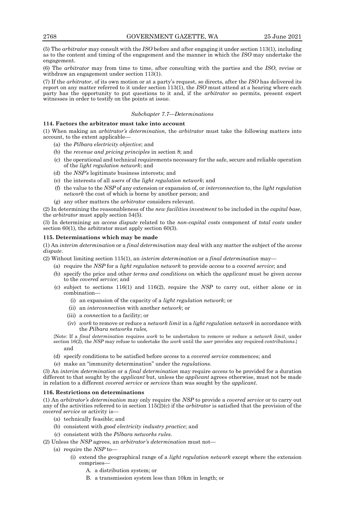(5) The *arbitrator* may consult with the *ISO* before and after engaging it under section 113(1), including as to the content and timing of the engagement and the manner in which the *ISO* may undertake the engagement.

(6) The *arbitrator* may from time to time, after consulting with the parties and the *ISO*, revise or withdraw an engagement under section 113(1).

(7) If the *arbitrator*, of its own motion or at a party's request, so directs, after the *ISO* has delivered its report on any matter referred to it under section 113(1), the *ISO* must attend at a hearing where each party has the opportunity to put questions to it and, if the *arbitrator* so permits, present expert witnesses in order to testify on the points at issue.

## *Subchapter 7.7—Determinations*

## **114. Factors the arbitrator must take into account**

(1) When making an *arbitrator's determination*, the *arbitrator* must take the following matters into account, to the extent applicable—

- (a) the *Pilbara electricity objective*; and
- (b) the *revenue and pricing principles* in section 8; and
- (c) the operational and technical requirements necessary for the safe, secure and reliable operation of the *light regulation network*; and
- (d) the *NSP's* legitimate business interests; and
- (e) the interests of all *users* of the *light regulation network*; and
- (f) the value to the *NSP* of any extension or expansion of, or *interconnection* to, the *light regulation network* the cost of which is borne by another person; and
- (g) any other matters the *arbitrator* considers relevant.

(2) In determining the reasonableness of the *new facilities investment* to be included in the *capital base*, the *arbitrator* must apply section 54(5).

(3) In determining an *access dispute* related to the *non-capital costs* component of *total costs* under section 60(1), the arbitrator must apply section 60(3).

# **115. Determinations which may be made**

(1) An *interim determination* or a *final determination* may deal with any matter the subject of the *access dispute*.

(2) Without limiting section 115(1), an *interim determination* or a *final determination* may—

- (a) require the *NSP* for a *light regulation network* to provide *access* to a *covered service*; and
- (b) specify the price and other *terms and conditions* on which the *applicant* must be given *access* to the *covered service*; and
- (c) subject to sections 116(1) and 116(2), require the *NSP* to carry out, either alone or in combination—
	- (i) an expansion of the capacity of a *light regulation network*; or
	- (ii) an *interconnection* with another *network*; or
	- (iii) a *connection* to a facility; or
	- (iv) *work* to remove or reduce a *network limit* in a *light regulation network* in accordance with the *Pilbara networks rules,*
- {Note: If a *final determination* requires *work* to be undertaken to remove or reduce a *network limit*, under section 16(2), the *NSP* may refuse to undertake the *work* until the *user* provides any required *contributions*.} and
- (d) specify conditions to be satisfied before *access* to a *covered service* commences; and
- (e) make an "immunity determination" under the *regulations*.

(3) An *interim determination* or a *final determination* may require *access* to be provided for a duration different to that sought by the *applicant* but, unless the *applicant* agrees otherwise, must not be made in relation to a different *covered service* or *services* than was sought by the *applicant*.

# **116. Restrictions on determinations**

(1) An *arbitrator's determination* may only require the *NSP* to provide a *covered service* or to carry out any of the activities referred to in section 115(2)(c) if the *arbitrator* is satisfied that the provision of the *covered service* or activity is—

- (a) technically feasible; and
- (b) consistent with *good electricity industry practice*; and
- (c) consistent with the *Pilbara networks rules*.
- (2) Unless the *NSP* agrees, an *arbitrator's determination* must not—
	- (a) require the *NSP* to—
		- (i) extend the geographical range of a *light regulation network* except where the extension comprises—
			- A. a distribution system; or
			- B. a transmission system less than 10km in length; or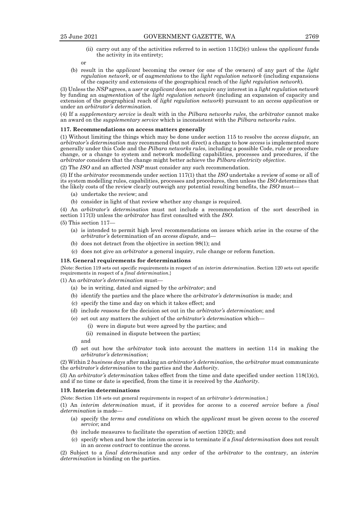(ii) carry out any of the activities referred to in section 115(2)(c) unless the *applicant* funds the activity in its entirety;

```
or
```
(b) result in the *applicant* becoming the owner (or one of the owners) of any part of the *light regulation network*, or of *augmentations* to the *light regulation network* (including expansions of the capacity and extensions of the geographical reach of the *light regulation network*)*.*

(3) Unless the *NSP* agrees, a *user* or *applicant* does not acquire any interest in a *light regulation network* by funding an *augmentation* of the *light regulation network* (including an expansion of capacity and extension of the geographical reach of *light regulation network*) pursuant to an *access application* or under an *arbitrator's determination*.

(4) If a *supplementary service* is dealt with in the *Pilbara networks rules*, the *arbitrator* cannot make an award on the *supplementary service* which is inconsistent with the *Pilbara networks rules*.

### **117. Recommendations on access matters generally**

(1) Without limiting the things which may be done under section 115 to resolve the *access dispute*, an *arbitrator's determination* may recommend (but not direct) a change to how *access* is implemented more generally under this Code and the *Pilbara networks rules*, including a possible Code, rule or procedure change, or a change to system and network modelling capabilities, processes and procedures, if the *arbitrator* considers that the change might better achieve the *Pilbara electricity objective*.

(2) The *ISO* and an affected *NSP* must consider any such recommendation.

(3) If the *arbitrator* recommends under section 117(1) that the *ISO* undertake a review of some or all of its system modelling rules, capabilities, processes and procedures, then unless the *ISO* determines that the likely costs of the review clearly outweigh any potential resulting benefits, the *ISO* must—

- (a) undertake the review; and
- (b) consider in light of that review whether any change is required.

(4) An *arbitrator's determination* must not include a recommendation of the sort described in section 117(3) unless the *arbitrator* has first consulted with the *ISO*.

- $(5)$  This section 117–
	- (a) is intended to permit high level recommendations on issues which arise in the course of the *arbitrator's* determination of an *access dispute*, and—
	- (b) does not detract from the objective in section 98(1); and
	- (c) does not give an *arbitrator* a general inquiry, rule change or reform function.

### **118. General requirements for determinations**

{Note: Section 119 sets out specific requirements in respect of an *interim determination*. Section 120 sets out specific requirements in respect of a *final determination*.}

(1) An *arbitrator's determination* must—

- (a) be in writing, dated and signed by the *arbitrator*; and
- (b) identify the parties and the place where the *arbitrator's determination* is made; and
- (c) specify the time and day on which it takes effect; and
- (d) include *reasons* for the decision set out in the *arbitrator's determination*; and
- (e) set out any matters the subject of the *arbitrator's determination* which—
	- (i) were in dispute but were agreed by the parties; and
		- (ii) remained in dispute between the parties;

and

(f) set out how the *arbitrator* took into account the matters in section 114 in making the *arbitrator's determination*;

(2) Within 2 *business days* after making an *arbitrator's determination*, the *arbitrator* must communicate the *arbitrator's determination* to the parties and the *Authority*.

(3) An *arbitrator's determination* takes effect from the time and date specified under section 118(1)(c), and if no time or date is specified, from the time it is received by the *Authority*.

#### **119. Interim determinations**

{Note: Section 118 sets out general requirements in respect of an *arbitrator's determination*.}

(1) An *interim determination* must, if it provides for *access* to a *covered service* before a *final determination* is made—

- (a) specify the *terms and conditions* on which the *applicant* must be given *access* to the *covered service*; and
- (b) include measures to facilitate the operation of section 120(2); and
- (c) specify when and how the interim *access* is to terminate if a *final determination* does not result in an *access contract* to continue the *access*.

(2) Subject to a *final determination* and any order of the *arbitrator* to the contrary, an *interim determination* is binding on the parties.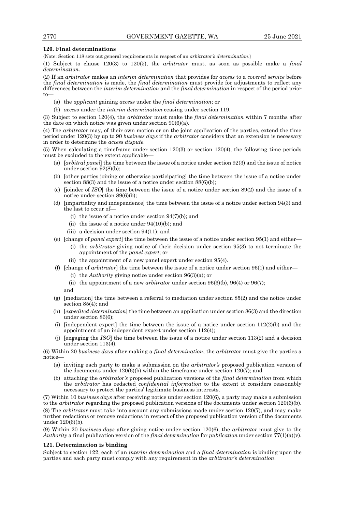## **120. Final determinations**

{Note: Section 118 sets out general requirements in respect of an *arbitrator's determination*.}

(1) Subject to clause 120(3) to 120(5), the *arbitrator* must, as soon as possible make a *final determination*.

(2) If an *arbitrator* makes an *interim determination* that provides for *access* to a *covered service* before the *final determination* is made, the *final determination* must provide for adjustments to reflect any differences between the *interim determination* and the *final determination* in respect of the period prior to—

- (a) the *applicant* gaining *access* under the *final determination*; or
- (b) *access* under the *interim determination* ceasing under section 119.

(3) Subject to section 120(4), the *arbitrator* must make the *final determination* within 7 months after the date on which notice was given under section 90(6)(a).

(4) The *arbitrator* may, of their own motion or on the joint application of the parties, extend the time period under 120(3) by up to 90 *business days* if the *arbitrator* considers that an extension is necessary in order to determine the *access dispute*.

(5) When calculating a timeframe under section 120(3) or section 120(4), the following time periods must be excluded to the extent applicable—

- (a) [*arbitral panel*] the time between the issue of a notice under section 92(3) and the issue of notice under section 92(8)(b);
- (b) [other parties joining or otherwise participating] the time between the issue of a notice under section 88(3) and the issue of a notice under section 88(6)(b);
- (c) [joinder of *ISO*] the time between the issue of a notice under section 89(2) and the issue of a notice under section 89(6)(b);
- (d) [impartiality and independence] the time between the issue of a notice under section 94(3) and the last to occur of—
	- (i) the issue of a notice under section  $94(7)(b)$ ; and
	- (ii) the issue of a notice under  $94(10)(b)$ ; and
	- (iii) a decision under section 94(11); and
- (e) [change of *panel expert*] the time between the issue of a notice under section 95(1) and either—
	- (i) the *arbitrator* giving notice of their decision under section 95(3) to not terminate the appointment of the *panel expert*; or
		- (ii) the appointment of a new panel expert under section 95(4).
- (f) [change of *arbitrator*] the time between the issue of a notice under section 96(1) and either—
	- (i) the *Authority* giving notice under section 96(3)(a); or
	- (ii) the appointment of a new *arbitrator* under section  $96(3)(b)$ ,  $96(4)$  or  $96(7)$ ; and
- (g) [mediation] the time between a referral to mediation under section 85(2) and the notice under section 85(4); and
- (h) [*expedited determination*] the time between an application under section 86(3) and the direction under section 86(6);
- (i) [independent expert] the time between the issue of a notice under section  $112(2)(b)$  and the appointment of an independent expert under section 112(4);
- (j) [engaging the *ISO*] the time between the issue of a notice under section 113(2) and a decision under section 113(4).

(6) Within 20 *business days* after making a *final determination*, the *arbitrator* must give the parties a notice—

- (a) inviting each party to make a submission on the *arbitrator's* proposed publication version of the documents under  $120(6)(b)$  within the timeframe under section  $120(7)$ ; and
- (b) attaching the *arbitrator's* proposed publication versions of the *final determination* from which the *arbitrator* has redacted *confidential information* to the extent it considers reasonably necessary to protect the parties' legitimate business interests.

(7) Within 10 *business days* after receiving notice under section 120(6), a party may make a submission to the *arbitrator* regarding the proposed publication versions of the documents under section 120(6)(b). (8) The *arbitrator* must take into account any submissions made under section 120(7), and may make further redactions or remove redactions in respect of the proposed publication version of the documents under 120(6)(b).

(9) Within 20 *business days* after giving notice under section 120(6), the *arbitrator* must give to the *Authority* a final publication version of the *final determination* for *publication* under section 77(1)(a)(v).

### **121. Determination is binding**

Subject to section 122, each of an *interim determination* and a *final determination* is binding upon the parties and each party must comply with any requirement in the *arbitrator's determination*.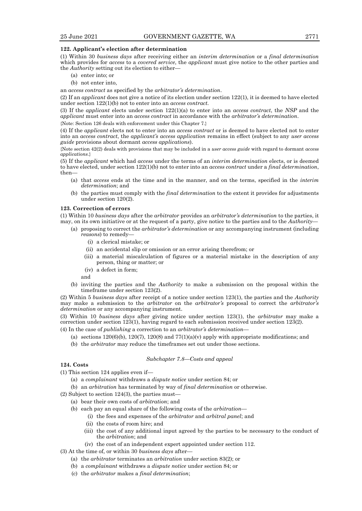#### **122. Applicant's election after determination**

(1) Within 30 *business days* after receiving either an *interim determination* or a *final determination* which provides for *access* to a *covered service*, the *applicant* must give notice to the other parties and the *Authority* setting out its election to either—

- (a) enter into; or
- (b) not enter into,

an *access contract* as specified by the *arbitrator's determination*.

(2) If an *applicant* does not give a notice of its election under section 122(1), it is deemed to have elected under section 122(1)(b) not to enter into an *access contract.*

(3) If the *applicant* elects under section 122(1)(a) to enter into an *access contract*, the *NSP* and the *applicant* must enter into an *access contract* in accordance with the *arbitrator's determination*.

{Note: Section 126 deals with enforcement under this Chapter 7.}

(4) If the *applicant* elects not to enter into an *access contract* or is deemed to have elected not to enter into an *access contract*, the *applicant's access application* remains in effect (subject to any *user access guide* provisions about dormant *access applications*).

{Note section 42(2) deals with provisions that may be included in a *user access guide* with regard to dormant *access applications*.}

(5) If the *applicant* which had *access* under the terms of an *interim determination* elects, or is deemed to have elected, under section 122(1)(b) not to enter into an *access contract* under a *final determination*, then—

- (a) that *access* ends at the time and in the manner, and on the terms, specified in the *interim determination*; and
- (b) the parties must comply with the *final determination* to the extent it provides for adjustments under section 120(2).

#### **123. Correction of errors**

(1) Within 10 *business days* after the *arbitrator* provides an *arbitrator's determination* to the parties, it may, on its own initiative or at the request of a party, give notice to the parties and to the *Authority*—

- (a) proposing to correct the *arbitrator's determination* or any accompanying instrument (including *reasons*) to remedy—
	- (i) a clerical mistake; or
	- (ii) an accidental slip or omission or an error arising therefrom; or
	- (iii) a material miscalculation of figures or a material mistake in the description of any person, thing or matter; or
	- (iv) a defect in form;

and

(b) inviting the parties and the *Authority* to make a submission on the proposal within the timeframe under section 123(2).

(2) Within 5 *business days* after receipt of a notice under section 123(1), the parties and the *Authority*  may make a submission to the *arbitrator* on the *arbitrator's* proposal to correct the *arbitrator's determination* or any accompanying instrument.

(3) Within 10 *business days* after giving notice under section 123(1), the *arbitrator* may make a correction under section 123(1), having regard to each submission received under section 123(2).

- (4) In the case of *publishing* a correction to an *arbitrator's determination*
	- (a) sections  $120(6)(b)$ ,  $120(7)$ ,  $120(8)$  and  $77(1)(a)(v)$  apply with appropriate modifications; and
	- (b) the *arbitrator* may reduce the timeframes set out under those sections.

#### *Subchapter 7.8—Costs and appeal*

# **124. Costs**

- (1) This section 124 applies even if—
	- (a) a *complainant* withdraws a *dispute notice* under section 84; or
	- (b) an *arbitration* has terminated by way of *final determination* or otherwise.
- $(2)$  Subject to section 124 $(3)$ , the parties must-
	- (a) bear their own costs of *arbitration*; and
		- (b) each pay an equal share of the following costs of the *arbitration*
			- (i) the fees and expenses of the *arbitrator* and *arbitral panel*; and
			- (ii) the costs of room hire; and
			- (iii) the cost of any additional input agreed by the parties to be necessary to the conduct of the *arbitration*; and
			- (iv) the cost of an independent expert appointed under section 112.
- (3) At the time of, or within 30 *business days* after—
	- (a) the *arbitrator* terminates an *arbitration* under section 83(2); or
	- (b) a *complainant* withdraws a *dispute notice* under section 84; or
	- (c) the *arbitrator* makes a *final determination*;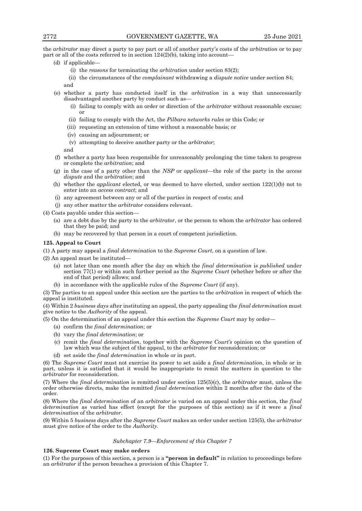the *arbitrator* may direct a party to pay part or all of another party's costs of the *arbitration* or to pay part or all of the costs referred to in section 124(2)(b), taking into account—

- (d) if applicable—
	- (i) the *reasons* for terminating the *arbitration* under section 83(2);
	- (ii) the circumstances of the *complainant* withdrawing a *dispute notice* under section 84; and
- (e) whether a party has conducted itself in the *arbitration* in a way that unnecessarily disadvantaged another party by conduct such as—
	- (i) failing to comply with an order or direction of the *arbitrator* without reasonable excuse; or
	- (ii) failing to comply with the Act, the *Pilbara networks rules* or this Code; or
	- (iii) requesting an extension of time without a reasonable basis; or
	- (iv) causing an adjournment; or
	- (v) attempting to deceive another party or the *arbitrator*;

and

- (f) whether a party has been responsible for unreasonably prolonging the time taken to progress or complete the *arbitration*; and
- (g) in the case of a party other than the *NSP* or *applicant*—the role of the party in the *access dispute* and the *arbitration*; and
- (h) whether the *applicant* elected, or was deemed to have elected, under section 122(1)(b) not to enter into an *access contract*; and
- (i) any agreement between any or all of the parties in respect of costs; and
- (j) any other matter the *arbitrator* considers relevant.

(4) Costs payable under this section—

- (a) are a debt due by the party to the *arbitrator*, or the person to whom the *arbitrator* has ordered that they be paid; and
- (b) may be recovered by that person in a court of competent jurisdiction.

## **125. Appeal to Court**

(1) A party may appeal a *final determination* to the *Supreme Court*, on a question of law.

(2) An appeal must be instituted—

- (a) not later than one month after the day on which the *final determination* is *published* under section 77(1) or within such further period as the *Supreme Court* (whether before or after the end of that period) allows; and
- (b) in accordance with the applicable rules of the *Supreme Court* (if any).

(3) The parties to an appeal under this section are the parties to the *arbitration* in respect of which the appeal is instituted.

(4) Within 2 *business days* after instituting an appeal, the party appealing the *final determination* must give notice to the *Authority* of the appeal.

(5) On the determination of an appeal under this section the *Supreme Court* may by order—

- (a) confirm the *final determination*; or
- (b) vary the *final determination*; or
- (c) remit the *final determination*, together with the *Supreme Court's* opinion on the question of law which was the subject of the appeal, to the *arbitrator* for reconsideration; or
- (d) set aside the *final determination* in whole or in part.

(6) The *Supreme Court* must not exercise its power to set aside a *final determination*, in whole or in part, unless it is satisfied that it would be inappropriate to remit the matters in question to the *arbitrator* for reconsideration.

(7) Where the *final determination* is remitted under section 125(5)(c), the *arbitrator* must, unless the order otherwise directs, make the remitted *final determination* within 2 months after the date of the order.

(8) Where the *final determination* of an *arbitrator* is varied on an appeal under this section, the *final determination* as varied has effect (except for the purposes of this section) as if it were a *final determination* of the *arbitrator*.

(9) Within 5 *business days* after the *Supreme Court* makes an order under section 125(5), the *arbitrator* must give notice of the order to the *Authority*.

### *Subchapter 7.9—Enforcement of this Chapter 7*

### **126. Supreme Court may make orders**

(1) For the purposes of this section, a person is a **"person in default"** in relation to proceedings before an *arbitrator* if the person breaches a provision of this Chapter 7.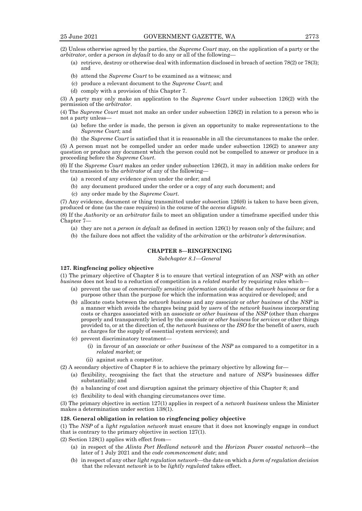(2) Unless otherwise agreed by the parties, the *Supreme Court* may, on the application of a party or the *arbitrator*, order a *person in default* to do any or all of the following—

- (a) retrieve, destroy or otherwise deal with information disclosed in breach of section 78(2) or 78(3); and
- (b) attend the *Supreme Court* to be examined as a witness; and
- (c) produce a relevant document to the *Supreme Court*; and
- (d) comply with a provision of this Chapter 7.

(3) A party may only make an application to the *Supreme Court* under subsection 126(2) with the permission of the *arbitrator*.

(4) The *Supreme Court* must not make an order under subsection 126(2) in relation to a person who is not a party unless—

- (a) before the order is made, the person is given an opportunity to make representations to the *Supreme Court*; and
- (b) the *Supreme Court* is satisfied that it is reasonable in all the circumstances to make the order.

(5) A person must not be compelled under an order made under subsection 126(2) to answer any question or produce any document which the person could not be compelled to answer or produce in a proceeding before the *Supreme Court*.

(6) If the *Supreme Court* makes an order under subsection 126(2), it may in addition make orders for the transmission to the *arbitrator* of any of the following—

- (a) a record of any evidence given under the order; and
- (b) any document produced under the order or a copy of any such document; and
- (c) any order made by the *Supreme Court*.

(7) Any evidence, document or thing transmitted under subsection 126(6) is taken to have been given, produced or done (as the case requires) in the course of the *access dispute*.

(8) If the *Authority* or an *arbitrator* fails to meet an obligation under a timeframe specified under this Chapter 7—

- (a) they are not a *person in default* as defined in section 126(1) by reason only of the failure; and
- (b) the failure does not affect the validity of the *arbitration* or the *arbitrator's determination*.

# **CHAPTER 8—RINGFENCING**

*Subchapter 8.1—General*

#### **127. Ringfencing policy objective**

(1) The primary objective of Chapter 8 is to ensure that vertical integration of an *NSP* with an *other business* does not lead to a reduction of competition in a *related market* by requiring rules which—

- (a) prevent the use of *commercially sensitive information* outside of the *network business* or for a purpose other than the purpose for which the information was acquired or developed; and
- (b) allocate costs between the *network business* and any *associate* or *other business* of the *NSP* in a manner which avoids the charges being paid by *users* of the *network business* incorporating costs or charges associated with an *associate* or *other business* of the *NSP* (other than charges properly and transparently levied by the *associate* or *other business* for *services* or other things provided to, or at the direction of, the *network business* or the *ISO* for the benefit of *users*, such as charges for the supply of essential system services); and
- (c) prevent discriminatory treatment—
	- (i) in favour of an *associate* or *other business* of the *NSP* as compared to a competitor in a *related market*; or
	- (ii) against such a competitor.
- (2) A secondary objective of Chapter 8 is to achieve the primary objective by allowing for—
	- (a) flexibility, recognising the fact that the structure and nature of *NSP's* businesses differ substantially; and
	- (b) a balancing of cost and disruption against the primary objective of this Chapter 8; and
	- (c) flexibility to deal with changing circumstances over time.

(3) The primary objective in section 127(1) applies in respect of a *network business* unless the Minister makes a determination under section 138(1).

### **128. General obligation in relation to ringfencing policy objective**

(1) The *NSP* of a *light regulation network* must ensure that it does not knowingly engage in conduct that is contrary to the primary objective in section 127(1).

(2) Section 128(1) applies with effect from—

- (a) in respect of the *Alinta Port Hedland network* and the *Horizon Power coastal network*—the later of 1 July 2021 and the *code commencement date*; and
- (b) in respect of any other *light regulation network*—the date on which a *form of regulation decision* that the relevant *network* is to be *lightly regulated* takes effect.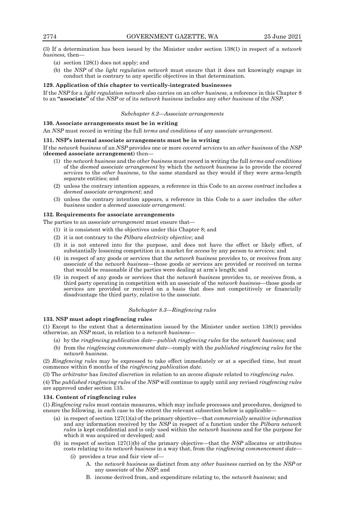(3) If a determination has been issued by the Minister under section 138(1) in respect of a *network business,* then—

- (a) section 128(1) does not apply; and
- (b) the *NSP* of the *light regulation network* must ensure that it does not knowingly engage in conduct that is contrary to any specific objectives in that determination.

#### **129. Application of this chapter to vertically-integrated businesses**

If the *NSP* for a *light regulation network* also carries on an *other business*, a reference in this Chapter 8 to an **"associate"** of the *NSP* or of its *network business* includes any *other business* of the *NSP*.

#### *Subchapter 8.2—Associate arrangements*

## **130. Associate arrangements must be in writing**

An *NSP* must record in writing the full *terms and conditions* of any *associate arrangement*.

#### **131. NSP's internal associate arrangements must be in writing**

If the *network business* of an *NSP* provides one or more *covered services* to an *other business* of the *NSP*  (**deemed associate arrangement**) then—

- (1) the *network business* and the *other business* must record in writing the full *terms and conditions* of the *deemed associate arrangement* by which the *network business* is to provide the *covered services* to the *other business*, to the same standard as they would if they were arms-length separate entities; and
- (2) unless the contrary intention appears, a reference in this Code to an *access contract* includes a *deemed associate arrangement*; and
- (3) unless the contrary intention appears, a reference in this Code to a *user* includes the *other business* under a *deemed associate arrangement*.

#### **132. Requirements for associate arrangements**

The parties to an *associate arrangement* must ensure that—

- (1) it is consistent with the objectives under this Chapter 8; and
- (2) it is not contrary to the *Pilbara electricity objective*; and
- (3) it is not entered into for the purpose, and does not have the effect or likely effect, of substantially lessening competition in a market for *access* by any person to *services;* and
- (4) in respect of any goods or services that the *network business* provides to, or receives from any *associate* of the *network business*—those goods or services are provided or received on terms that would be reasonable if the parties were dealing at arm's length; and
- (5) in respect of any goods or services that the *network business* provides to, or receives from, a third party operating in competition with an *associate* of the *network business*—those goods or services are provided or received on a basis that does not competitively or financially disadvantage the third party, relative to the *associate*.

#### *Subchapter 8.3—Ringfencing rules*

#### **133. NSP must adopt ringfencing rules**

(1) Except to the extent that a determination issued by the Minister under section 138(1) provides otherwise, an *NSP* must, in relation to a *network business*—

- (a) by the *ringfencing publication date—publish ringfencing rules* for the *network business;* and
- (b) from the *ringfencing commencement date*—comply with the *published ringfencing rules* for the *network business*.

(2) *Ringfencing rules* may be expressed to take effect immediately or at a specified time, but must commence within 6 months of the *ringfencing publication date*.

(3) The *arbitrator* has *limited discretion* in relation to an *access dispute* related to *ringfencing rules*.

(4) The *published ringfencing rules* of the *NSP* will continue to apply until any revised *ringfencing rules* are approved under section 135.

## **134. Content of ringfencing rules**

(1) *Ringfencing rules* must contain measures, which may include processes and procedures, designed to ensure the following, in each case to the extent the relevant subsection below is applicable—

- (a) in respect of section 127(1)(a) of the primary objective—that *commercially sensitive information* and any information received by the *NSP* in respect of a function under the *Pilbara network rules* is kept confidential and is only used within the *network business* and for the purpose for which it was acquired or developed*;* and
- (b) in respect of section 127(1)(b) of the primary objective—that the *NSP* allocates or attributes costs relating to its *network business* in a way that, from the *ringfencing commencement date*—
	- (i) provides a true and fair view of—
		- A. the *network business* as distinct from any *other business* carried on by the *NSP* or any *associate* of the *NSP*; and
		- B. income derived from, and expenditure relating to, the *network business*; and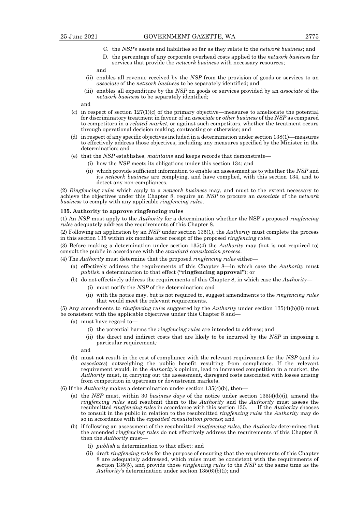- C. the *NSP's* assets and liabilities so far as they relate to the *network business*; and
- D. the percentage of any corporate overhead costs applied to the *network business* for services that provide the *network business* with necessary resources;

## and

- (ii) enables all revenue received by the *NSP* from the provision of goods or services to an *associate* of the *network business* to be separately identified; and
- (iii) enables all expenditure by the *NSP* on goods or services provided by an *associate* of the *network business* to be separately identified;

and

- (c) in respect of section  $127(1)(c)$  of the primary objective—measures to ameliorate the potential for discriminatory treatment in favour of an *associate* or *other business* of the *NSP* as compared to competitors in a *related market*, or against such competitors, whether the treatment occurs through operational decision making, contracting or otherwise; and
- (d) in respect of any specific objectives included in a determination under section 138(1)—measures to effectively address those objectives, including any measures specified by the Minister in the determination; and
- (e) that the *NSP* establishes, *maintains* and keeps records that demonstrate—
	- (i) how the *NSP* meets its obligations under this section 134; and
	- (ii) which provide sufficient information to enable an assessment as to whether the *NSP* and its *network business* are complying, and have complied, with this section 134, and to detect any non-compliances.

(2) *Ringfencing rules* which apply to a *network business* may, and must to the extent necessary to achieve the objectives under this Chapter 8, require an *NSP* to procure an *associate* of the *network business* to comply with any applicable *ringfencing rules*.

#### **135. Authority to approve ringfencing rules**

(1) An *NSP* must apply to the *Authority* for a determination whether the NSP's proposed *ringfencing rules* adequately address the requirements of this Chapter 8.

(2) Following an application by an *NSP* under section 135(1), the *Authority* must complete the process in this section 135 within six months after receipt of the proposed *ringfencing rules*.

(3) Before making a determination under section 135(4) the *Authority* may (but is not required to) consult the public in accordance with the *standard consultation process*.

(4) The *Authority* must determine that the proposed *ringfencing rules* either—

- (a) effectively address the requirements of this Chapter 8—in which case the *Authority* must *publish* a determination to that effect (**"ringfencing approval"**); or
- (b) do not effectively address the requirements of this Chapter 8, in which case the *Authority*
	- (i) must notify the *NSP* of the determination; and
	- (ii) with the notice may, but is not required to, suggest amendments to the *ringfencing rules* that would meet the relevant requirements.

(5) Any amendments to *ringfencing rules* suggested by the *Authority* under section 135(4)(b)(ii) must be consistent with the applicable objectives under this Chapter 8 and—

- (a) must have regard to—
	- (i) the potential harms the *ringfencing rules* are intended to address; and
	- (ii) the direct and indirect costs that are likely to be incurred by the *NSP* in imposing a particular requirement*;*

and

- (b) must not result in the cost of compliance with the relevant requirement for the *NSP* (and its *associates*) outweighing the public benefit resulting from compliance. If the relevant requirement would, in the *Authority's* opinion, lead to increased competition in a market, the *Authority* must, in carrying out the assessment, disregard costs associated with losses arising from competition in upstream or downstream markets.
- (6) If the *Authority* makes a determination under section 135(4)(b), then—
	- (a) the *NSP* must, within 30 *business days* of the notice under section 135(4)(b)(i), amend the *ringfencing rules* and resubmit them to the *Authority* and the *Authority* must assess the resubmitted *ringfencing rules* in accordance with this section 135. If the *Authority* chooses to consult in the public in relation to the resubmitted *ringfencing rules* the *Authority* may do so in accordance with the *expedited consultation process*; and
	- (b) if following an assessment of the resubmitted *ringfencing rules*, the *Authority* determines that the amended *ringfencing rules* do not effectively address the requirements of this Chapter 8, then the *Authority* must—
		- (i) *publish* a determination to that effect; and
		- (ii) draft *ringfencing rules* for the purpose of ensuring that the requirements of this Chapter 8 are adequately addressed, which rules must be consistent with the requirements of section 135(5), and provide those *ringfencing rules* to the *NSP* at the same time as the *Authority's* determination under section 135(6)(b)(i); and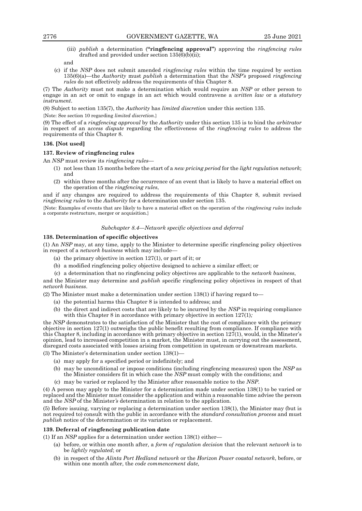- 
- (iii) *publish* a determination (**"ringfencing approval"**) approving the *ringfencing rules* drafted and provided under section 135(6)(b)(ii);

and

(c) if the *NSP* does not submit amended *ringfencing rules* within the time required by section 135(6)(a)—the *Authority* must *publish* a determination that the *NSP's* proposed *ringfencing rules* do not effectively address the requirements of this Chapter 8.

(7) The *Authority* must not make a determination which would require an *NSP* or other person to engage in an act or omit to engage in an act which would contravene a *written law* or a *statutory instrument*.

(8) Subject to section 135(7), the *Authority* has *limited discretion* under this section 135.

{Note: See section 10 regarding *limited discretion*.}

(9) The effect of a *ringfencing approval* by the *Authority* under this section 135 is to bind the *arbitrator* in respect of an a*ccess dispute* regarding the effectiveness of the *ringfencing rules* to address the requirements of this Chapter 8.

### **136. [Not used]**

### **137. Review of ringfencing rules**

An *NSP* must review its *ringfencing rules*—

- (1) not less than 15 months before the start of a *new pricing period* for the *light regulation network*; and
- (2) within three months after the occurrence of an event that is likely to have a material effect on the operation of the *ringfencing rules*,

and if any changes are required to address the requirements of this Chapter 8, submit revised *ringfencing rules* to the *Authority* for a determination under section 135.

{Note: Examples of events that are likely to have a material effect on the operation of the *ringfencing rules* include a corporate restructure, merger or acquisition.}

## *Subchapter 8.4—Network specific objectives and deferral*

# **138. Determination of specific objectives**

(1) An *NSP* may, at any time, apply to the Minister to determine specific ringfencing policy objectives in respect of a *network business* which may include—

- (a) the primary objective in section 127(1), or part of it; or
- (b) a modified ringfencing policy objective designed to achieve a similar effect; or
- (c) a determination that no ringfencing policy objectives are applicable to the *network business*,

and the Minister may determine and *publish* specific ringfencing policy objectives in respect of that *network business*.

(2) The Minister must make a determination under section 138(1) if having regard to—

- (a) the potential harms this Chapter 8 is intended to address; and
- (b) the direct and indirect costs that are likely to be incurred by the *NSP* in requiring compliance with this Chapter 8 in accordance with primary objective in section 127(1)*;*

the *NSP* demonstrates to the satisfaction of the Minister that the cost of compliance with the primary objective in section 127(1) outweighs the public benefit resulting from compliance. If compliance with this Chapter 8, including in accordance with primary objective in section  $127(1)$ , would, in the Minster's opinion, lead to increased competition in a market, the Minister must, in carrying out the assessment, disregard costs associated with losses arising from competition in upstream or downstream markets.

(3) The Minister's determination under section 138(1)—

- (a) may apply for a specified period or indefinitely; and
- (b) may be unconditional or impose conditions (including ringfencing measures) upon the *NSP* as the Minister considers fit in which case the *NSP* must comply with the conditions; and
- (c) may be varied or replaced by the Minister after reasonable notice to the *NSP*.

(4) A person may apply to the Minister for a determination made under section 138(1) to be varied or replaced and the Minister must consider the application and within a reasonable time advise the person and the *NSP* of the Minister*'s* determination in relation to the application.

(5) Before issuing, varying or replacing a determination under section 138(1), the Minister may (but is not required to) consult with the public in accordance with the *standard consultation process* and must *publish* notice of the determination or its variation or replacement.

### **139. Deferral of ringfencing publication date**

(1) If an *NSP* applies for a determination under section 138(1) either—

- (a) before, or within one month after, a *form of regulation decision* that the relevant *network* is to be *lightly regulated*; or
- (b) in respect of the *Alinta Port Hedland network* or the *Horizon Power coastal network*, before, or within one month after, the *code commencement date,*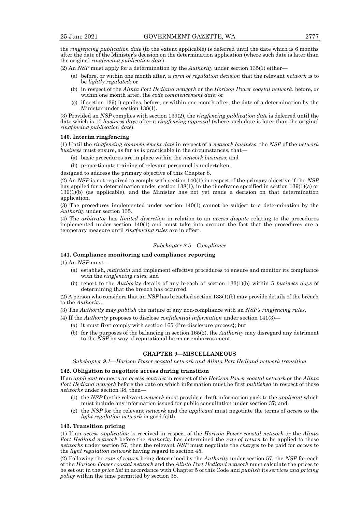the *ringfencing publication date* (to the extent applicable) is deferred until the date which is 6 months after the date of the Minister's decision on the determination application (where such date is later than the original *ringfencing publication date*).

- (2) An *NSP* must apply for a determination by the *Authority* under section 135(1) either—
	- (a) before, or within one month after, a *form of regulation decision* that the relevant *network* is to be *lightly regulated*; or
	- (b) in respect of the *Alinta Port Hedland network* or the *Horizon Power coastal network*, before, or within one month after, the *code commencement date*; or
	- (c) if section 139(1) applies, before, or within one month after, the date of a determination by the Minister under section 138(1).

(3) Provided an *NSP* complies with section 139(2), the *ringfencing publication date* is deferred until the date which is 10 *business days* after a *ringfencing approval* (where such date is later than the original *ringfencing publication date*).

## **140. Interim ringfencing**

(1) Until the *ringfencing commencement date* in respect of a *network business*, the *NSP* of the *network business* must ensure, as far as is practicable in the circumstances, that—

- (a) basic procedures are in place within the *network business*; and
- (b) proportionate training of relevant personnel is undertaken,

designed to address the primary objective of this Chapter 8.

(2) An *NSP* is not required to comply with section 140(1) in respect of the primary objective if the *NSP* has applied for a determination under section 138(1), in the timeframe specified in section 139(1)(a) or 139(1)(b) (as applicable), and the Minister has not yet made a decision on that determination application.

(3) The procedures implemented under section 140(1) cannot be subject to a determination by the *Authority* under section 135.

(4) The *arbitrator* has *limited discretion* in relation to an *access dispute* relating to the procedures implemented under section 140(1) and must take into account the fact that the procedures are a temporary measure until *ringfencing rules* are in effect.

#### *Subchapter 8.5—Compliance*

## **141. Compliance monitoring and compliance reporting**

(1) An *NSP* must—

- (a) establish, *maintain* and implement effective procedures to ensure and monitor its compliance with the *ringfencing rules*; and
- (b) report to the *Authority* details of any breach of section 133(1)(b) within 5 *business days* of determining that the breach has occurred.

(2) A person who considers that an *NSP* has breached section 133(1)(b) may provide details of the breach to the *Authority*.

(3) The *Authority* may *publish* the nature of any non-compliance with an *NSP's ringfencing rules*.

(4) If the *Authority* proposes to disclose *confidential information* under section 141(3)—

- (a) it must first comply with section 165 {Pre-disclosure process}; but
- (b) for the purposes of the balancing in section 165(2), the *Authority* may disregard any detriment to the *NSP* by way of reputational harm or embarrassment.

## **CHAPTER 9—MISCELLANEOUS**

*Subchapter 9.1—Horizon Power coastal network and Alinta Port Hedland network transition*

#### **142. Obligation to negotiate access during transition**

If an *applicant* requests an *access contract* in respect of the *Horizon Power coastal network* or the *Alinta Port Hedland network* before the date on which information must be first *published* in respect of those *networks* under section 38, then—

- (1) the *NSP* for the relevant *network* must provide a draft information pack to the *applicant* which must include any information issued for public consultation under section 37; and
- (2) the *NSP* for the relevant *network* and the *applicant* must negotiate the terms of *access* to the *light regulation network* in good faith.

#### **143. Transition pricing**

(1) If an *access application* is received in respect of the *Horizon Power coastal network* or the *Alinta Port Hedland network* before the *Authority* has determined the *rate of return* to be applied to those *networks* under section 57, then the relevant *NSP* must negotiate the *charges* to be paid for *access* to the *light regulation network* having regard to section 45.

(2) Following the *rate of return* being determined by the *Authority* under section 57, the *NSP* for each of the *Horizon Power coastal network* and the *Alinta Port Hedland network* must calculate the prices to be set out in the *price list* in accordance with Chapter 5 of this Code and *publish* its *services and pricing policy* within the time permitted by section 38.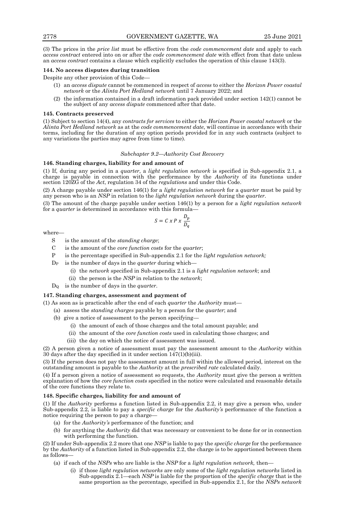(3) The prices in the *price list* must be effective from the *code commencement date* and apply to each *access contract* entered into on or after the *code commencement date* with effect from that date unless an *access contract* contains a clause which explicitly excludes the operation of this clause 143(3).

#### **144. No access disputes during transition**

Despite any other provision of this Code—

- (1) an *access dispute* cannot be commenced in respect of *access* to either the *Horizon Power coastal network* or the *Alinta Port Hedland network* until 7 January 2022; and
- the information contained in a draft information pack provided under section  $142(1)$  cannot be the subject of any *access dispute* commenced after that date.

#### **145. Contracts preserved**

(1) Subject to section 14(4), any *contracts for services* to either the *Horizon Power coastal network* or the *Alinta Port Hedland network* as at the *code commencement date*, will continue in accordance with their terms, including for the duration of any option periods provided for in any such contracts (subject to any variations the parties may agree from time to time).

## *Subchapter 9.2—Authority Cost Recovery*

# **146. Standing charges, liability for and amount of**

(1) If, during any period in a *quarter*, a *light regulation network* is specified in Sub-appendix 2.1, a charge is payable in connection with the performance by the *Authority* of its functions under section 120ZG of the *Act*, regulation 34 of the *regulations* and under this Code.

(2) A charge payable under section 146(1) for a *light regulation network* for a *quarter* must be paid by any person who is an *NSP* in relation to the *light regulation network* during the *quarter*.

(3) The amount of the charge payable under section 146(1) by a person for a *light regulation network* for a *quarter* is determined in accordance with this formula—

$$
S = C x P x \frac{D_p}{D_q}
$$

where—

- S is the amount of the *standing charge*;
- C is the amount of the *core function costs* for the *quarter*;
- P is the percentage specified in Sub-appendix 2.1 for the *light regulation network;*
- D<sup>P</sup> is the number of days in the *quarter* during which—
	- (i) the *network* specified in Sub-appendix 2.1 is a *light regulation network*; and
	- (ii) the person is the *NSP* in relation to the *network*;
- D<sup>Q</sup> is the number of days in the *quarter*.

# **147. Standing charges, assessment and payment of**

(1) As soon as is practicable after the end of each *quarter* the *Authority* must—

- (a) assess the *standing charges* payable by a person for the *quarter*; and
- (b) give a notice of assessment to the person specifying—
	- (i) the amount of each of those charges and the total amount payable; and
	- (ii) the amount of the *core function costs* used in calculating those charges; and
	- (iii) the day on which the notice of assessment was issued.

(2) A person given a notice of assessment must pay the assessment amount to the *Authority* within 30 days after the day specified in it under section 147(1)(b)(iii).

(3) If the person does not pay the assessment amount in full within the allowed period, interest on the outstanding amount is payable to the *Authority* at the *prescribed rate* calculated daily.

(4) If a person given a notice of assessment so requests, the *Authority* must give the person a written explanation of how the *core function costs* specified in the notice were calculated and reasonable details of the core functions they relate to.

# **148. Specific charges, liability for and amount of**

(1) If the *Authority* performs a function listed in Sub-appendix 2.2, it may give a person who, under Sub-appendix 2.2, is liable to pay a *specific charge* for the *Authority's* performance of the function a notice requiring the person to pay a charge—

- (a) for the *Authority's* performance of the function; and
- (b) for anything the *Authority* did that was necessary or convenient to be done for or in connection with performing the function.

(2) If under Sub-appendix 2.2 more that one *NSP* is liable to pay the *specific charge* for the performance by the *Authority* of a function listed in Sub-appendix 2.2, the charge is to be apportioned between them as follows—

- (a) if each of the *NSPs* who are liable is the *NSP* for a *light regulation network,* then—
	- (i) if those *light regulation networks* are only some of the *light regulation networks* listed in Sub-appendix 2.1—each *NSP* is liable for the proportion of the *specific charge* that is the same proportion as the percentage, specified in Sub-appendix 2.1, for the *NSPs network*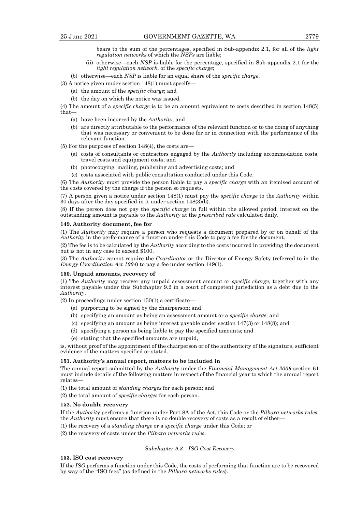bears to the sum of the percentages, specified in Sub-appendix 2.1, for all of the *light regulation networks* of which the *NSPs* are liable;

(ii) otherwise—each *NSP* is liable for the percentage, specified in Sub-appendix 2.1 for the *light regulation network*, of the *specific charge*;

(b) otherwise—each *NSP* is liable for an equal share of the *specific charge*.

- (3) A notice given under section 148(1) must specify—
	- (a) the amount of the *specific charge*; and
	- (b) the day on which the notice was issued.

(4) The amount of a *specific charge* is to be an amount equivalent to costs described in section 148(5) that—

- (a) have been incurred by the *Authority*; and
- (b) are directly attributable to the performance of the relevant function or to the doing of anything that was necessary or convenient to be done for or in connection with the performance of the relevant function.

(5) For the purposes of section 148(4), the costs are—

- (a) costs of consultants or contractors engaged by the *Authority* including accommodation costs, travel costs and equipment costs; and
- (b) photocopying, mailing, publishing and advertising costs; and
- (c) costs associated with public consultation conducted under this Code.

(6) The *Authority* must provide the person liable to pay a *specific charge* with an itemised account of the costs covered by the charge if the person so requests.

(7) A person given a notice under section 148(1) must pay the *specific charge* to the *Authority* within 30 days after the day specified in it under section 148(3)(b).

(8) If the person does not pay the *specific charge* in full within the allowed period, interest on the outstanding amount is payable to the *Authority* at the *prescribed rate* calculated daily.

#### **149. Authority document, fee for**

(1) The *Authority* may require a person who requests a document prepared by or on behalf of the *Authority* in the performance of a function under this Code to pay a fee for the document.

(2) The fee is to be calculated by the *Authority* according to the costs incurred in providing the document but is not in any case to exceed \$100.

(3) The *Authority* cannot require the *Coordinator* or the Director of Energy Safety (referred to in the *Energy Coordination Act 1994*) to pay a fee under section 149(1).

### **150. Unpaid amounts, recovery of**

(1) The *Authority* may recover any unpaid assessment amount or *specific charge*, together with any interest payable under this Subchapter 9.2 in a court of competent jurisdiction as a debt due to the *Authority*.

 $(2)$  In proceedings under section 150 $(1)$  a certificate—

- (a) purporting to be signed by the chairperson; and
- (b) specifying an amount as being an assessment amount or a *specific charge*; and
- (c) specifying an amount as being interest payable under section 147(3) or 148(8); and
- (d) specifying a person as being liable to pay the specified amounts; and
- (e) stating that the specified amounts are unpaid,

is, without proof of the appointment of the chairperson or of the authenticity of the signature, sufficient evidence of the matters specified or stated.

## **151. Authority's annual report, matters to be included in**

The annual report submitted by the *Authority* under the *Financial Management Act 2006* section 61 must include details of the following matters in respect of the financial year to which the annual report relates—

(1) the total amount of *standing charges* for each person; and

(2) the total amount of *specific charges* for each person.

## **152. No double recovery**

If the *Authority* performs a function under Part 8A of the Act, this Code or the *Pilbara networks rules*, the *Authority* must ensure that there is no double recovery of costs as a result of either-

(1) the recovery of a *standing charge* or a *specific charge* under this Code; or

(2) the recovery of costs under the *Pilbara networks rules*.

### *Subchapter 9.3—ISO Cost Recovery*

## **153. ISO cost recovery**

If the *ISO* performs a function under this Code, the costs of performing that function are to be recovered by way of the "ISO fees" (as defined in the *Pilbara networks rules*).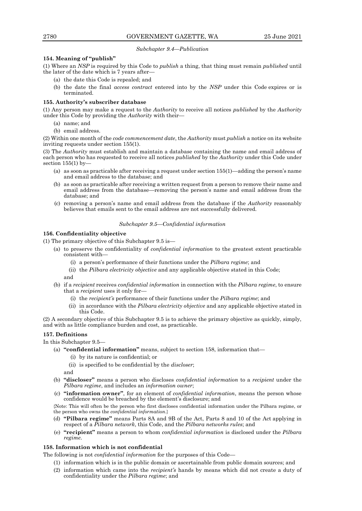## *Subchapter 9.4—Publication*

# **154. Meaning of "publish"**

(1) Where an *NSP* is required by this Code to *publish* a thing, that thing must remain *published* until the later of the date which is 7 years after—

- (a) the date this Code is repealed; and
- (b) the date the final *access contract* entered into by the *NSP* under this Code expires or is terminated.

## **155. Authority's subscriber database**

(1) Any person may make a request to the *Authority* to receive all notices *published* by the *Authority* under this Code by providing the *Authority* with their—

- (a) name; and
- (b) email address.

(2) Within one month of the *code commencement date*, the *Authority* must *publish* a notice on its website inviting requests under section 155(1).

(3) The *Authority* must establish and maintain a database containing the name and email address of each person who has requested to receive all notices *published* by the *Authority* under this Code under section  $155(1)$  by-

- (a) as soon as practicable after receiving a request under section 155(1)—adding the person's name and email address to the database; and
- (b) as soon as practicable after receiving a written request from a person to remove their name and email address from the database—removing the person's name and email address from the database; and
- (c) removing a person's name and email address from the database if the *Authority* reasonably believes that emails sent to the email address are not successfully delivered.

### *Subchapter 9.5—Confidential information*

## **156. Confidentiality objective**

(1) The primary objective of this Subchapter 9.5 is—

- (a) to preserve the confidentiality of *confidential information* to the greatest extent practicable consistent with—
	- (i) a person's performance of their functions under the *Pilbara regime*; and
	- (ii) the *Pilbara electricity objective* and any applicable objective stated in this Code;

and

- (b) if a *recipient* receives *confidential information* in connection with the *Pilbara regime*, to ensure that a *recipient* uses it only for—
	- (i) the *recipient's* performance of their functions under the *Pilbara regime*; and
	- (ii) in accordance with the *Pilbara electricity objective* and any applicable objective stated in this Code.

(2) A secondary objective of this Subchapter 9.5 is to achieve the primary objective as quickly, simply, and with as little compliance burden and cost, as practicable.

# **157. Definitions**

In this Subchapter 9.5—

- (a) **"confidential information"** means, subject to section 158, information that—
	- (i) by its nature is confidential; or
	- (ii) is specified to be confidential by the *discloser*;

and

- (b) **"discloser"** means a person who discloses *confidential information* to a *recipient* under the *Pilbara regime*, and includes an *information owner*;
- (c) **"information owner"**, for an element of *confidential information*, means the person whose confidence would be breached by the element's disclosure; and

{Note: This will often be the person who first discloses confidential information under the Pilbara regime, or the person who owns the *confidential information*.}

- (d) **"Pilbara regime"** means Parts 8A and 9B of the Act, Parts 8 and 10 of the Act applying in respect of a *Pilbara network*, this Code, and the *Pilbara networks rules*; and
- (e) **"recipient"** means a person to whom *confidential information* is disclosed under the *Pilbara regime*.

# **158. Information which is not confidential**

The following is not *confidential information* for the purposes of this Code—

- (1) information which is in the public domain or ascertainable from public domain sources; and
- (2) information which came into the *recipient's* hands by means which did not create a duty of confidentiality under the *Pilbara regime*; and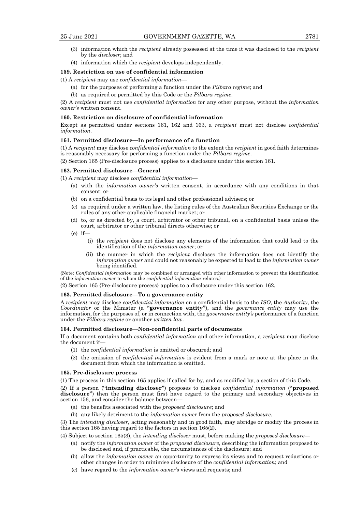- 
- (3) information which the *recipient* already possessed at the time it was disclosed to the *recipient*  by the *discloser*; and
- (4) information which the *recipient* develops independently.

# **159. Restriction on use of confidential information**

#### (1) A *recipient* may use *confidential information*—

- (a) for the purposes of performing a function under the *Pilbara regime*; and
- (b) as required or permitted by this Code or the *Pilbara regime*.

(2) A *recipient* must not use *confidential information* for any other purpose, without the *information owner's* written consent.

# **160. Restriction on disclosure of confidential information**

Except as permitted under sections 161, 162 and 163, a *recipient* must not disclose *confidential information*.

## **161. Permitted disclosure—In performance of a function**

(1) A *recipient* may disclose *confidential information* to the extent the *recipient* in good faith determines is reasonably necessary for performing a function under the *Pilbara regime*.

(2) Section 165 {Pre-disclosure process} applies to a disclosure under this section 161.

# **162. Permitted disclosure—General**

(1) A *recipient* may disclose *confidential information*—

- (a) with the *information owner's* written consent, in accordance with any conditions in that consent; or
- (b) on a confidential basis to its legal and other professional advisers; or
- (c) as required under a written law, the listing rules of the Australian Securities Exchange or the rules of any other applicable financial market; or
- (d) to, or as directed by, a court, arbitrator or other tribunal, on a confidential basis unless the court, arbitrator or other tribunal directs otherwise; or
- $(e)$  if
	- (i) the *recipient* does not disclose any elements of the information that could lead to the identification of the *information owner*; or
	- (ii) the manner in which the *recipient* discloses the information does not identify the *information owner* and could not reasonably be expected to lead to the *information owner* being identified.

{Note: *Confidential information* may be combined or arranged with other information to prevent the identification of the *information owner* to whom the *confidential information* relates.}

(2) Section 165 {Pre-disclosure process} applies to a disclosure under this section 162.

# **163. Permitted disclosure—To a governance entity**

A *recipient* may disclose *confidential information* on a confidential basis to the *ISO*, the *Authority*, the *Coordinator* or the Minister (a **"governance entity"**), and the *governance entity* may use the information, for the purposes of, or in connection with, the *governance entity's* performance of a function under the *Pilbara regime* or another *written law*.

# **164. Permitted disclosure—Non-confidential parts of documents**

If a document contains both *confidential information* and other information, a *recipient* may disclose the document if—

- (1) the *confidential information* is omitted or obscured; and
- (2) the omission of *confidential information* is evident from a mark or note at the place in the document from which the information is omitted.

#### **165. Pre-disclosure process**

(1) The process in this section 165 applies if called for by, and as modified by, a section of this Code.

(2) If a person (**"intending discloser"**) proposes to disclose *confidential information* (**"proposed disclosure"**) then the person must first have regard to the primary and secondary objectives in section 156, and consider the balance between—

- (a) the benefits associated with the *proposed disclosure*; and
- (b) any likely detriment to the *information owner* from the *proposed disclosure*.

(3) The *intending discloser*, acting reasonably and in good faith, may abridge or modify the process in this section 165 having regard to the factors in section 165(2).

(4) Subject to section 165(3), the *intending discloser* must, before making the *proposed disclosure*—

- (a) notify the *information owner* of the *proposed disclosure*, describing the information proposed to be disclosed and, if practicable, the circumstances of the disclosure; and
- (b) allow the *information owner* an opportunity to express its views and to request redactions or other changes in order to minimise disclosure of the *confidential information*; and
- (c) have regard to the *information owner's* views and requests; and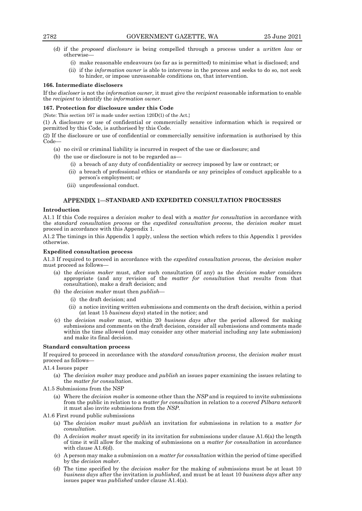- (d) if the *proposed disclosure* is being compelled through a process under a *written law* or otherwise—
	- (i) make reasonable endeavours (so far as is permitted) to minimise what is disclosed; and
	- (ii) if the *information owner* is able to intervene in the process and seeks to do so, not seek to hinder, or impose unreasonable conditions on, that intervention.

## **166. Intermediate disclosers**

If the *discloser* is not the *information owner,* it must give the *recipient* reasonable information to enable the *recipient* to identify the *information owner*.

## **167. Protection for disclosure under this Code**

{Note: This section 167 is made under section 120D(1) of the Act.}

(1) A disclosure or use of confidential or commercially sensitive information which is required or permitted by this Code, is authorised by this Code.

(2) If the disclosure or use of confidential or commercially sensitive information is authorised by this Code—

- (a) no civil or criminal liability is incurred in respect of the use or disclosure; and
- (b) the use or disclosure is not to be regarded as—
	- (i) a breach of any duty of confidentiality or secrecy imposed by law or contract; or
	- (ii) a breach of professional ethics or standards or any principles of conduct applicable to a person's employment; or
	- (iii) unprofessional conduct.

# **STANDARD AND EXPEDITED CONSULTATION PROCESSES**

## **Introduction**

A1.1 If this Code requires a *decision maker* to deal with a *matter for consultation* in accordance with the *standard consultation process* or the *expedited consultation process*, the *decision maker* must proceed in accordance with this Appendix 1.

A1.2 The timings in this Appendix 1 apply, unless the section which refers to this Appendix 1 provides otherwise.

### **Expedited consultation process**

A1.3 If required to proceed in accordance with the *expedited consultation process,* the *decision maker* must proceed as follows—

- (a) the *decision maker* must, after such consultation (if any) as the *decision maker* considers appropriate (and any revision of the *matter for consultation* that results from that consultation), make a draft decision; and
- (b) the *decision maker* must then *publish*
	- (i) the draft decision; and
	- (ii) a notice inviting written submissions and comments on the draft decision, within a period (at least 15 *business days*) stated in the notice; and
- (c) the *decision maker* must, within 20 *business days* after the period allowed for making submissions and comments on the draft decision, consider all submissions and comments made within the time allowed (and may consider any other material including any late submission) and make its final decision.

### **Standard consultation process**

If required to proceed in accordance with the *standard consultation process*, the *decision maker* must proceed as follows—

A1.4 Issues paper

- (a) The *decision maker* may produce and *publish* an issues paper examining the issues relating to the *matter for consultation*.
- A1.5 Submissions from the NSP
	- (a) Where the *decision maker* is someone other than the *NSP* and is required to invite submissions from the public in relation to a *matter for consultation* in relation to a *covered Pilbara network* it must also invite submissions from the *NSP*.
- A1.6 First round public submissions
	- (a) The *decision maker* must *publish* an invitation for submissions in relation to a *matter for consultation*.
	- (b) A *decision maker* must specify in its invitation for submissions under clause A1.6(a) the length of time it will allow for the making of submissions on a *matter for consultation* in accordance with clause A1.6(d).
	- (c) A person may make a submission on a *matter for consultation* within the period of time specified by the *decision maker*.
	- (d) The time specified by the *decision maker* for the making of submissions must be at least 10 *business days* after the invitation is *published*, and must be at least 10 *business days* after any issues paper was *published* under clause A1.4(a).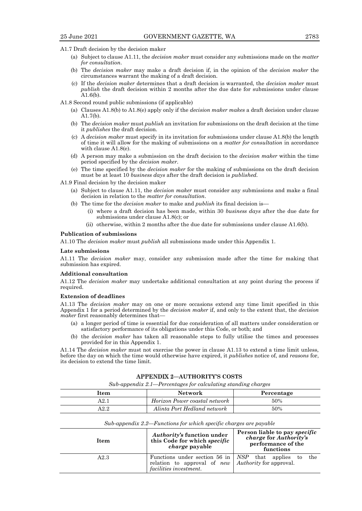- A1.7 Draft decision by the decision maker
	- (a) Subject to clause A1.11, the *decision maker* must consider any submissions made on the *matter for consultation*.
	- (b) The *decision maker* may make a draft decision if, in the opinion of the *decision maker* the circumstances warrant the making of a draft decision.
	- (c) If the *decision maker* determines that a draft decision is warranted, the *decision maker* must *publish* the draft decision within 2 months after the due date for submissions under clause A1.6(b).
- A1.8 Second round public submissions (if applicable)
	- (a) Clauses A1.8(b) to A1.8(e) apply only if the *decision maker makes* a draft decision under clause A1.7(b).
	- (b) The *decision maker* must *publish* an invitation for submissions on the draft decision at the time it *publishes* the draft decision.
	- (c) A *decision maker* must specify in its invitation for submissions under clause A1.8(b) the length of time it will allow for the making of submissions on a *matter for consultation* in accordance with clause A1.8(e).
	- (d) A person may make a submission on the draft decision to the *decision maker* within the time period specified by the *decision maker*.
	- (e) The time specified by the *decision maker* for the making of submissions on the draft decision must be at least 10 *business days* after the draft decision is *published.*

A1.9 Final decision by the decision maker

- (a) Subject to clause A1.11, the *decision maker* must consider any submissions and make a final decision in relation to the *matter for consultation*.
- (b) The time for the *decision maker* to make and *publish* its final decision is—
	- (i) where a draft decision has been made, within 30 *business days* after the due date for submissions under clause A1.8(c); or
	- (ii) otherwise, within 2 months after the due date for submissions under clause A1.6(b).

# **Publication of submissions**

A1.10 The *decision maker* must *publish* all submissions made under this Appendix 1.

## **Late submissions**

A1.11 The *decision maker* may, consider any submission made after the time for making that submission has expired.

#### **Additional consultation**

A1.12 The *decision maker* may undertake additional consultation at any point during the process if required.

### **Extension of deadlines**

A1.13 The *decision maker* may on one or more occasions extend any time limit specified in this Appendix 1 for a period determined by the *decision maker* if, and only to the extent that, the *decision maker* first reasonably determines that—

- (a) a longer period of time is essential for due consideration of all matters under consideration or satisfactory performance of its obligations under this Code, or both; and
- (b) the *decision maker* has taken all reasonable steps to fully utilise the times and processes provided for in this Appendix 1.

A1.14 The *decision maker* must not exercise the power in clause A1.13 to extend a time limit unless, before the day on which the time would otherwise have expired, it *publishes* notice of, and *reasons* for, its decision to extend the time limit.

# **AUTHORITY'S COSTS**

*Sub-appendix 2.1—Percentages for calculating standing charges*

| ltem | <b>Network</b>                | Percentage |
|------|-------------------------------|------------|
| A2.1 | Horizon Power coastal network | 50%        |
| 42.2 | Alinta Port Hedland network   | 50%        |

*Sub-appendix 2.2—Functions for which specific charges are payable* 

| Item | <i>Authority's</i> function under<br>this Code for which specific<br><i>charge</i> payable                                                          | Person liable to pay <i>specific</i><br>charge for Authority's<br>performance of the<br>functions |
|------|-----------------------------------------------------------------------------------------------------------------------------------------------------|---------------------------------------------------------------------------------------------------|
| A2.3 | Functions under section 56 in $\vert$ NSP that applies to<br>relation to approval of <i>new</i>   Authority for approval.<br>facilities investment. | the                                                                                               |